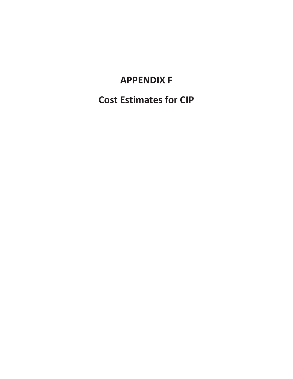## **APPENDIX F**

**Cost Estimates for CIP**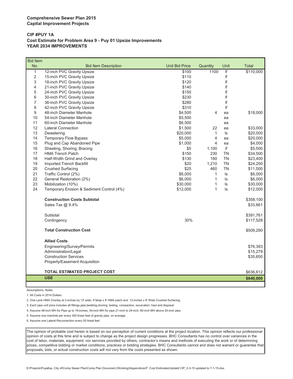#### **CIP #PUY 1A Cost Estimate for Problem Area 9 - Puy 01 Upsize Improvements YEAR 2034 IMPROVEMENTS**

| No.<br><b>Unit Bid Price</b><br>Quantity<br><b>Bid Item Description</b><br>Unit<br><b>Total</b><br>$\mathbf{1}$<br>1100<br>If<br>12-inch PVC Gravity Upsize<br>\$100<br>$\overline{2}$<br>If<br>\$110<br>15-inch PVC Gravity Upsize<br>If<br>3<br>\$120<br>18-inch PVC Gravity Upsize<br>21-inch PVC Gravity Upsize<br>\$140<br>lf<br>4<br>5<br>If<br>24-inch PVC Gravity Upsize<br>\$150<br>If<br>6<br>30-inch PVC Gravity Upsize<br>\$230<br>$\overline{7}$<br>36-inch PVC Gravity Upsize<br>\$280<br>If<br>8<br>\$310<br>lf<br>42-inch PVC Gravity Upsize<br>9<br>48-inch Diameter Manhole<br>\$4,500<br>4<br>\$18,000<br>ea<br>10<br>54-inch Diameter Manhole<br>\$5,500<br>ea<br>11<br>60-inch Diameter Manhole<br>\$6,500<br>ea<br>12<br><b>Lateral Connection</b><br>\$1,500<br>22<br>\$33,000<br>ea<br>13<br>\$20,000<br>$\mathbf{1}$<br>\$20,000<br>Dewatering<br>ls<br>$\overline{\mathbf{4}}$<br>14<br><b>Temporary Flow Bypass</b><br>\$5,000<br>\$20,000<br>ea<br>15<br>Plug and Cap Abandoned Pipe<br>4<br>\$1,000<br>\$4,000<br>ea<br>If<br>16<br>Sheeting, Shoring, Bracing<br>\$5<br>\$5,500<br>1,100<br><b>HMA Trench Patch</b><br>\$150<br><b>TN</b><br>17<br>230<br>\$34,500<br>\$130<br><b>TN</b><br>18<br>Half-Width Grind and Overlay<br>180<br>\$23,400<br>19<br>Imported Trench Backfill<br>\$20<br>1,210<br><b>TN</b><br>\$24,200<br>20<br><b>Crushed Surfacing</b><br>\$25<br><b>TN</b><br>460<br>\$11,500<br>21<br>Traffic Control (2%)<br>\$6,000<br>\$6,000<br>$\mathbf{1}$<br>ls<br>22<br>General Restoration (2%)<br>\$6,000<br>$\mathbf{1}$<br>ls<br>\$6,000<br>23<br>$\mathbf{1}$<br>Mobilization (10%)<br>\$30,000<br>ls<br>\$30,000<br>24<br>Temporary Erosion & Sediment Control (4%)<br>$\mathbf{1}$<br>\$12,000<br>ls<br>\$12,000<br><b>Construction Costs Subtotal</b><br>\$358,100<br>Sales Tax @ 9.4%<br>\$33,661<br>Subtotal<br>\$391,761<br>30%<br>Contingency<br>\$117,528<br><b>Total Construction Cost</b><br>\$509,290<br><b>Allied Costs</b><br>Engineering/Survey/Permits<br>\$76,393<br>Administration/Legal<br>\$15,279<br><b>Construction Services</b><br>\$35,650<br>Property/Easement Acquisition<br><b>TOTAL ESTIMATED PROJECT COST</b><br>\$636,612<br><b>USE</b><br>\$640,000 | <b>Bid Item</b> |  |  |           |
|-----------------------------------------------------------------------------------------------------------------------------------------------------------------------------------------------------------------------------------------------------------------------------------------------------------------------------------------------------------------------------------------------------------------------------------------------------------------------------------------------------------------------------------------------------------------------------------------------------------------------------------------------------------------------------------------------------------------------------------------------------------------------------------------------------------------------------------------------------------------------------------------------------------------------------------------------------------------------------------------------------------------------------------------------------------------------------------------------------------------------------------------------------------------------------------------------------------------------------------------------------------------------------------------------------------------------------------------------------------------------------------------------------------------------------------------------------------------------------------------------------------------------------------------------------------------------------------------------------------------------------------------------------------------------------------------------------------------------------------------------------------------------------------------------------------------------------------------------------------------------------------------------------------------------------------------------------------------------------------------------------------------------------------------------------------------------------------------------------------------------------------------------------------------------------------------------------------------------------------------|-----------------|--|--|-----------|
|                                                                                                                                                                                                                                                                                                                                                                                                                                                                                                                                                                                                                                                                                                                                                                                                                                                                                                                                                                                                                                                                                                                                                                                                                                                                                                                                                                                                                                                                                                                                                                                                                                                                                                                                                                                                                                                                                                                                                                                                                                                                                                                                                                                                                                         |                 |  |  |           |
|                                                                                                                                                                                                                                                                                                                                                                                                                                                                                                                                                                                                                                                                                                                                                                                                                                                                                                                                                                                                                                                                                                                                                                                                                                                                                                                                                                                                                                                                                                                                                                                                                                                                                                                                                                                                                                                                                                                                                                                                                                                                                                                                                                                                                                         |                 |  |  | \$110,000 |
|                                                                                                                                                                                                                                                                                                                                                                                                                                                                                                                                                                                                                                                                                                                                                                                                                                                                                                                                                                                                                                                                                                                                                                                                                                                                                                                                                                                                                                                                                                                                                                                                                                                                                                                                                                                                                                                                                                                                                                                                                                                                                                                                                                                                                                         |                 |  |  |           |
|                                                                                                                                                                                                                                                                                                                                                                                                                                                                                                                                                                                                                                                                                                                                                                                                                                                                                                                                                                                                                                                                                                                                                                                                                                                                                                                                                                                                                                                                                                                                                                                                                                                                                                                                                                                                                                                                                                                                                                                                                                                                                                                                                                                                                                         |                 |  |  |           |
|                                                                                                                                                                                                                                                                                                                                                                                                                                                                                                                                                                                                                                                                                                                                                                                                                                                                                                                                                                                                                                                                                                                                                                                                                                                                                                                                                                                                                                                                                                                                                                                                                                                                                                                                                                                                                                                                                                                                                                                                                                                                                                                                                                                                                                         |                 |  |  |           |
|                                                                                                                                                                                                                                                                                                                                                                                                                                                                                                                                                                                                                                                                                                                                                                                                                                                                                                                                                                                                                                                                                                                                                                                                                                                                                                                                                                                                                                                                                                                                                                                                                                                                                                                                                                                                                                                                                                                                                                                                                                                                                                                                                                                                                                         |                 |  |  |           |
|                                                                                                                                                                                                                                                                                                                                                                                                                                                                                                                                                                                                                                                                                                                                                                                                                                                                                                                                                                                                                                                                                                                                                                                                                                                                                                                                                                                                                                                                                                                                                                                                                                                                                                                                                                                                                                                                                                                                                                                                                                                                                                                                                                                                                                         |                 |  |  |           |
|                                                                                                                                                                                                                                                                                                                                                                                                                                                                                                                                                                                                                                                                                                                                                                                                                                                                                                                                                                                                                                                                                                                                                                                                                                                                                                                                                                                                                                                                                                                                                                                                                                                                                                                                                                                                                                                                                                                                                                                                                                                                                                                                                                                                                                         |                 |  |  |           |
|                                                                                                                                                                                                                                                                                                                                                                                                                                                                                                                                                                                                                                                                                                                                                                                                                                                                                                                                                                                                                                                                                                                                                                                                                                                                                                                                                                                                                                                                                                                                                                                                                                                                                                                                                                                                                                                                                                                                                                                                                                                                                                                                                                                                                                         |                 |  |  |           |
|                                                                                                                                                                                                                                                                                                                                                                                                                                                                                                                                                                                                                                                                                                                                                                                                                                                                                                                                                                                                                                                                                                                                                                                                                                                                                                                                                                                                                                                                                                                                                                                                                                                                                                                                                                                                                                                                                                                                                                                                                                                                                                                                                                                                                                         |                 |  |  |           |
|                                                                                                                                                                                                                                                                                                                                                                                                                                                                                                                                                                                                                                                                                                                                                                                                                                                                                                                                                                                                                                                                                                                                                                                                                                                                                                                                                                                                                                                                                                                                                                                                                                                                                                                                                                                                                                                                                                                                                                                                                                                                                                                                                                                                                                         |                 |  |  |           |
|                                                                                                                                                                                                                                                                                                                                                                                                                                                                                                                                                                                                                                                                                                                                                                                                                                                                                                                                                                                                                                                                                                                                                                                                                                                                                                                                                                                                                                                                                                                                                                                                                                                                                                                                                                                                                                                                                                                                                                                                                                                                                                                                                                                                                                         |                 |  |  |           |
|                                                                                                                                                                                                                                                                                                                                                                                                                                                                                                                                                                                                                                                                                                                                                                                                                                                                                                                                                                                                                                                                                                                                                                                                                                                                                                                                                                                                                                                                                                                                                                                                                                                                                                                                                                                                                                                                                                                                                                                                                                                                                                                                                                                                                                         |                 |  |  |           |
|                                                                                                                                                                                                                                                                                                                                                                                                                                                                                                                                                                                                                                                                                                                                                                                                                                                                                                                                                                                                                                                                                                                                                                                                                                                                                                                                                                                                                                                                                                                                                                                                                                                                                                                                                                                                                                                                                                                                                                                                                                                                                                                                                                                                                                         |                 |  |  |           |
|                                                                                                                                                                                                                                                                                                                                                                                                                                                                                                                                                                                                                                                                                                                                                                                                                                                                                                                                                                                                                                                                                                                                                                                                                                                                                                                                                                                                                                                                                                                                                                                                                                                                                                                                                                                                                                                                                                                                                                                                                                                                                                                                                                                                                                         |                 |  |  |           |
|                                                                                                                                                                                                                                                                                                                                                                                                                                                                                                                                                                                                                                                                                                                                                                                                                                                                                                                                                                                                                                                                                                                                                                                                                                                                                                                                                                                                                                                                                                                                                                                                                                                                                                                                                                                                                                                                                                                                                                                                                                                                                                                                                                                                                                         |                 |  |  |           |
|                                                                                                                                                                                                                                                                                                                                                                                                                                                                                                                                                                                                                                                                                                                                                                                                                                                                                                                                                                                                                                                                                                                                                                                                                                                                                                                                                                                                                                                                                                                                                                                                                                                                                                                                                                                                                                                                                                                                                                                                                                                                                                                                                                                                                                         |                 |  |  |           |
|                                                                                                                                                                                                                                                                                                                                                                                                                                                                                                                                                                                                                                                                                                                                                                                                                                                                                                                                                                                                                                                                                                                                                                                                                                                                                                                                                                                                                                                                                                                                                                                                                                                                                                                                                                                                                                                                                                                                                                                                                                                                                                                                                                                                                                         |                 |  |  |           |
|                                                                                                                                                                                                                                                                                                                                                                                                                                                                                                                                                                                                                                                                                                                                                                                                                                                                                                                                                                                                                                                                                                                                                                                                                                                                                                                                                                                                                                                                                                                                                                                                                                                                                                                                                                                                                                                                                                                                                                                                                                                                                                                                                                                                                                         |                 |  |  |           |
|                                                                                                                                                                                                                                                                                                                                                                                                                                                                                                                                                                                                                                                                                                                                                                                                                                                                                                                                                                                                                                                                                                                                                                                                                                                                                                                                                                                                                                                                                                                                                                                                                                                                                                                                                                                                                                                                                                                                                                                                                                                                                                                                                                                                                                         |                 |  |  |           |
|                                                                                                                                                                                                                                                                                                                                                                                                                                                                                                                                                                                                                                                                                                                                                                                                                                                                                                                                                                                                                                                                                                                                                                                                                                                                                                                                                                                                                                                                                                                                                                                                                                                                                                                                                                                                                                                                                                                                                                                                                                                                                                                                                                                                                                         |                 |  |  |           |
|                                                                                                                                                                                                                                                                                                                                                                                                                                                                                                                                                                                                                                                                                                                                                                                                                                                                                                                                                                                                                                                                                                                                                                                                                                                                                                                                                                                                                                                                                                                                                                                                                                                                                                                                                                                                                                                                                                                                                                                                                                                                                                                                                                                                                                         |                 |  |  |           |
|                                                                                                                                                                                                                                                                                                                                                                                                                                                                                                                                                                                                                                                                                                                                                                                                                                                                                                                                                                                                                                                                                                                                                                                                                                                                                                                                                                                                                                                                                                                                                                                                                                                                                                                                                                                                                                                                                                                                                                                                                                                                                                                                                                                                                                         |                 |  |  |           |
|                                                                                                                                                                                                                                                                                                                                                                                                                                                                                                                                                                                                                                                                                                                                                                                                                                                                                                                                                                                                                                                                                                                                                                                                                                                                                                                                                                                                                                                                                                                                                                                                                                                                                                                                                                                                                                                                                                                                                                                                                                                                                                                                                                                                                                         |                 |  |  |           |
|                                                                                                                                                                                                                                                                                                                                                                                                                                                                                                                                                                                                                                                                                                                                                                                                                                                                                                                                                                                                                                                                                                                                                                                                                                                                                                                                                                                                                                                                                                                                                                                                                                                                                                                                                                                                                                                                                                                                                                                                                                                                                                                                                                                                                                         |                 |  |  |           |
|                                                                                                                                                                                                                                                                                                                                                                                                                                                                                                                                                                                                                                                                                                                                                                                                                                                                                                                                                                                                                                                                                                                                                                                                                                                                                                                                                                                                                                                                                                                                                                                                                                                                                                                                                                                                                                                                                                                                                                                                                                                                                                                                                                                                                                         |                 |  |  |           |
|                                                                                                                                                                                                                                                                                                                                                                                                                                                                                                                                                                                                                                                                                                                                                                                                                                                                                                                                                                                                                                                                                                                                                                                                                                                                                                                                                                                                                                                                                                                                                                                                                                                                                                                                                                                                                                                                                                                                                                                                                                                                                                                                                                                                                                         |                 |  |  |           |
|                                                                                                                                                                                                                                                                                                                                                                                                                                                                                                                                                                                                                                                                                                                                                                                                                                                                                                                                                                                                                                                                                                                                                                                                                                                                                                                                                                                                                                                                                                                                                                                                                                                                                                                                                                                                                                                                                                                                                                                                                                                                                                                                                                                                                                         |                 |  |  |           |
|                                                                                                                                                                                                                                                                                                                                                                                                                                                                                                                                                                                                                                                                                                                                                                                                                                                                                                                                                                                                                                                                                                                                                                                                                                                                                                                                                                                                                                                                                                                                                                                                                                                                                                                                                                                                                                                                                                                                                                                                                                                                                                                                                                                                                                         |                 |  |  |           |
|                                                                                                                                                                                                                                                                                                                                                                                                                                                                                                                                                                                                                                                                                                                                                                                                                                                                                                                                                                                                                                                                                                                                                                                                                                                                                                                                                                                                                                                                                                                                                                                                                                                                                                                                                                                                                                                                                                                                                                                                                                                                                                                                                                                                                                         |                 |  |  |           |
|                                                                                                                                                                                                                                                                                                                                                                                                                                                                                                                                                                                                                                                                                                                                                                                                                                                                                                                                                                                                                                                                                                                                                                                                                                                                                                                                                                                                                                                                                                                                                                                                                                                                                                                                                                                                                                                                                                                                                                                                                                                                                                                                                                                                                                         |                 |  |  |           |
|                                                                                                                                                                                                                                                                                                                                                                                                                                                                                                                                                                                                                                                                                                                                                                                                                                                                                                                                                                                                                                                                                                                                                                                                                                                                                                                                                                                                                                                                                                                                                                                                                                                                                                                                                                                                                                                                                                                                                                                                                                                                                                                                                                                                                                         |                 |  |  |           |
|                                                                                                                                                                                                                                                                                                                                                                                                                                                                                                                                                                                                                                                                                                                                                                                                                                                                                                                                                                                                                                                                                                                                                                                                                                                                                                                                                                                                                                                                                                                                                                                                                                                                                                                                                                                                                                                                                                                                                                                                                                                                                                                                                                                                                                         |                 |  |  |           |
|                                                                                                                                                                                                                                                                                                                                                                                                                                                                                                                                                                                                                                                                                                                                                                                                                                                                                                                                                                                                                                                                                                                                                                                                                                                                                                                                                                                                                                                                                                                                                                                                                                                                                                                                                                                                                                                                                                                                                                                                                                                                                                                                                                                                                                         |                 |  |  |           |
|                                                                                                                                                                                                                                                                                                                                                                                                                                                                                                                                                                                                                                                                                                                                                                                                                                                                                                                                                                                                                                                                                                                                                                                                                                                                                                                                                                                                                                                                                                                                                                                                                                                                                                                                                                                                                                                                                                                                                                                                                                                                                                                                                                                                                                         |                 |  |  |           |
|                                                                                                                                                                                                                                                                                                                                                                                                                                                                                                                                                                                                                                                                                                                                                                                                                                                                                                                                                                                                                                                                                                                                                                                                                                                                                                                                                                                                                                                                                                                                                                                                                                                                                                                                                                                                                                                                                                                                                                                                                                                                                                                                                                                                                                         |                 |  |  |           |
|                                                                                                                                                                                                                                                                                                                                                                                                                                                                                                                                                                                                                                                                                                                                                                                                                                                                                                                                                                                                                                                                                                                                                                                                                                                                                                                                                                                                                                                                                                                                                                                                                                                                                                                                                                                                                                                                                                                                                                                                                                                                                                                                                                                                                                         |                 |  |  |           |
|                                                                                                                                                                                                                                                                                                                                                                                                                                                                                                                                                                                                                                                                                                                                                                                                                                                                                                                                                                                                                                                                                                                                                                                                                                                                                                                                                                                                                                                                                                                                                                                                                                                                                                                                                                                                                                                                                                                                                                                                                                                                                                                                                                                                                                         |                 |  |  |           |
|                                                                                                                                                                                                                                                                                                                                                                                                                                                                                                                                                                                                                                                                                                                                                                                                                                                                                                                                                                                                                                                                                                                                                                                                                                                                                                                                                                                                                                                                                                                                                                                                                                                                                                                                                                                                                                                                                                                                                                                                                                                                                                                                                                                                                                         |                 |  |  |           |

Assumptions, Notes

1. All Costs in 2014 Dollars

2. One Lane HMA Overlay at 2-inches by 12' wide, 4"deep x 8' HMA patch and 12-inches x 6' Wide Crushed Surfacing.

3. Each pipe unit price includes all fittings,pipe,bedding,shoring, testing, compaction, excavation, haul and disposal

4. Assume 48-inch MH for Pipe up to 18-inches, 54-inch MH for pipe 21-inch to 24-inch, 60-inch MH above 24-inch pipe.

5. Assume one manhole per every 300 linear feet of gravity pipe, on average.

6. Assume one Lateral Reconnection every 50 lineal feet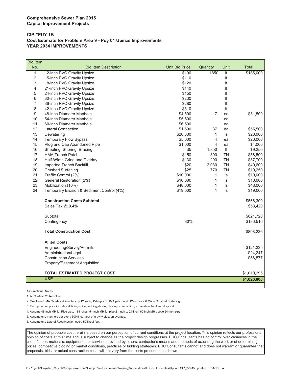#### **CIP #PUY 1B Cost Estimate for Problem Area 9 - Puy 01 Upsize Improvements YEAR 2034 IMPROVEMENTS**

| <b>Bid Item</b> |                                           |                       |                |           |              |
|-----------------|-------------------------------------------|-----------------------|----------------|-----------|--------------|
| No.             | <b>Bid Item Description</b>               | <b>Unit Bid Price</b> | Quantity       | Unit      | <b>Total</b> |
| $\mathbf{1}$    | 12-inch PVC Gravity Upsize                | \$100                 | 1850           | If        | \$185,000    |
| 2               | 15-inch PVC Gravity Upsize                | \$110                 |                | lf        |              |
| 3               | 18-inch PVC Gravity Upsize                | \$120                 |                | If        |              |
| 4               | 21-inch PVC Gravity Upsize                | \$140                 |                | If        |              |
| 5               | 24-inch PVC Gravity Upsize                | \$150                 |                | If        |              |
| 6               | 30-inch PVC Gravity Upsize                | \$230                 |                | If        |              |
| 7               | 36-inch PVC Gravity Upsize                | \$280                 |                | If        |              |
| 8               | 42-inch PVC Gravity Upsize                | \$310                 |                | If        |              |
| 9               | 48-inch Diameter Manhole                  | \$4,500               | $\overline{7}$ | ea        | \$31,500     |
| 10              | 54-inch Diameter Manhole                  | \$5,500               |                | ea        |              |
| 11              | 60-inch Diameter Manhole                  | \$6,500               |                | ea        |              |
| 12              | <b>Lateral Connection</b>                 | \$1,500               | 37             | ea        | \$55,500     |
| 13              | Dewatering                                | \$20,000              | $\mathbf{1}$   | ls        | \$20,000     |
| 14              | <b>Temporary Flow Bypass</b>              | \$5,000               | $\overline{4}$ | ea        | \$20,000     |
| 15              | Plug and Cap Abandoned Pipe               | \$1,000               | 4              | ea        | \$4,000      |
| 16              | Sheeting, Shoring, Bracing                | \$5                   | 1,850          | lf        | \$9,250      |
| 17              | <b>HMA Trench Patch</b>                   | \$150                 | 390            | <b>TN</b> | \$58,500     |
| 18              | Half-Width Grind and Overlay              | \$130                 | 290            | <b>TN</b> | \$37,700     |
| 19              | Imported Trench Backfill                  | \$20                  | 2,030          | <b>TN</b> | \$40,600     |
| 20              | <b>Crushed Surfacing</b>                  | \$25                  | 770            | <b>TN</b> | \$19,250     |
| 21              | Traffic Control (2%)                      | \$10,000              | $\mathbf{1}$   | ls        | \$10,000     |
| 22              | General Restoration (2%)                  | \$10,000              | $\mathbf{1}$   | ls.       | \$10,000     |
| 23              | Mobilization (10%)                        | \$48,000              | $\mathbf{1}$   | ls        | \$48,000     |
| 24              | Temporary Erosion & Sediment Control (4%) | \$19,000              | $\mathbf{1}$   | ls        | \$19,000     |
|                 | <b>Construction Costs Subtotal</b>        |                       |                |           | \$568,300    |
|                 | Sales Tax @ 9.4%                          |                       |                |           | \$53,420     |
|                 | Subtotal                                  |                       |                |           | \$621,720    |
|                 | Contingency                               | 30%                   |                |           | \$186,516    |
|                 | <b>Total Construction Cost</b>            |                       |                |           | \$808,236    |
|                 | <b>Allied Costs</b>                       |                       |                |           |              |
|                 | Engineering/Survey/Permits                |                       |                |           | \$121,235    |
|                 | Administration/Legal                      |                       |                |           | \$24,247     |
|                 | <b>Construction Services</b>              |                       |                |           | \$56,577     |
|                 | Property/Easement Acquisition             |                       |                |           |              |
|                 | <b>TOTAL ESTIMATED PROJECT COST</b>       |                       |                |           | \$1,010,295  |
|                 | <b>USE</b>                                |                       |                |           |              |
|                 |                                           |                       |                |           | \$1,020,000  |

Assumptions, Notes

L

1. All Costs in 2014 Dollars

2. One Lane HMA Overlay at 2-inches by 12' wide, 4"deep x 8' HMA patch and 12-inches x 6' Wide Crushed Surfacing.

3. Each pipe unit price includes all fittings,pipe,bedding,shoring, testing, compaction, excavation, haul and disposal

4. Assume 48-inch MH for Pipe up to 18-inches, 54-inch MH for pipe 21-inch to 24-inch, 60-inch MH above 24-inch pipe.

5. Assume one manhole per every 300 linear feet of gravity pipe, on average.

6. Assume one Lateral Reconnection every 50 lineal feet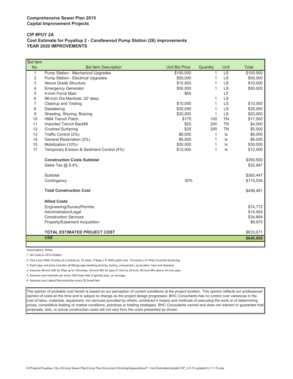#### **CIP #PUY 2A Cost Estimate for Puyallup 2 - Candlewood Pump Station (26) improvements YEAR 2020 IMPROVEMENTS**

| <b>Bid Item</b> |                                           |                       |              |           |              |
|-----------------|-------------------------------------------|-----------------------|--------------|-----------|--------------|
| No.             | <b>Bid Item Description</b>               | <b>Unit Bid Price</b> | Quantity     | Unit      | <b>Total</b> |
| 1               | Pump Station - Mechanical Upgrades        | \$100,000             | $\mathbf{1}$ | <b>LS</b> | \$100,000    |
| 2               | Pump Station - Electrical Upgrades        | \$50,000              | 1            | LS        | \$50,000     |
| 3               | Above Grade Structure                     | \$10,000              | 1            | <b>LS</b> | \$10,000     |
| 4               | <b>Emergency Generator</b>                | \$50,000              | 1            | <b>LS</b> | \$50,000     |
| 5               | 4-inch Force Main                         | \$65                  |              | LF        |              |
| 6               | 96-inch Dia Manhole, 20' deep             |                       | 1            | <b>LS</b> |              |
| 7               | <b>Cleanup and Testing</b>                | \$10,000              | 1            | <b>LS</b> | \$10,000     |
| 8               | Dewatering                                | \$30,000              | 1            | <b>LS</b> | \$30,000     |
| 9               | Sheeting, Shoring, Bracing                | \$20,000              | $\mathbf{1}$ | <b>LS</b> | \$20,000     |
| 10              | <b>HMA Trench Patch</b>                   | \$175                 | 100          | <b>TN</b> | \$17,500     |
| 11              | Imported Trench Backfill                  | \$20                  | 200          | <b>TN</b> | \$4,000      |
| 12              | <b>Crushed Surfacing</b>                  | \$25                  | 200          | <b>TN</b> | \$5,000      |
| 13              | Traffic Control (2%)                      | \$6,000               | 1            | ls        | \$6,000      |
| 14              | General Restoration (2%)                  | \$6,000               | 1            | $\sf ls$  | \$6,000      |
| 15              | Mobilization (10%)                        | \$30,000              | 1            | $\sf ls$  | \$30,000     |
| 17              | Temporary Erosion & Sediment Control (4%) | \$12,000              | 1            | $\sf ls$  | \$12,000     |
|                 | <b>Construction Costs Subtotal</b>        |                       |              |           | \$350,500    |
|                 | Sales Tax @ 9.4%                          |                       |              |           | \$32,947     |
|                 | Subtotal                                  |                       |              |           | \$383,447    |
|                 | Contingency                               | 30%                   |              |           | \$115,034    |
|                 | <b>Total Construction Cost</b>            |                       |              |           | \$498,481    |
|                 | <b>Allied Costs</b>                       |                       |              |           |              |
|                 | Engineering/Survey/Permits                |                       |              |           | \$74,772     |
|                 | Administration/Legal                      |                       |              |           | \$14,954     |
|                 | <b>Construction Services</b>              |                       |              |           | \$34,894     |
|                 | Property/Easement Acquisition             |                       |              |           | \$9,970      |
|                 | <b>TOTAL ESTIMATED PROJECT COST</b>       |                       |              |           | \$633,071    |
|                 | <b>USE</b>                                |                       |              |           | \$640,000    |
|                 |                                           |                       |              |           |              |

Assumptions, Notes

1. All Costs in 2014 Dollars

2. One Lane HMA Overlay at 2-inches by 12' wide, 4"deep x 8' HMA patch and 12-inches x 6' Wide Crushed Surfacing.

3. Each pipe unit price includes all fittings,pipe,bedding,shoring, testing, compaction, excavation, haul and disposal

4. Assume 48-inch MH for Pipe up to 18-inches, 54-inch MH for pipe 21-inch to 24-inch, 60-inch MH above 24-inch pipe.

5. Assume one manhole per every 300 linear feet of gravity pipe, on average.

6. Assume one Lateral Reconnection every 50 lineal feet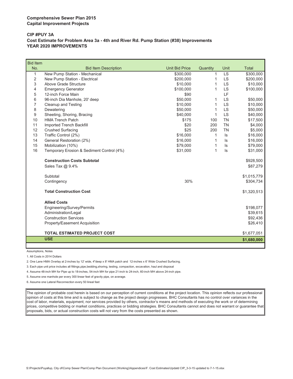#### **CIP #PUY 3A Cost Estimate for Problem Area 3a - 4th and River Rd. Pump Station (#38) Improvements YEAR 2020 IMPROVEMENTS**

| <b>Bid Item</b> |                                           |                       |          |           |              |
|-----------------|-------------------------------------------|-----------------------|----------|-----------|--------------|
| No.             | <b>Bid Item Description</b>               | <b>Unit Bid Price</b> | Quantity | Unit      | <b>Total</b> |
| 1               | New Pump Station - Mechanical             | \$300,000             | 1        | LS        | \$300,000    |
| 2               | New Pump Station - Electrical             | \$200,000             | 1        | <b>LS</b> | \$200,000    |
| 3               | Above Grade Structure                     | \$10,000              | 1        | LS        | \$10,000     |
| 4               | <b>Emergency Generator</b>                | \$100,000             | 1        | LS        | \$100,000    |
| 5               | 12-inch Force Main                        | \$90                  |          | LF        |              |
| 6               | 96-inch Dia Manhole, 20' deep             | \$50,000              | 1        | LS        | \$50,000     |
| 7               | Cleanup and Testing                       | \$10,000              | 1        | <b>LS</b> | \$10,000     |
| 8               | Dewatering                                | \$50,000              | 1        | LS        | \$50,000     |
| 9               | Sheeting, Shoring, Bracing                | \$40,000              | 1        | <b>LS</b> | \$40,000     |
| 10              | <b>HMA Trench Patch</b>                   | \$175                 | 100      | <b>TN</b> | \$17,500     |
| 11              | Imported Trench Backfill                  | \$20                  | 200      | <b>TN</b> | \$4,000      |
| 12              | <b>Crushed Surfacing</b>                  | \$25                  | 200      | <b>TN</b> | \$5,000      |
| 13              | Traffic Control (2%)                      | \$16,000              | 1        | $\sf ls$  | \$16,000     |
| 14              | General Restoration (2%)                  | \$16,000              | 1        | ls        | \$16,000     |
| 15              | Mobilization (10%)                        | \$79,000              | 1        | ls        | \$79,000     |
| 16              | Temporary Erosion & Sediment Control (4%) | \$31,000              | 1        | ls        | \$31,000     |
|                 | <b>Construction Costs Subtotal</b>        |                       |          |           | \$928,500    |
|                 | Sales Tax @ 9.4%                          |                       |          |           | \$87,279     |
|                 | Subtotal                                  |                       |          |           | \$1,015,779  |
|                 | Contingency                               | 30%                   |          |           | \$304,734    |
|                 | <b>Total Construction Cost</b>            |                       |          |           | \$1,320,513  |
|                 | <b>Allied Costs</b>                       |                       |          |           |              |
|                 | Engineering/Survey/Permits                |                       |          |           | \$198,077    |
|                 | Administration/Legal                      |                       |          |           | \$39,615     |
|                 | <b>Construction Services</b>              |                       |          |           | \$92,436     |
|                 | Property/Easement Acquisition             |                       |          |           | \$26,410     |
|                 | <b>TOTAL ESTIMATED PROJECT COST</b>       |                       |          |           | \$1,677,051  |
|                 | <b>USE</b>                                |                       |          |           | \$1,680,000  |

Assumptions, Notes

1. All Costs in 2014 Dollars

2. One Lane HMA Overlay at 2-inches by 12' wide, 4"deep x 8' HMA patch and 12-inches x 6' Wide Crushed Surfacing.

3. Each pipe unit price includes all fittings,pipe,bedding,shoring, testing, compaction, excavation, haul and disposal

4. Assume 48-inch MH for Pipe up to 18-inches, 54-inch MH for pipe 21-inch to 24-inch, 60-inch MH above 24-inch pipe.

5. Assume one manhole per every 300 linear feet of gravity pipe, on average.

6. Assume one Lateral Reconnection every 50 lineal feet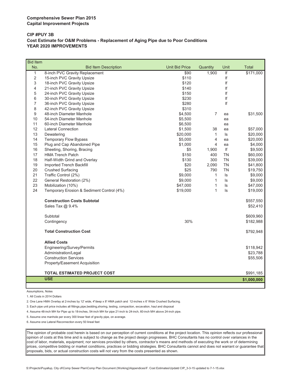#### **CIP #PUY 3B Cost Estimate for O&M Problems - Replacement of Aging Pipe due to Poor Conditions YEAR 2020 IMPROVEMENTS**

| <b>Bid Item</b> |                                           |                       |                |           |              |
|-----------------|-------------------------------------------|-----------------------|----------------|-----------|--------------|
| No.             | <b>Bid Item Description</b>               | <b>Unit Bid Price</b> | Quantity       | Unit      | <b>Total</b> |
| $\mathbf{1}$    | 8-inch PVC Gravity Replacement            | \$90                  | 1,900          | If        | \$171,000    |
| $\overline{2}$  | 15-inch PVC Gravity Upsize                | \$110                 |                | lf        |              |
| 3               | 18-inch PVC Gravity Upsize                | \$120                 |                | If        |              |
| 4               | 21-inch PVC Gravity Upsize                | \$140                 |                | If        |              |
| 5               | 24-inch PVC Gravity Upsize                | \$150                 |                | If        |              |
| 6               | 30-inch PVC Gravity Upsize                | \$230                 |                | lf        |              |
| $\overline{7}$  | 36-inch PVC Gravity Upsize                | \$280                 |                | If        |              |
| 8               | 42-inch PVC Gravity Upsize                | \$310                 |                |           |              |
| 9               | 48-inch Diameter Manhole                  | \$4,500               | $\overline{7}$ | ea        | \$31,500     |
| 10              | 54-inch Diameter Manhole                  | \$5,500               |                | ea        |              |
| 11              | 60-inch Diameter Manhole                  | \$6,500               |                | ea        |              |
| 12              | <b>Lateral Connection</b>                 | \$1,500               | 38             | ea        | \$57,000     |
| 13              | Dewatering                                | \$20,000              | $\mathbf{1}$   | ls        | \$20,000     |
| 14              | Temporary Flow Bypass                     | \$5,000               | 4              | ea        | \$20,000     |
| 15              | Plug and Cap Abandoned Pipe               | \$1,000               | 4              | ea        | \$4,000      |
| 16              | Sheeting, Shoring, Bracing                | \$5                   | 1,900          | lf        | \$9,500      |
| 17              | <b>HMA Trench Patch</b>                   | \$150                 | 400            | <b>TN</b> | \$60,000     |
| 18              | Half-Width Grind and Overlay              | \$130                 | 300            | <b>TN</b> | \$39,000     |
| 19              | Imported Trench Backfill                  | \$20                  | 2,090          | <b>TN</b> | \$41,800     |
| 20              | <b>Crushed Surfacing</b>                  | \$25                  | 790            | <b>TN</b> | \$19,750     |
| 21              | Traffic Control (2%)                      | \$9,000               | $\mathbf{1}$   | ls        | \$9,000      |
| 22              | General Restoration (2%)                  | \$9,000               | 1              | ls        | \$9,000      |
| 23              | Mobilization (10%)                        | \$47,000              | 1              | ls        | \$47,000     |
| 24              | Temporary Erosion & Sediment Control (4%) | \$19,000              | $\mathbf{1}$   | Is        | \$19,000     |
|                 | <b>Construction Costs Subtotal</b>        |                       |                |           | \$557,550    |
|                 | Sales Tax @ 9.4%                          |                       |                |           | \$52,410     |
|                 | Subtotal                                  |                       |                |           | \$609,960    |
|                 | Contingency                               | 30%                   |                |           | \$182,988    |
|                 | <b>Total Construction Cost</b>            |                       |                |           | \$792,948    |
|                 | <b>Allied Costs</b>                       |                       |                |           |              |
|                 | Engineering/Survey/Permits                |                       |                |           | \$118,942    |
|                 | Administration/Legal                      |                       |                |           | \$23,788     |
|                 | <b>Construction Services</b>              |                       |                |           | \$55,506     |
|                 | Property/Easement Acquisition             |                       |                |           |              |
|                 |                                           |                       |                |           |              |
|                 | TOTAL ESTIMATED PROJECT COST              |                       |                |           | \$991,185    |
|                 | <b>USE</b>                                |                       |                |           | \$1,000,000  |

Assumptions, Notes

1. All Costs in 2014 Dollars

2. One Lane HMA Overlay at 2-inches by 12' wide, 4"deep x 8' HMA patch and 12-inches x 6' Wide Crushed Surfacing.

3. Each pipe unit price includes all fittings,pipe,bedding,shoring, testing, compaction, excavation, haul and disposal

4. Assume 48-inch MH for Pipe up to 18-inches, 54-inch MH for pipe 21-inch to 24-inch, 60-inch MH above 24-inch pipe.

5. Assume one manhole per every 300 linear feet of gravity pipe, on average.

6. Assume one Lateral Reconnection every 50 lineal feet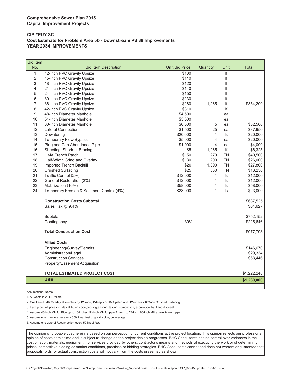#### **CIP #PUY 3C Cost Estimate for Problem Area 5b - Downstream PS 38 Improvements YEAR 2034 IMPROVEMENTS**

| <b>Bid Item</b> |                                           |                       |              |           |              |
|-----------------|-------------------------------------------|-----------------------|--------------|-----------|--------------|
| No.             | <b>Bid Item Description</b>               | <b>Unit Bid Price</b> | Quantity     | Unit      | <b>Total</b> |
| $\mathbf{1}$    | 12-inch PVC Gravity Upsize                | \$100                 |              | f         |              |
| $\overline{2}$  | 15-inch PVC Gravity Upsize                | \$110                 |              | lf        |              |
| 3               | 18-inch PVC Gravity Upsize                | \$120                 |              | If        |              |
| 4               | 21-inch PVC Gravity Upsize                | \$140                 |              | lf        |              |
| 5               | 24-inch PVC Gravity Upsize                | \$150                 |              | lf        |              |
| 6               | 30-inch PVC Gravity Upsize                | \$230                 |              | If        |              |
| $\overline{7}$  | 36-inch PVC Gravity Upsize                | \$280                 | 1,265        | If        | \$354,200    |
| 8               | 42-inch PVC Gravity Upsize                | \$310                 |              | lf        |              |
| 9               | 48-inch Diameter Manhole                  | \$4,500               |              | ea        |              |
| 10              | 54-inch Diameter Manhole                  | \$5,500               |              | ea        |              |
| 11              | 60-inch Diameter Manhole                  | \$6,500               | 5            | ea        | \$32,500     |
| 12              | <b>Lateral Connection</b>                 | \$1,500               | 25           | ea        | \$37,950     |
| 13              | Dewatering                                | \$20,000              | $\mathbf{1}$ | ls        | \$20,000     |
| 14              | Temporary Flow Bypass                     | \$5,000               | 4            | ea        | \$20,000     |
| 15              | Plug and Cap Abandoned Pipe               | \$1,000               | 4            | ea        | \$4,000      |
| 16              | Sheeting, Shoring, Bracing                | \$5                   | 1,265        | lf        | \$6,325      |
| 17              | <b>HMA Trench Patch</b>                   | \$150                 | 270          | <b>TN</b> | \$40,500     |
| 18              | Half-Width Grind and Overlay              | \$130                 | 200          | <b>TN</b> | \$26,000     |
| 19              | Imported Trench Backfill                  | \$20                  | 1,390        | <b>TN</b> | \$27,800     |
| 20              | <b>Crushed Surfacing</b>                  | \$25                  | 530          | <b>TN</b> | \$13,250     |
| 21              | Traffic Control (2%)                      | \$12,000              | $\mathbf{1}$ | ls        | \$12,000     |
| 22              | General Restoration (2%)                  | \$12,000              | 1            | ls        | \$12,000     |
| 23              | Mobilization (10%)                        | \$58,000              | $\mathbf{1}$ | ls.       | \$58,000     |
| 24              | Temporary Erosion & Sediment Control (4%) | \$23,000              | 1            | ls        | \$23,000     |
|                 | <b>Construction Costs Subtotal</b>        |                       |              |           | \$687,525    |
|                 | Sales Tax @ 9.4%                          |                       |              |           | \$64,627     |
|                 | Subtotal                                  |                       |              |           | \$752,152    |
|                 | Contingency                               | 30%                   |              |           | \$225,646    |
|                 | <b>Total Construction Cost</b>            |                       |              |           | \$977,798    |
|                 | <b>Allied Costs</b>                       |                       |              |           |              |
|                 | Engineering/Survey/Permits                |                       |              |           | \$146,670    |
|                 | Administration/Legal                      |                       |              |           | \$29,334     |
|                 | <b>Construction Services</b>              |                       |              |           | \$68,446     |
|                 | Property/Easement Acquisition             |                       |              |           |              |
|                 | TOTAL ESTIMATED PROJECT COST              |                       |              |           | \$1,222,248  |
|                 | <b>USE</b>                                |                       |              |           | \$1,230,000  |
|                 |                                           |                       |              |           |              |

Assumptions, Notes

1. All Costs in 2014 Dollars

2. One Lane HMA Overlay at 2-inches by 12' wide, 4"deep x 8' HMA patch and 12-inches x 6' Wide Crushed Surfacing.

3. Each pipe unit price includes all fittings,pipe,bedding,shoring, testing, compaction, excavation, haul and disposal

4. Assume 48-inch MH for Pipe up to 18-inches, 54-inch MH for pipe 21-inch to 24-inch, 60-inch MH above 24-inch pipe.

5. Assume one manhole per every 300 linear feet of gravity pipe, on average.

6. Assume one Lateral Reconnection every 50 lineal feet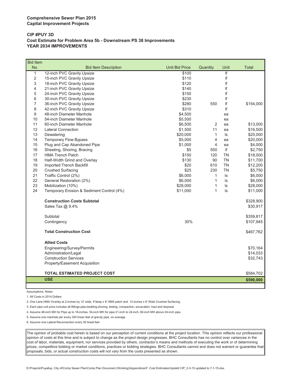#### **CIP #PUY 3D Cost Estimate for Problem Area 5b - Downstream PS 38 Improvements YEAR 2034 IMPROVEMENTS**

| No.<br><b>Bid Item Description</b><br><b>Unit Bid Price</b><br>Quantity<br>Unit<br>Total<br>$\mathbf{1}$<br>If<br>12-inch PVC Gravity Upsize<br>\$100<br>lf<br>$\overline{2}$<br>15-inch PVC Gravity Upsize<br>\$110<br>3<br>If<br>18-inch PVC Gravity Upsize<br>\$120<br>lf<br>4<br>21-inch PVC Gravity Upsize<br>\$140<br>If<br>5<br>24-inch PVC Gravity Upsize<br>\$150<br>If<br>6<br>30-inch PVC Gravity Upsize<br>\$230<br>36-inch PVC Gravity Upsize<br>\$280<br>lf<br>7<br>550<br>\$154,000<br>8<br>42-inch PVC Gravity Upsize<br>\$310<br>lf<br>9<br>48-inch Diameter Manhole<br>\$4,500<br>ea<br>10<br>54-inch Diameter Manhole<br>\$5,500<br>ea<br>11<br>2<br>60-inch Diameter Manhole<br>\$6,500<br>\$13,000<br>ea<br>12<br><b>Lateral Connection</b><br>\$1,500<br>11<br>\$16,500<br>ea<br>13<br>Dewatering<br>\$20,000<br>$\mathbf{1}$<br>ls<br>\$20,000<br>4<br>14<br><b>Temporary Flow Bypass</b><br>\$5,000<br>\$20,000<br>ea<br>15<br>Plug and Cap Abandoned Pipe<br>\$1,000<br>$\overline{4}$<br>\$4,000<br>ea<br>Sheeting, Shoring, Bracing<br>lf<br>16<br>\$5<br>550<br>\$2,750<br>17<br><b>HMA Trench Patch</b><br>\$150<br><b>TN</b><br>\$18,000<br>120<br>18<br>\$130<br><b>TN</b><br>Half-Width Grind and Overlay<br>90<br>\$11,700<br><b>TN</b><br>19<br>Imported Trench Backfill<br>\$20<br>610<br>\$12,200<br>20<br><b>Crushed Surfacing</b><br>\$25<br>230<br><b>TN</b><br>\$5,750<br>21<br>Traffic Control (2%)<br>\$6,000<br>\$6,000<br>$\mathbf{1}$<br>ls<br>22<br>General Restoration (2%)<br>\$6,000<br>$\mathbf{1}$<br>ls.<br>\$6,000<br>23<br>1<br>Mobilization (10%)<br>\$28,000<br>ls<br>\$28,000<br>24<br>$\mathbf{1}$<br>Temporary Erosion & Sediment Control (4%)<br>ls<br>\$11,000<br>\$11,000<br>\$328,900<br><b>Construction Costs Subtotal</b><br>Sales Tax @ 9.4%<br>\$30,917<br>Subtotal<br>\$359,817<br>30%<br>\$107,945<br>Contingency<br><b>Total Construction Cost</b><br>\$467,762<br><b>Allied Costs</b><br>Engineering/Survey/Permits<br>\$70,164<br>Administration/Legal<br>\$14,033<br><b>Construction Services</b><br>\$32,743<br>Property/Easement Acquisition<br>TOTAL ESTIMATED PROJECT COST<br>\$584,702<br><b>USE</b><br>\$590,000 | <b>Bid Item</b> |  |  |  |
|-------------------------------------------------------------------------------------------------------------------------------------------------------------------------------------------------------------------------------------------------------------------------------------------------------------------------------------------------------------------------------------------------------------------------------------------------------------------------------------------------------------------------------------------------------------------------------------------------------------------------------------------------------------------------------------------------------------------------------------------------------------------------------------------------------------------------------------------------------------------------------------------------------------------------------------------------------------------------------------------------------------------------------------------------------------------------------------------------------------------------------------------------------------------------------------------------------------------------------------------------------------------------------------------------------------------------------------------------------------------------------------------------------------------------------------------------------------------------------------------------------------------------------------------------------------------------------------------------------------------------------------------------------------------------------------------------------------------------------------------------------------------------------------------------------------------------------------------------------------------------------------------------------------------------------------------------------------------------------------------------------------------------------------------------------------------------------------------------------------------------------------------------------------------------------------------------|-----------------|--|--|--|
|                                                                                                                                                                                                                                                                                                                                                                                                                                                                                                                                                                                                                                                                                                                                                                                                                                                                                                                                                                                                                                                                                                                                                                                                                                                                                                                                                                                                                                                                                                                                                                                                                                                                                                                                                                                                                                                                                                                                                                                                                                                                                                                                                                                                 |                 |  |  |  |
|                                                                                                                                                                                                                                                                                                                                                                                                                                                                                                                                                                                                                                                                                                                                                                                                                                                                                                                                                                                                                                                                                                                                                                                                                                                                                                                                                                                                                                                                                                                                                                                                                                                                                                                                                                                                                                                                                                                                                                                                                                                                                                                                                                                                 |                 |  |  |  |
|                                                                                                                                                                                                                                                                                                                                                                                                                                                                                                                                                                                                                                                                                                                                                                                                                                                                                                                                                                                                                                                                                                                                                                                                                                                                                                                                                                                                                                                                                                                                                                                                                                                                                                                                                                                                                                                                                                                                                                                                                                                                                                                                                                                                 |                 |  |  |  |
|                                                                                                                                                                                                                                                                                                                                                                                                                                                                                                                                                                                                                                                                                                                                                                                                                                                                                                                                                                                                                                                                                                                                                                                                                                                                                                                                                                                                                                                                                                                                                                                                                                                                                                                                                                                                                                                                                                                                                                                                                                                                                                                                                                                                 |                 |  |  |  |
|                                                                                                                                                                                                                                                                                                                                                                                                                                                                                                                                                                                                                                                                                                                                                                                                                                                                                                                                                                                                                                                                                                                                                                                                                                                                                                                                                                                                                                                                                                                                                                                                                                                                                                                                                                                                                                                                                                                                                                                                                                                                                                                                                                                                 |                 |  |  |  |
|                                                                                                                                                                                                                                                                                                                                                                                                                                                                                                                                                                                                                                                                                                                                                                                                                                                                                                                                                                                                                                                                                                                                                                                                                                                                                                                                                                                                                                                                                                                                                                                                                                                                                                                                                                                                                                                                                                                                                                                                                                                                                                                                                                                                 |                 |  |  |  |
|                                                                                                                                                                                                                                                                                                                                                                                                                                                                                                                                                                                                                                                                                                                                                                                                                                                                                                                                                                                                                                                                                                                                                                                                                                                                                                                                                                                                                                                                                                                                                                                                                                                                                                                                                                                                                                                                                                                                                                                                                                                                                                                                                                                                 |                 |  |  |  |
|                                                                                                                                                                                                                                                                                                                                                                                                                                                                                                                                                                                                                                                                                                                                                                                                                                                                                                                                                                                                                                                                                                                                                                                                                                                                                                                                                                                                                                                                                                                                                                                                                                                                                                                                                                                                                                                                                                                                                                                                                                                                                                                                                                                                 |                 |  |  |  |
|                                                                                                                                                                                                                                                                                                                                                                                                                                                                                                                                                                                                                                                                                                                                                                                                                                                                                                                                                                                                                                                                                                                                                                                                                                                                                                                                                                                                                                                                                                                                                                                                                                                                                                                                                                                                                                                                                                                                                                                                                                                                                                                                                                                                 |                 |  |  |  |
|                                                                                                                                                                                                                                                                                                                                                                                                                                                                                                                                                                                                                                                                                                                                                                                                                                                                                                                                                                                                                                                                                                                                                                                                                                                                                                                                                                                                                                                                                                                                                                                                                                                                                                                                                                                                                                                                                                                                                                                                                                                                                                                                                                                                 |                 |  |  |  |
|                                                                                                                                                                                                                                                                                                                                                                                                                                                                                                                                                                                                                                                                                                                                                                                                                                                                                                                                                                                                                                                                                                                                                                                                                                                                                                                                                                                                                                                                                                                                                                                                                                                                                                                                                                                                                                                                                                                                                                                                                                                                                                                                                                                                 |                 |  |  |  |
|                                                                                                                                                                                                                                                                                                                                                                                                                                                                                                                                                                                                                                                                                                                                                                                                                                                                                                                                                                                                                                                                                                                                                                                                                                                                                                                                                                                                                                                                                                                                                                                                                                                                                                                                                                                                                                                                                                                                                                                                                                                                                                                                                                                                 |                 |  |  |  |
|                                                                                                                                                                                                                                                                                                                                                                                                                                                                                                                                                                                                                                                                                                                                                                                                                                                                                                                                                                                                                                                                                                                                                                                                                                                                                                                                                                                                                                                                                                                                                                                                                                                                                                                                                                                                                                                                                                                                                                                                                                                                                                                                                                                                 |                 |  |  |  |
|                                                                                                                                                                                                                                                                                                                                                                                                                                                                                                                                                                                                                                                                                                                                                                                                                                                                                                                                                                                                                                                                                                                                                                                                                                                                                                                                                                                                                                                                                                                                                                                                                                                                                                                                                                                                                                                                                                                                                                                                                                                                                                                                                                                                 |                 |  |  |  |
|                                                                                                                                                                                                                                                                                                                                                                                                                                                                                                                                                                                                                                                                                                                                                                                                                                                                                                                                                                                                                                                                                                                                                                                                                                                                                                                                                                                                                                                                                                                                                                                                                                                                                                                                                                                                                                                                                                                                                                                                                                                                                                                                                                                                 |                 |  |  |  |
|                                                                                                                                                                                                                                                                                                                                                                                                                                                                                                                                                                                                                                                                                                                                                                                                                                                                                                                                                                                                                                                                                                                                                                                                                                                                                                                                                                                                                                                                                                                                                                                                                                                                                                                                                                                                                                                                                                                                                                                                                                                                                                                                                                                                 |                 |  |  |  |
|                                                                                                                                                                                                                                                                                                                                                                                                                                                                                                                                                                                                                                                                                                                                                                                                                                                                                                                                                                                                                                                                                                                                                                                                                                                                                                                                                                                                                                                                                                                                                                                                                                                                                                                                                                                                                                                                                                                                                                                                                                                                                                                                                                                                 |                 |  |  |  |
|                                                                                                                                                                                                                                                                                                                                                                                                                                                                                                                                                                                                                                                                                                                                                                                                                                                                                                                                                                                                                                                                                                                                                                                                                                                                                                                                                                                                                                                                                                                                                                                                                                                                                                                                                                                                                                                                                                                                                                                                                                                                                                                                                                                                 |                 |  |  |  |
|                                                                                                                                                                                                                                                                                                                                                                                                                                                                                                                                                                                                                                                                                                                                                                                                                                                                                                                                                                                                                                                                                                                                                                                                                                                                                                                                                                                                                                                                                                                                                                                                                                                                                                                                                                                                                                                                                                                                                                                                                                                                                                                                                                                                 |                 |  |  |  |
|                                                                                                                                                                                                                                                                                                                                                                                                                                                                                                                                                                                                                                                                                                                                                                                                                                                                                                                                                                                                                                                                                                                                                                                                                                                                                                                                                                                                                                                                                                                                                                                                                                                                                                                                                                                                                                                                                                                                                                                                                                                                                                                                                                                                 |                 |  |  |  |
|                                                                                                                                                                                                                                                                                                                                                                                                                                                                                                                                                                                                                                                                                                                                                                                                                                                                                                                                                                                                                                                                                                                                                                                                                                                                                                                                                                                                                                                                                                                                                                                                                                                                                                                                                                                                                                                                                                                                                                                                                                                                                                                                                                                                 |                 |  |  |  |
|                                                                                                                                                                                                                                                                                                                                                                                                                                                                                                                                                                                                                                                                                                                                                                                                                                                                                                                                                                                                                                                                                                                                                                                                                                                                                                                                                                                                                                                                                                                                                                                                                                                                                                                                                                                                                                                                                                                                                                                                                                                                                                                                                                                                 |                 |  |  |  |
|                                                                                                                                                                                                                                                                                                                                                                                                                                                                                                                                                                                                                                                                                                                                                                                                                                                                                                                                                                                                                                                                                                                                                                                                                                                                                                                                                                                                                                                                                                                                                                                                                                                                                                                                                                                                                                                                                                                                                                                                                                                                                                                                                                                                 |                 |  |  |  |
|                                                                                                                                                                                                                                                                                                                                                                                                                                                                                                                                                                                                                                                                                                                                                                                                                                                                                                                                                                                                                                                                                                                                                                                                                                                                                                                                                                                                                                                                                                                                                                                                                                                                                                                                                                                                                                                                                                                                                                                                                                                                                                                                                                                                 |                 |  |  |  |
|                                                                                                                                                                                                                                                                                                                                                                                                                                                                                                                                                                                                                                                                                                                                                                                                                                                                                                                                                                                                                                                                                                                                                                                                                                                                                                                                                                                                                                                                                                                                                                                                                                                                                                                                                                                                                                                                                                                                                                                                                                                                                                                                                                                                 |                 |  |  |  |
|                                                                                                                                                                                                                                                                                                                                                                                                                                                                                                                                                                                                                                                                                                                                                                                                                                                                                                                                                                                                                                                                                                                                                                                                                                                                                                                                                                                                                                                                                                                                                                                                                                                                                                                                                                                                                                                                                                                                                                                                                                                                                                                                                                                                 |                 |  |  |  |
|                                                                                                                                                                                                                                                                                                                                                                                                                                                                                                                                                                                                                                                                                                                                                                                                                                                                                                                                                                                                                                                                                                                                                                                                                                                                                                                                                                                                                                                                                                                                                                                                                                                                                                                                                                                                                                                                                                                                                                                                                                                                                                                                                                                                 |                 |  |  |  |
|                                                                                                                                                                                                                                                                                                                                                                                                                                                                                                                                                                                                                                                                                                                                                                                                                                                                                                                                                                                                                                                                                                                                                                                                                                                                                                                                                                                                                                                                                                                                                                                                                                                                                                                                                                                                                                                                                                                                                                                                                                                                                                                                                                                                 |                 |  |  |  |
|                                                                                                                                                                                                                                                                                                                                                                                                                                                                                                                                                                                                                                                                                                                                                                                                                                                                                                                                                                                                                                                                                                                                                                                                                                                                                                                                                                                                                                                                                                                                                                                                                                                                                                                                                                                                                                                                                                                                                                                                                                                                                                                                                                                                 |                 |  |  |  |
|                                                                                                                                                                                                                                                                                                                                                                                                                                                                                                                                                                                                                                                                                                                                                                                                                                                                                                                                                                                                                                                                                                                                                                                                                                                                                                                                                                                                                                                                                                                                                                                                                                                                                                                                                                                                                                                                                                                                                                                                                                                                                                                                                                                                 |                 |  |  |  |
|                                                                                                                                                                                                                                                                                                                                                                                                                                                                                                                                                                                                                                                                                                                                                                                                                                                                                                                                                                                                                                                                                                                                                                                                                                                                                                                                                                                                                                                                                                                                                                                                                                                                                                                                                                                                                                                                                                                                                                                                                                                                                                                                                                                                 |                 |  |  |  |
|                                                                                                                                                                                                                                                                                                                                                                                                                                                                                                                                                                                                                                                                                                                                                                                                                                                                                                                                                                                                                                                                                                                                                                                                                                                                                                                                                                                                                                                                                                                                                                                                                                                                                                                                                                                                                                                                                                                                                                                                                                                                                                                                                                                                 |                 |  |  |  |
|                                                                                                                                                                                                                                                                                                                                                                                                                                                                                                                                                                                                                                                                                                                                                                                                                                                                                                                                                                                                                                                                                                                                                                                                                                                                                                                                                                                                                                                                                                                                                                                                                                                                                                                                                                                                                                                                                                                                                                                                                                                                                                                                                                                                 |                 |  |  |  |
|                                                                                                                                                                                                                                                                                                                                                                                                                                                                                                                                                                                                                                                                                                                                                                                                                                                                                                                                                                                                                                                                                                                                                                                                                                                                                                                                                                                                                                                                                                                                                                                                                                                                                                                                                                                                                                                                                                                                                                                                                                                                                                                                                                                                 |                 |  |  |  |
|                                                                                                                                                                                                                                                                                                                                                                                                                                                                                                                                                                                                                                                                                                                                                                                                                                                                                                                                                                                                                                                                                                                                                                                                                                                                                                                                                                                                                                                                                                                                                                                                                                                                                                                                                                                                                                                                                                                                                                                                                                                                                                                                                                                                 |                 |  |  |  |
|                                                                                                                                                                                                                                                                                                                                                                                                                                                                                                                                                                                                                                                                                                                                                                                                                                                                                                                                                                                                                                                                                                                                                                                                                                                                                                                                                                                                                                                                                                                                                                                                                                                                                                                                                                                                                                                                                                                                                                                                                                                                                                                                                                                                 |                 |  |  |  |
|                                                                                                                                                                                                                                                                                                                                                                                                                                                                                                                                                                                                                                                                                                                                                                                                                                                                                                                                                                                                                                                                                                                                                                                                                                                                                                                                                                                                                                                                                                                                                                                                                                                                                                                                                                                                                                                                                                                                                                                                                                                                                                                                                                                                 |                 |  |  |  |

Assumptions, Notes

1. All Costs in 2014 Dollars

2. One Lane HMA Overlay at 2-inches by 12' wide, 4"deep x 8' HMA patch and 12-inches x 6' Wide Crushed Surfacing.

3. Each pipe unit price includes all fittings,pipe,bedding,shoring, testing, compaction, excavation, haul and disposal

4. Assume 48-inch MH for Pipe up to 18-inches, 54-inch MH for pipe 21-inch to 24-inch, 60-inch MH above 24-inch pipe.

5. Assume one manhole per every 300 linear feet of gravity pipe, on average.

6. Assume one Lateral Reconnection every 50 lineal feet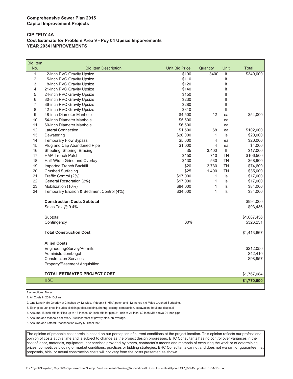#### **CIP #PUY 4A Cost Estimate for Problem Area 9 - Puy 04 Upsize Imporvements YEAR 2034 IMPROVEMENTS**

| <b>Bid Item</b> |                                           |                       |                         |           |                       |
|-----------------|-------------------------------------------|-----------------------|-------------------------|-----------|-----------------------|
| No.             | <b>Bid Item Description</b>               | <b>Unit Bid Price</b> | Quantity                | Unit      | Total                 |
| $\mathbf{1}$    | 12-inch PVC Gravity Upsize                | \$100                 | 3400                    | If        | $\overline{$}340,000$ |
| $\overline{2}$  | 15-inch PVC Gravity Upsize                | \$110                 |                         | lf        |                       |
| 3               | 18-inch PVC Gravity Upsize                | \$120                 |                         | If        |                       |
| 4               | 21-inch PVC Gravity Upsize                | \$140                 |                         | If        |                       |
| 5               | 24-inch PVC Gravity Upsize                | \$150                 |                         | lf        |                       |
| 6               | 30-inch PVC Gravity Upsize                | \$230                 |                         | If        |                       |
| 7               | 36-inch PVC Gravity Upsize                | \$280                 |                         | lf        |                       |
| 8               | 42-inch PVC Gravity Upsize                | \$310                 |                         | If        |                       |
| 9               | 48-inch Diameter Manhole                  | \$4,500               | 12                      | ea        | \$54,000              |
| 10              | 54-inch Diameter Manhole                  | \$5,500               |                         | ea        |                       |
| 11              | 60-inch Diameter Manhole                  | \$6,500               |                         | ea        |                       |
| 12              | <b>Lateral Connection</b>                 | \$1,500               | 68                      | ea        | \$102,000             |
| 13              | Dewatering                                | \$20,000              | $\mathbf{1}$            | ls        | \$20,000              |
| 14              | Temporary Flow Bypass                     | \$5,000               | $\overline{\mathbf{4}}$ | ea        | \$20,000              |
| 15              | Plug and Cap Abandoned Pipe               | \$1,000               | 4                       | ea        | \$4,000               |
| 16              | Sheeting, Shoring, Bracing                | \$5                   | 3,400                   | lf        | \$17,000              |
| 17              | <b>HMA Trench Patch</b>                   | \$150                 | 710                     | <b>TN</b> | \$106,500             |
| 18              | Half-Width Grind and Overlay              | \$130                 | 530                     | <b>TN</b> | \$68,900              |
| 19              | Imported Trench Backfill                  | \$20                  | 3,730                   | <b>TN</b> | \$74,600              |
| 20              | <b>Crushed Surfacing</b>                  | \$25                  | 1,400                   | <b>TN</b> | \$35,000              |
| 21              | Traffic Control (2%)                      | \$17,000              | $\mathbf{1}$            | ls        | \$17,000              |
| 22              | General Restoration (2%)                  | \$17,000              | $\mathbf{1}$            | ls        | \$17,000              |
| 23              | Mobilization (10%)                        | \$84,000              | 1                       | ls        | \$84,000              |
| 24              | Temporary Erosion & Sediment Control (4%) | \$34,000              | 1                       | ls        | \$34,000              |
|                 | <b>Construction Costs Subtotal</b>        |                       |                         |           | \$994,000             |
|                 | Sales Tax @ 9.4%                          |                       |                         |           | \$93,436              |
|                 |                                           |                       |                         |           |                       |
|                 | Subtotal                                  |                       |                         |           | \$1,087,436           |
|                 | Contingency                               | 30%                   |                         |           | \$326,231             |
|                 | <b>Total Construction Cost</b>            |                       |                         |           | \$1,413,667           |
|                 | <b>Allied Costs</b>                       |                       |                         |           |                       |
|                 | Engineering/Survey/Permits                |                       |                         |           | \$212,050             |
|                 | Administration/Legal                      |                       |                         |           | \$42,410              |
|                 | <b>Construction Services</b>              |                       |                         |           | \$98,957              |
|                 | Property/Easement Acquisition             |                       |                         |           |                       |
|                 | <b>TOTAL ESTIMATED PROJECT COST</b>       |                       |                         |           | \$1,767,084           |
|                 | <b>USE</b>                                |                       |                         |           |                       |
|                 |                                           |                       |                         |           | \$1,770,000           |

Assumptions, Notes

1. All Costs in 2014 Dollars

2. One Lane HMA Overlay at 2-inches by 12' wide, 4"deep x 8' HMA patch and 12-inches x 6' Wide Crushed Surfacing.

3. Each pipe unit price includes all fittings,pipe,bedding,shoring, testing, compaction, excavation, haul and disposal

4. Assume 48-inch MH for Pipe up to 18-inches, 54-inch MH for pipe 21-inch to 24-inch, 60-inch MH above 24-inch pipe.

5. Assume one manhole per every 300 linear feet of gravity pipe, on average.

6. Assume one Lateral Reconnection every 50 lineal feet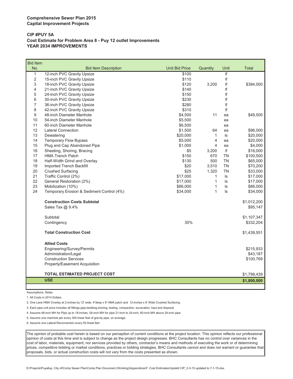#### **CIP #PUY 5A Cost Estimate for Problem Area 8 - Puy 12 outlet Improvements YEAR 2034 IMPROVEMENTS**

| <b>Bid Item</b> |                                           |                       |              |                         |              |
|-----------------|-------------------------------------------|-----------------------|--------------|-------------------------|--------------|
| No.             | <b>Bid Item Description</b>               | <b>Unit Bid Price</b> | Quantity     | Unit                    | <b>Total</b> |
| $\mathbf{1}$    | 12-inch PVC Gravity Upsize                | \$100                 |              | $\overline{\mathbf{f}}$ |              |
| 2               | 15-inch PVC Gravity Upsize                | \$110                 |              | If                      |              |
| 3               | 18-inch PVC Gravity Upsize                | \$120                 | 3,200        | If                      | \$384,000    |
| 4               | 21-inch PVC Gravity Upsize                | \$140                 |              | If                      |              |
| 5               | 24-inch PVC Gravity Upsize                | \$150                 |              | If                      |              |
| 6               | 30-inch PVC Gravity Upsize                | \$230                 |              | If                      |              |
| $\overline{7}$  | 36-inch PVC Gravity Upsize                | \$280                 |              | If                      |              |
| 8               | 42-inch PVC Gravity Upsize                | \$310                 |              | If                      |              |
| 9               | 48-inch Diameter Manhole                  | \$4,500               | 11           | ea                      | \$49,500     |
| 10              | 54-inch Diameter Manhole                  | \$5,500               |              | ea                      |              |
| 11              | 60-inch Diameter Manhole                  | \$6,500               |              | ea                      |              |
| 12              | <b>Lateral Connection</b>                 | \$1,500               | 64           | ea                      | \$96,000     |
| 13              | Dewatering                                | \$20,000              | $\mathbf{1}$ | ls                      | \$20,000     |
| 14              | <b>Temporary Flow Bypass</b>              | \$5,000               | 4            | ea                      | \$20,000     |
| 15              | Plug and Cap Abandoned Pipe               | \$1,000               | 4            | ea                      | \$4,000      |
| 16              | Sheeting, Shoring, Bracing                | \$5                   | 3,200        | If                      | \$16,000     |
| 17              | <b>HMA Trench Patch</b>                   | \$150                 | 670          | <b>TN</b>               | \$100,500    |
| 18              | Half-Width Grind and Overlay              | \$130                 | 500          | <b>TN</b>               | \$65,000     |
| 19              | Imported Trench Backfill                  | \$20                  | 3,510        | <b>TN</b>               | \$70,200     |
| 20              | <b>Crushed Surfacing</b>                  | \$25                  | 1,320        | <b>TN</b>               | \$33,000     |
| 21              | Traffic Control (2%)                      | \$17,000              | 1            | ls                      | \$17,000     |
| 22              | General Restoration (2%)                  | \$17,000              | $\mathbf{1}$ | $\sf ls$                | \$17,000     |
| 23              | Mobilization (10%)                        | \$86,000              | 1            | ls                      | \$86,000     |
| 24              | Temporary Erosion & Sediment Control (4%) | \$34,000              | 1            | ls                      | \$34,000     |
|                 | <b>Construction Costs Subtotal</b>        |                       |              |                         | \$1,012,200  |
|                 | Sales Tax @ 9.4%                          |                       |              |                         | \$95,147     |
|                 | Subtotal                                  |                       |              |                         | \$1,107,347  |
|                 | Contingency                               | 30%                   |              |                         | \$332,204    |
|                 | <b>Total Construction Cost</b>            |                       |              |                         | \$1,439,551  |
|                 | <b>Allied Costs</b>                       |                       |              |                         |              |
|                 | Engineering/Survey/Permits                |                       |              |                         | \$215,933    |
|                 | Administration/Legal                      |                       |              |                         | \$43,187     |
|                 | <b>Construction Services</b>              |                       |              |                         | \$100,769    |
|                 | Property/Easement Acquisition             |                       |              |                         |              |
|                 | <b>TOTAL ESTIMATED PROJECT COST</b>       |                       |              |                         | \$1,799,439  |
|                 |                                           |                       |              |                         |              |
|                 | <b>USE</b>                                |                       |              |                         | \$1,800,000  |

Assumptions, Notes

1. All Costs in 2014 Dollars

2. One Lane HMA Overlay at 2-inches by 12' wide, 4"deep x 8' HMA patch and 12-inches x 6' Wide Crushed Surfacing.

3. Each pipe unit price includes all fittings,pipe,bedding,shoring, testing, compaction, excavation, haul and disposal

4. Assume 48-inch MH for Pipe up to 18-inches, 54-inch MH for pipe 21-inch to 24-inch, 60-inch MH above 24-inch pipe.

5. Assume one manhole per every 300 linear feet of gravity pipe, on average.

6. Assume one Lateral Reconnection every 50 lineal feet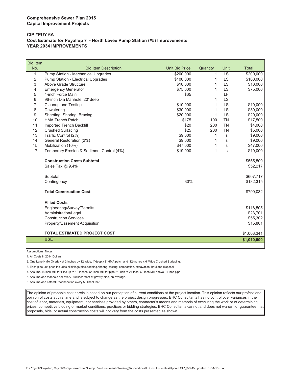#### **Comprehensive Sewer Plan 2015 Capital Improvement Projects**

#### **CIP #PUY 6A Cost Estimate for Puyallup 7 - North Levee Pump Station (#5) Improvements YEAR 2034 IMPROVEMENTS**

| <b>Bid Item</b> |                                           |                       |              |           |              |
|-----------------|-------------------------------------------|-----------------------|--------------|-----------|--------------|
| No.             | <b>Bid Item Description</b>               | <b>Unit Bid Price</b> | Quantity     | Unit      | <b>Total</b> |
| 1               | Pump Station - Mechanical Upgrades        | \$200,000             | 1            | LS        | \$200,000    |
| 2               | Pump Station - Electrical Upgrades        | \$100,000             | 1            | <b>LS</b> | \$100,000    |
| 3               | Above Grade Structure                     | \$10,000              | 1            | LS        | \$10,000     |
| 4               | <b>Emergency Generator</b>                | \$75,000              | 1            | <b>LS</b> | \$75,000     |
| 5               | 4-inch Force Main                         | \$65                  |              | LF        |              |
| 6               | 96-inch Dia Manhole, 20' deep             |                       | 1            | <b>LS</b> |              |
| 7               | Cleanup and Testing                       | \$10,000              | 1            | LS        | \$10,000     |
| 8               | Dewatering                                | \$30,000              | 1            | <b>LS</b> | \$30,000     |
| 9               | Sheeting, Shoring, Bracing                | \$20,000              | 1            | LS        | \$20,000     |
| 10              | <b>HMA Trench Patch</b>                   | \$175                 | 100          | <b>TN</b> | \$17,500     |
| 11              | Imported Trench Backfill                  | \$20                  | 200          | <b>TN</b> | \$4,000      |
| 12              | <b>Crushed Surfacing</b>                  | \$25                  | 200          | <b>TN</b> | \$5,000      |
| 13              | Traffic Control (2%)                      | \$9,000               | $\mathbf{1}$ | $\sf ls$  | \$9,000      |
| 14              | General Restoration (2%)                  | \$9,000               | 1            | ls        | \$9,000      |
| 15              | Mobilization (10%)                        | \$47,000              | 1            | ls        | \$47,000     |
| 17              | Temporary Erosion & Sediment Control (4%) | \$19,000              | 1            | $\sf ls$  | \$19,000     |
|                 | <b>Construction Costs Subtotal</b>        |                       |              |           | \$555,500    |
|                 | Sales Tax @ 9.4%                          |                       |              |           | \$52,217     |
|                 | Subtotal                                  |                       |              |           | \$607,717    |
|                 | Contingency                               | 30%                   |              |           | \$182,315    |
|                 | <b>Total Construction Cost</b>            |                       |              |           | \$790,032    |
|                 |                                           |                       |              |           |              |
|                 | <b>Allied Costs</b>                       |                       |              |           |              |
|                 | Engineering/Survey/Permits                |                       |              |           | \$118,505    |
|                 | Administration/Legal                      |                       |              |           | \$23,701     |
|                 | <b>Construction Services</b>              |                       |              |           | \$55,302     |
|                 | Property/Easement Acquisition             |                       |              |           | \$15,801     |
|                 |                                           |                       |              |           |              |
|                 | <b>TOTAL ESTIMATED PROJECT COST</b>       |                       |              |           | \$1,003,341  |
|                 | <b>USE</b>                                |                       |              |           | \$1,010,000  |

Assumptions, Notes

1. All Costs in 2014 Dollars

2. One Lane HMA Overlay at 2-inches by 12' wide, 4"deep x 8' HMA patch and 12-inches x 6' Wide Crushed Surfacing.

3. Each pipe unit price includes all fittings,pipe,bedding,shoring, testing, compaction, excavation, haul and disposal

4. Assume 48-inch MH for Pipe up to 18-inches, 54-inch MH for pipe 21-inch to 24-inch, 60-inch MH above 24-inch pipe.

5. Assume one manhole per every 300 linear feet of gravity pipe, on average.

6. Assume one Lateral Reconnection every 50 lineal feet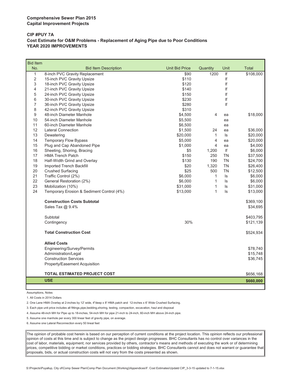#### **CIP #PUY 7A Cost Estimate for O&M Problems - Replacement of Aging Pipe due to Poor Conditions YEAR 2020 IMPROVEMENTS**

| No.<br><b>Unit Bid Price</b><br>Quantity<br>Unit<br>Total<br><b>Bid Item Description</b><br>$\overline{\mathbf{f}}$<br>$\mathbf{1}$<br>8-inch PVC Gravity Replacement<br>\$90<br>1200<br>$\overline{2}$<br>\$110<br>If<br>15-inch PVC Gravity Upsize<br>If<br>3<br>\$120<br>18-inch PVC Gravity Upsize<br>lf<br>4<br>21-inch PVC Gravity Upsize<br>\$140<br>5<br>24-inch PVC Gravity Upsize<br>\$150<br>If<br>6<br>If<br>30-inch PVC Gravity Upsize<br>\$230<br>$\overline{7}$<br>\$280<br>If<br>36-inch PVC Gravity Upsize<br>8<br>42-inch PVC Gravity Upsize<br>\$310<br>9<br>48-inch Diameter Manhole<br>\$4,500<br>4<br>\$18,000<br>ea<br>10<br>54-inch Diameter Manhole<br>\$5,500<br>ea<br>11<br>60-inch Diameter Manhole<br>\$6,500<br>ea<br>12<br><b>Lateral Connection</b><br>\$1,500<br>24<br>\$36,000<br>ea<br>13<br>Dewatering<br>\$20,000<br>1<br>ls<br>\$20,000<br>14<br><b>Temporary Flow Bypass</b><br>\$5,000<br>4<br>\$20,000<br>ea<br>Plug and Cap Abandoned Pipe<br>4<br>15<br>\$1,000<br>\$4,000<br>ea<br>Sheeting, Shoring, Bracing<br>If<br>16<br>\$6,000<br>\$5<br>1,200<br>17<br><b>HMA Trench Patch</b><br>\$150<br><b>TN</b><br>\$37,500<br>250<br>18<br>\$130<br>Half-Width Grind and Overlay<br>190<br><b>TN</b><br>\$24,700<br>19<br>\$20<br><b>TN</b><br>Imported Trench Backfill<br>1,320<br>\$26,400<br>20<br><b>Crushed Surfacing</b><br>\$25<br><b>TN</b><br>500<br>\$12,500<br>21<br>Traffic Control (2%)<br>\$6,000<br>1<br>\$6,000<br>ls<br>22<br>General Restoration (2%)<br>\$6,000<br>1<br>ls<br>\$6,000<br>23<br>1<br>Mobilization (10%)<br>\$31,000<br>ls<br>\$31,000<br>24<br>1<br>Temporary Erosion & Sediment Control (4%)<br>\$13,000<br>ls<br>\$13,000<br><b>Construction Costs Subtotal</b><br>\$369,100<br>Sales Tax @ 9.4%<br>\$34,695<br>Subtotal<br>\$403,795<br>30%<br>Contingency<br>\$121,139<br><b>Total Construction Cost</b><br>\$524,934<br><b>Allied Costs</b><br>Engineering/Survey/Permits<br>\$78,740<br>Administration/Legal<br>\$15,748<br><b>Construction Services</b><br>\$36,745<br>Property/Easement Acquisition<br><b>TOTAL ESTIMATED PROJECT COST</b><br>\$656,168<br><b>USE</b><br>\$660,000 | <b>Bid Item</b> |  |  |           |
|-----------------------------------------------------------------------------------------------------------------------------------------------------------------------------------------------------------------------------------------------------------------------------------------------------------------------------------------------------------------------------------------------------------------------------------------------------------------------------------------------------------------------------------------------------------------------------------------------------------------------------------------------------------------------------------------------------------------------------------------------------------------------------------------------------------------------------------------------------------------------------------------------------------------------------------------------------------------------------------------------------------------------------------------------------------------------------------------------------------------------------------------------------------------------------------------------------------------------------------------------------------------------------------------------------------------------------------------------------------------------------------------------------------------------------------------------------------------------------------------------------------------------------------------------------------------------------------------------------------------------------------------------------------------------------------------------------------------------------------------------------------------------------------------------------------------------------------------------------------------------------------------------------------------------------------------------------------------------------------------------------------------------------------------------------------------------------------------------------------------------------------------------------------------------|-----------------|--|--|-----------|
|                                                                                                                                                                                                                                                                                                                                                                                                                                                                                                                                                                                                                                                                                                                                                                                                                                                                                                                                                                                                                                                                                                                                                                                                                                                                                                                                                                                                                                                                                                                                                                                                                                                                                                                                                                                                                                                                                                                                                                                                                                                                                                                                                                       |                 |  |  |           |
|                                                                                                                                                                                                                                                                                                                                                                                                                                                                                                                                                                                                                                                                                                                                                                                                                                                                                                                                                                                                                                                                                                                                                                                                                                                                                                                                                                                                                                                                                                                                                                                                                                                                                                                                                                                                                                                                                                                                                                                                                                                                                                                                                                       |                 |  |  | \$108,000 |
|                                                                                                                                                                                                                                                                                                                                                                                                                                                                                                                                                                                                                                                                                                                                                                                                                                                                                                                                                                                                                                                                                                                                                                                                                                                                                                                                                                                                                                                                                                                                                                                                                                                                                                                                                                                                                                                                                                                                                                                                                                                                                                                                                                       |                 |  |  |           |
|                                                                                                                                                                                                                                                                                                                                                                                                                                                                                                                                                                                                                                                                                                                                                                                                                                                                                                                                                                                                                                                                                                                                                                                                                                                                                                                                                                                                                                                                                                                                                                                                                                                                                                                                                                                                                                                                                                                                                                                                                                                                                                                                                                       |                 |  |  |           |
|                                                                                                                                                                                                                                                                                                                                                                                                                                                                                                                                                                                                                                                                                                                                                                                                                                                                                                                                                                                                                                                                                                                                                                                                                                                                                                                                                                                                                                                                                                                                                                                                                                                                                                                                                                                                                                                                                                                                                                                                                                                                                                                                                                       |                 |  |  |           |
|                                                                                                                                                                                                                                                                                                                                                                                                                                                                                                                                                                                                                                                                                                                                                                                                                                                                                                                                                                                                                                                                                                                                                                                                                                                                                                                                                                                                                                                                                                                                                                                                                                                                                                                                                                                                                                                                                                                                                                                                                                                                                                                                                                       |                 |  |  |           |
|                                                                                                                                                                                                                                                                                                                                                                                                                                                                                                                                                                                                                                                                                                                                                                                                                                                                                                                                                                                                                                                                                                                                                                                                                                                                                                                                                                                                                                                                                                                                                                                                                                                                                                                                                                                                                                                                                                                                                                                                                                                                                                                                                                       |                 |  |  |           |
|                                                                                                                                                                                                                                                                                                                                                                                                                                                                                                                                                                                                                                                                                                                                                                                                                                                                                                                                                                                                                                                                                                                                                                                                                                                                                                                                                                                                                                                                                                                                                                                                                                                                                                                                                                                                                                                                                                                                                                                                                                                                                                                                                                       |                 |  |  |           |
|                                                                                                                                                                                                                                                                                                                                                                                                                                                                                                                                                                                                                                                                                                                                                                                                                                                                                                                                                                                                                                                                                                                                                                                                                                                                                                                                                                                                                                                                                                                                                                                                                                                                                                                                                                                                                                                                                                                                                                                                                                                                                                                                                                       |                 |  |  |           |
|                                                                                                                                                                                                                                                                                                                                                                                                                                                                                                                                                                                                                                                                                                                                                                                                                                                                                                                                                                                                                                                                                                                                                                                                                                                                                                                                                                                                                                                                                                                                                                                                                                                                                                                                                                                                                                                                                                                                                                                                                                                                                                                                                                       |                 |  |  |           |
|                                                                                                                                                                                                                                                                                                                                                                                                                                                                                                                                                                                                                                                                                                                                                                                                                                                                                                                                                                                                                                                                                                                                                                                                                                                                                                                                                                                                                                                                                                                                                                                                                                                                                                                                                                                                                                                                                                                                                                                                                                                                                                                                                                       |                 |  |  |           |
|                                                                                                                                                                                                                                                                                                                                                                                                                                                                                                                                                                                                                                                                                                                                                                                                                                                                                                                                                                                                                                                                                                                                                                                                                                                                                                                                                                                                                                                                                                                                                                                                                                                                                                                                                                                                                                                                                                                                                                                                                                                                                                                                                                       |                 |  |  |           |
|                                                                                                                                                                                                                                                                                                                                                                                                                                                                                                                                                                                                                                                                                                                                                                                                                                                                                                                                                                                                                                                                                                                                                                                                                                                                                                                                                                                                                                                                                                                                                                                                                                                                                                                                                                                                                                                                                                                                                                                                                                                                                                                                                                       |                 |  |  |           |
|                                                                                                                                                                                                                                                                                                                                                                                                                                                                                                                                                                                                                                                                                                                                                                                                                                                                                                                                                                                                                                                                                                                                                                                                                                                                                                                                                                                                                                                                                                                                                                                                                                                                                                                                                                                                                                                                                                                                                                                                                                                                                                                                                                       |                 |  |  |           |
|                                                                                                                                                                                                                                                                                                                                                                                                                                                                                                                                                                                                                                                                                                                                                                                                                                                                                                                                                                                                                                                                                                                                                                                                                                                                                                                                                                                                                                                                                                                                                                                                                                                                                                                                                                                                                                                                                                                                                                                                                                                                                                                                                                       |                 |  |  |           |
|                                                                                                                                                                                                                                                                                                                                                                                                                                                                                                                                                                                                                                                                                                                                                                                                                                                                                                                                                                                                                                                                                                                                                                                                                                                                                                                                                                                                                                                                                                                                                                                                                                                                                                                                                                                                                                                                                                                                                                                                                                                                                                                                                                       |                 |  |  |           |
|                                                                                                                                                                                                                                                                                                                                                                                                                                                                                                                                                                                                                                                                                                                                                                                                                                                                                                                                                                                                                                                                                                                                                                                                                                                                                                                                                                                                                                                                                                                                                                                                                                                                                                                                                                                                                                                                                                                                                                                                                                                                                                                                                                       |                 |  |  |           |
|                                                                                                                                                                                                                                                                                                                                                                                                                                                                                                                                                                                                                                                                                                                                                                                                                                                                                                                                                                                                                                                                                                                                                                                                                                                                                                                                                                                                                                                                                                                                                                                                                                                                                                                                                                                                                                                                                                                                                                                                                                                                                                                                                                       |                 |  |  |           |
|                                                                                                                                                                                                                                                                                                                                                                                                                                                                                                                                                                                                                                                                                                                                                                                                                                                                                                                                                                                                                                                                                                                                                                                                                                                                                                                                                                                                                                                                                                                                                                                                                                                                                                                                                                                                                                                                                                                                                                                                                                                                                                                                                                       |                 |  |  |           |
|                                                                                                                                                                                                                                                                                                                                                                                                                                                                                                                                                                                                                                                                                                                                                                                                                                                                                                                                                                                                                                                                                                                                                                                                                                                                                                                                                                                                                                                                                                                                                                                                                                                                                                                                                                                                                                                                                                                                                                                                                                                                                                                                                                       |                 |  |  |           |
|                                                                                                                                                                                                                                                                                                                                                                                                                                                                                                                                                                                                                                                                                                                                                                                                                                                                                                                                                                                                                                                                                                                                                                                                                                                                                                                                                                                                                                                                                                                                                                                                                                                                                                                                                                                                                                                                                                                                                                                                                                                                                                                                                                       |                 |  |  |           |
|                                                                                                                                                                                                                                                                                                                                                                                                                                                                                                                                                                                                                                                                                                                                                                                                                                                                                                                                                                                                                                                                                                                                                                                                                                                                                                                                                                                                                                                                                                                                                                                                                                                                                                                                                                                                                                                                                                                                                                                                                                                                                                                                                                       |                 |  |  |           |
|                                                                                                                                                                                                                                                                                                                                                                                                                                                                                                                                                                                                                                                                                                                                                                                                                                                                                                                                                                                                                                                                                                                                                                                                                                                                                                                                                                                                                                                                                                                                                                                                                                                                                                                                                                                                                                                                                                                                                                                                                                                                                                                                                                       |                 |  |  |           |
|                                                                                                                                                                                                                                                                                                                                                                                                                                                                                                                                                                                                                                                                                                                                                                                                                                                                                                                                                                                                                                                                                                                                                                                                                                                                                                                                                                                                                                                                                                                                                                                                                                                                                                                                                                                                                                                                                                                                                                                                                                                                                                                                                                       |                 |  |  |           |
|                                                                                                                                                                                                                                                                                                                                                                                                                                                                                                                                                                                                                                                                                                                                                                                                                                                                                                                                                                                                                                                                                                                                                                                                                                                                                                                                                                                                                                                                                                                                                                                                                                                                                                                                                                                                                                                                                                                                                                                                                                                                                                                                                                       |                 |  |  |           |
|                                                                                                                                                                                                                                                                                                                                                                                                                                                                                                                                                                                                                                                                                                                                                                                                                                                                                                                                                                                                                                                                                                                                                                                                                                                                                                                                                                                                                                                                                                                                                                                                                                                                                                                                                                                                                                                                                                                                                                                                                                                                                                                                                                       |                 |  |  |           |
|                                                                                                                                                                                                                                                                                                                                                                                                                                                                                                                                                                                                                                                                                                                                                                                                                                                                                                                                                                                                                                                                                                                                                                                                                                                                                                                                                                                                                                                                                                                                                                                                                                                                                                                                                                                                                                                                                                                                                                                                                                                                                                                                                                       |                 |  |  |           |
|                                                                                                                                                                                                                                                                                                                                                                                                                                                                                                                                                                                                                                                                                                                                                                                                                                                                                                                                                                                                                                                                                                                                                                                                                                                                                                                                                                                                                                                                                                                                                                                                                                                                                                                                                                                                                                                                                                                                                                                                                                                                                                                                                                       |                 |  |  |           |
|                                                                                                                                                                                                                                                                                                                                                                                                                                                                                                                                                                                                                                                                                                                                                                                                                                                                                                                                                                                                                                                                                                                                                                                                                                                                                                                                                                                                                                                                                                                                                                                                                                                                                                                                                                                                                                                                                                                                                                                                                                                                                                                                                                       |                 |  |  |           |
|                                                                                                                                                                                                                                                                                                                                                                                                                                                                                                                                                                                                                                                                                                                                                                                                                                                                                                                                                                                                                                                                                                                                                                                                                                                                                                                                                                                                                                                                                                                                                                                                                                                                                                                                                                                                                                                                                                                                                                                                                                                                                                                                                                       |                 |  |  |           |
|                                                                                                                                                                                                                                                                                                                                                                                                                                                                                                                                                                                                                                                                                                                                                                                                                                                                                                                                                                                                                                                                                                                                                                                                                                                                                                                                                                                                                                                                                                                                                                                                                                                                                                                                                                                                                                                                                                                                                                                                                                                                                                                                                                       |                 |  |  |           |
|                                                                                                                                                                                                                                                                                                                                                                                                                                                                                                                                                                                                                                                                                                                                                                                                                                                                                                                                                                                                                                                                                                                                                                                                                                                                                                                                                                                                                                                                                                                                                                                                                                                                                                                                                                                                                                                                                                                                                                                                                                                                                                                                                                       |                 |  |  |           |
|                                                                                                                                                                                                                                                                                                                                                                                                                                                                                                                                                                                                                                                                                                                                                                                                                                                                                                                                                                                                                                                                                                                                                                                                                                                                                                                                                                                                                                                                                                                                                                                                                                                                                                                                                                                                                                                                                                                                                                                                                                                                                                                                                                       |                 |  |  |           |
|                                                                                                                                                                                                                                                                                                                                                                                                                                                                                                                                                                                                                                                                                                                                                                                                                                                                                                                                                                                                                                                                                                                                                                                                                                                                                                                                                                                                                                                                                                                                                                                                                                                                                                                                                                                                                                                                                                                                                                                                                                                                                                                                                                       |                 |  |  |           |
|                                                                                                                                                                                                                                                                                                                                                                                                                                                                                                                                                                                                                                                                                                                                                                                                                                                                                                                                                                                                                                                                                                                                                                                                                                                                                                                                                                                                                                                                                                                                                                                                                                                                                                                                                                                                                                                                                                                                                                                                                                                                                                                                                                       |                 |  |  |           |
|                                                                                                                                                                                                                                                                                                                                                                                                                                                                                                                                                                                                                                                                                                                                                                                                                                                                                                                                                                                                                                                                                                                                                                                                                                                                                                                                                                                                                                                                                                                                                                                                                                                                                                                                                                                                                                                                                                                                                                                                                                                                                                                                                                       |                 |  |  |           |
|                                                                                                                                                                                                                                                                                                                                                                                                                                                                                                                                                                                                                                                                                                                                                                                                                                                                                                                                                                                                                                                                                                                                                                                                                                                                                                                                                                                                                                                                                                                                                                                                                                                                                                                                                                                                                                                                                                                                                                                                                                                                                                                                                                       |                 |  |  |           |
|                                                                                                                                                                                                                                                                                                                                                                                                                                                                                                                                                                                                                                                                                                                                                                                                                                                                                                                                                                                                                                                                                                                                                                                                                                                                                                                                                                                                                                                                                                                                                                                                                                                                                                                                                                                                                                                                                                                                                                                                                                                                                                                                                                       |                 |  |  |           |
|                                                                                                                                                                                                                                                                                                                                                                                                                                                                                                                                                                                                                                                                                                                                                                                                                                                                                                                                                                                                                                                                                                                                                                                                                                                                                                                                                                                                                                                                                                                                                                                                                                                                                                                                                                                                                                                                                                                                                                                                                                                                                                                                                                       |                 |  |  |           |

Assumptions, Notes

1. All Costs in 2014 Dollars

2. One Lane HMA Overlay at 2-inches by 12' wide, 4"deep x 8' HMA patch and 12-inches x 6' Wide Crushed Surfacing.

3. Each pipe unit price includes all fittings,pipe,bedding,shoring, testing, compaction, excavation, haul and disposal

4. Assume 48-inch MH for Pipe up to 18-inches, 54-inch MH for pipe 21-inch to 24-inch, 60-inch MH above 24-inch pipe.

5. Assume one manhole per every 300 linear feet of gravity pipe, on average.

6. Assume one Lateral Reconnection every 50 lineal feet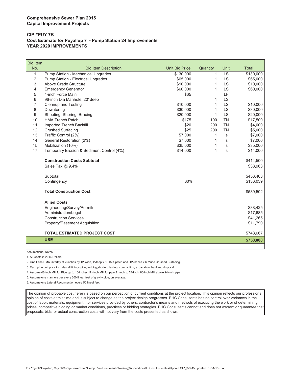#### **CIP #PUY 7B Cost Estimate for Puyallup 7 - Pump Station 24 Improvements YEAR 2020 IMPROVEMENTS**

| <b>Bid Item</b> |                                           |                       |          |           |              |
|-----------------|-------------------------------------------|-----------------------|----------|-----------|--------------|
| No.             | <b>Bid Item Description</b>               | <b>Unit Bid Price</b> | Quantity | Unit      | <b>Total</b> |
| 1               | Pump Station - Mechanical Upgrades        | \$130,000             | 1        | <b>LS</b> | \$130,000    |
| $\overline{2}$  | Pump Station - Electrical Upgrades        | \$65,000              | 1        | <b>LS</b> | \$65,000     |
| 3               | Above Grade Structure                     | \$10,000              | 1        | <b>LS</b> | \$10,000     |
| 4               | <b>Emergency Generator</b>                | \$60,000              | 1        | LS        | \$60,000     |
| 5               | 4-inch Force Main                         | \$65                  |          | LF        |              |
| 6               | 96-inch Dia Manhole, 20' deep             |                       | 1        | <b>LS</b> |              |
| 7               | <b>Cleanup and Testing</b>                | \$10,000              | 1        | LS        | \$10,000     |
| 8               | Dewatering                                | \$30,000              | 1        | <b>LS</b> | \$30,000     |
| 9               | Sheeting, Shoring, Bracing                | \$20,000              | 1        | <b>LS</b> | \$20,000     |
| 10              | <b>HMA Trench Patch</b>                   | \$175                 | 100      | <b>TN</b> | \$17,500     |
| 11              | <b>Imported Trench Backfill</b>           | \$20                  | 200      | <b>TN</b> | \$4,000      |
| 12              | <b>Crushed Surfacing</b>                  | \$25                  | 200      | <b>TN</b> | \$5,000      |
| 13              | Traffic Control (2%)                      | \$7,000               | 1        | ls        | \$7,000      |
| 14              | General Restoration (2%)                  | \$7,000               | 1        | ls        | \$7,000      |
| 15              | Mobilization (10%)                        | \$35,000              | 1        | ls        | \$35,000     |
| 17              | Temporary Erosion & Sediment Control (4%) | \$14,000              | 1        | ls.       | \$14,000     |
|                 | <b>Construction Costs Subtotal</b>        |                       |          |           | \$414,500    |
|                 | Sales Tax @ 9.4%                          |                       |          |           | \$38,963     |
|                 | Subtotal                                  |                       |          |           | \$453,463    |
|                 | Contingency                               | 30%                   |          |           | \$136,039    |
|                 | <b>Total Construction Cost</b>            |                       |          |           | \$589,502    |
|                 |                                           |                       |          |           |              |
|                 | <b>Allied Costs</b>                       |                       |          |           |              |
|                 | Engineering/Survey/Permits                |                       |          |           | \$88,425     |
|                 | Administration/Legal                      |                       |          |           | \$17,685     |
|                 | <b>Construction Services</b>              |                       |          |           | \$41,265     |
|                 | Property/Easement Acquisition             |                       |          |           | \$11,790     |
|                 | <b>TOTAL ESTIMATED PROJECT COST</b>       |                       |          |           | \$748,667    |
|                 | <b>USE</b>                                |                       |          |           | \$750,000    |
|                 |                                           |                       |          |           |              |

Assumptions, Notes

L

1. All Costs in 2014 Dollars

2. One Lane HMA Overlay at 2-inches by 12' wide, 4"deep x 8' HMA patch and 12-inches x 6' Wide Crushed Surfacing.

3. Each pipe unit price includes all fittings,pipe,bedding,shoring, testing, compaction, excavation, haul and disposal

4. Assume 48-inch MH for Pipe up to 18-inches, 54-inch MH for pipe 21-inch to 24-inch, 60-inch MH above 24-inch pipe.

5. Assume one manhole per every 300 linear feet of gravity pipe, on average.

6. Assume one Lateral Reconnection every 50 lineal feet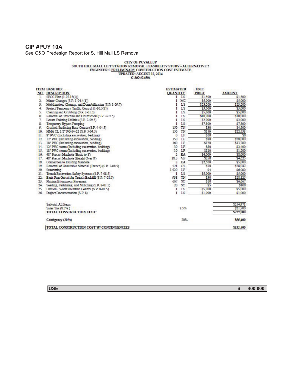### **CIP #PUY 10A**

See G&O Predesign Report for S. Hill Mall LS Removal

# $\begin{tabular}{c} \multicolumn{2}{l}{{\bf{G1Y OF PVALLUP}}} \\ {\bf{SOUTH HILL MATLAB LIFT STATION REMOVAL FEASIBILITY STUDY - ALTERNATIVE 2} \\ \multicolumn{2}{l}{ENGNEER'S \underline{PREIMONARY}} \textbf{CONSTRUCTION COST ESTIMATE} \\ \multicolumn{2}{l}{\bf{FNGNEER'S \underline{PREIMINANKY}} \textbf{CONSTRUCTION COST ESTIMATE}} \\ \multicolumn{2}{l}{\bf{G.8O} \#14504} \end{tabular}$

|                | <b>TTEM BASE BID:</b>                                   | ESTIMATED       |           | UNIT     |               |
|----------------|---------------------------------------------------------|-----------------|-----------|----------|---------------|
| NO.            | <b>DESCRIPTION</b>                                      | <b>OUANTITY</b> |           | PRICE    | <b>AMOUNT</b> |
| 1.             | SPCC Plan (1-07.15(1))                                  |                 | LS        | \$1,500  | \$1,500       |
| $\overline{2}$ | Minor Changes (S.P. 1-04.4(1))                          | 1               | MC        | \$5,000  | \$5,000       |
| 3.             | Mobilization, Cleanup, and Demobilization (S.P. 1-09.7) |                 | LS        | \$23,200 | \$23,200      |
| 4.             | Project Temporary Traffic Control (1-10.5(3))           |                 | LS        | \$3,000  | \$3,000       |
| 5.             | Clearing and Grubbing (S.P. 2-01.5)                     |                 | LS        | \$5,000  | \$5,000       |
| б.             | Removal of Structure and Obstruction (S.P. 2-02.5)      | 1               | LS        | \$10,000 | \$10,000      |
| 7.             | Locate Existing Utilities (S.P. 2-09.5)                 | 1               | LS        | \$2,000  | \$2,000       |
| 8.             | Temporary Bypass Pumping                                | ı               | LS        | \$7,800  | \$7,800       |
| 9.             | Crushed Surfacing Base Course (S.P. 4-04.5)             | 150             | TN        | \$30     | \$4,500       |
| 10.            | HMA CL 1/2" PG 64-22 (S.P. 5-04.5)                      | 150             | TN        | \$150    | \$22,533      |
| 11.            | 8" PVC (Including excavation, bedding)                  | $\circ$         | LF        | \$60     | \$0           |
| 12.            | 12" PVC (Including excavation, bedding)                 | 350             | LF        | \$80     | \$28,000      |
| 13.            | 18" PVC (Including excavation, bedding)                 | 360             | LF        | \$120    | \$43,200      |
| 14.            | 12" PVC storm (Including excavation, bedding)           | 30              | LF        | \$80     | \$2,400       |
| 15.            | 18" PVC storm (Including excavation, bedding)           | 10              | LF        | \$120    | \$1,200       |
| 16.            | 48" Precast Manhole (Basic to 8')                       | 2               | EA        | \$4,000  | \$8,000       |
| 17.            | 48" Precast Manhole (Height Over 8')                    | 18.5            | VF        | \$250    | \$4,625       |
| 18.            | Connection to Existing Manhole                          | 2               | EA        | \$2,500  | \$5,000       |
| 19.            | Removal of Unsuitable Material (Trench) (S.P. 7-08.5)   | 521             | CY        | \$50     | \$26,042      |
| 20.            | Sawcutting                                              | 1,520           | LF        | \$4      | \$6,080       |
| 21.            | Trench Excavation Safety Systems (S.P. 7-08.5)          | 1               | LS        | \$5,000  | \$5,000       |
| 22.            | Bank Run Gravel for Trench Backfill (S.P. 7-08.5)       | 938             | TN        | \$30     | \$28,125      |
| 23.            | Planing Bituminous Pavement                             | 667             | <b>SY</b> | \$10     | \$6,667       |
| 24.            | Seeding, Fertilizing, and Mulching (S.P. 8-01.5).       | 20              | SY        | 55       | \$100         |
| 25.            | Erosion / Water Pollution Control (S.P. 8-01.5)         | 1               | LS        | \$5,000  | \$5,000       |
| 26.            | Project Documentation (S.P. 8)                          | 1               | LS        | \$1,000  | \$1,000       |
|                | Subtotal All Items                                      |                 |           |          | \$254,971     |
|                | Sales Tax (8.5%)                                        |                 | 8.5%      |          | \$21,700      |
|                | TOTAL CONSTRUCTION COST:                                |                 |           |          | \$277,000     |
|                | Contigency (20%)                                        |                 | 20%       |          | \$55,400      |
|                | TOTAL CONSTRUCTION COST W/CONTINGENCIES                 |                 |           |          | \$332,400     |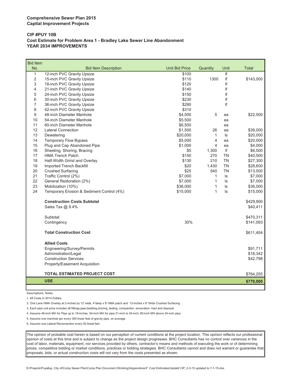#### **CIP #PUY 10B Cost Estimate for Problem Area 1 - Bradley Lake Sewer Line Abandonment YEAR 2034 IMPROVEMENTS**

| <b>Bid Item</b> |                                           |                       |                         |           |              |
|-----------------|-------------------------------------------|-----------------------|-------------------------|-----------|--------------|
| No.             | <b>Bid Item Description</b>               | <b>Unit Bid Price</b> | Quantity                | Unit      | <b>Total</b> |
| $\mathbf{1}$    | 12-inch PVC Gravity Upsize                | \$100                 |                         | f         |              |
| 2               | 15-inch PVC Gravity Upsize                | \$110                 | 1300                    | lf        | \$143,000    |
| 3               | 18-inch PVC Gravity Upsize                | \$120                 |                         | If        |              |
| 4               | 21-inch PVC Gravity Upsize                | \$140                 |                         | If        |              |
| 5               | 24-inch PVC Gravity Upsize                | \$150                 |                         | If        |              |
| 6               | 30-inch PVC Gravity Upsize                | \$230                 |                         | If        |              |
| 7               | 36-inch PVC Gravity Upsize                | \$280                 |                         | If        |              |
| 8               | 42-inch PVC Gravity Upsize                | \$310                 |                         |           |              |
| 9               | 48-inch Diameter Manhole                  | \$4,500               | 5                       | ea        | \$22,500     |
| 10              | 54-inch Diameter Manhole                  | \$5,500               |                         | ea        |              |
| 11              | 60-inch Diameter Manhole                  | \$6,500               |                         | ea        |              |
| 12              | <b>Lateral Connection</b>                 | \$1,500               | 26                      | ea        | \$39,000     |
| 13              | Dewatering                                | \$20,000              | $\mathbf{1}$            | ls        | \$20,000     |
| 14              | Temporary Flow Bypass                     | \$5,000               | $\overline{\mathbf{4}}$ | ea        | \$20,000     |
| 15              | Plug and Cap Abandoned Pipe               | \$1,000               | $\overline{4}$          | ea        | \$4,000      |
| 16              | Sheeting, Shoring, Bracing                | \$5                   | 1,300                   | lf        | \$6,500      |
| 17              | <b>HMA Trench Patch</b>                   | \$150                 | 270                     | <b>TN</b> | \$40,500     |
| 18              | Half-Width Grind and Overlay              | \$130                 | 210                     | <b>TN</b> | \$27,300     |
| 19              | Imported Trench Backfill                  | \$20                  | 1,430                   | <b>TN</b> | \$28,600     |
| 20              | <b>Crushed Surfacing</b>                  | \$25                  | 540                     | <b>TN</b> | \$13,500     |
| 21              | Traffic Control (2%)                      | \$7,000               | 1                       | ls        | \$7,000      |
| 22              | General Restoration (2%)                  | \$7,000               | $\mathbf{1}$            | ls        | \$7,000      |
| 23              | Mobilization (10%)                        | \$36,000              | 1                       | ls        | \$36,000     |
| 24              | Temporary Erosion & Sediment Control (4%) | \$15,000              | 1                       | ls        | \$15,000     |
|                 | <b>Construction Costs Subtotal</b>        |                       |                         |           | \$429,900    |
|                 | Sales Tax @ 9.4%                          |                       |                         |           | \$40,411     |
|                 | Subtotal                                  |                       |                         |           | \$470,311    |
|                 | Contingency                               | 30%                   |                         |           | \$141,093    |
|                 |                                           |                       |                         |           |              |
|                 | <b>Total Construction Cost</b>            |                       |                         |           | \$611,404    |
|                 | <b>Allied Costs</b>                       |                       |                         |           |              |
|                 | Engineering/Survey/Permits                |                       |                         |           | \$91,711     |
|                 | Administration/Legal                      |                       |                         |           | \$18,342     |
|                 | <b>Construction Services</b>              |                       |                         |           | \$42,798     |
|                 | Property/Easement Acquisition             |                       |                         |           |              |
|                 |                                           |                       |                         |           |              |
|                 | <b>TOTAL ESTIMATED PROJECT COST</b>       |                       |                         |           | \$764,255    |
|                 | <b>USE</b>                                |                       |                         |           | \$770,000    |

Assumptions, Notes

1. All Costs in 2014 Dollars

2. One Lane HMA Overlay at 2-inches by 12' wide, 4"deep x 8' HMA patch and 12-inches x 6' Wide Crushed Surfacing.

3. Each pipe unit price includes all fittings,pipe,bedding,shoring, testing, compaction, excavation, haul and disposal

4. Assume 48-inch MH for Pipe up to 18-inches, 54-inch MH for pipe 21-inch to 24-inch, 60-inch MH above 24-inch pipe.

5. Assume one manhole per every 300 linear feet of gravity pipe, on average.

6. Assume one Lateral Reconnection every 50 lineal feet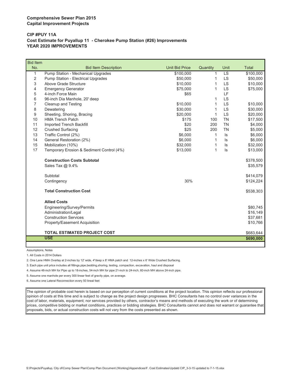#### **Comprehensive Sewer Plan 2015 Capital Improvement Projects**

#### **CIP #PUY 11A Cost Estimate for Puyallup 11 - Cherokee Pump Station (#26) Improvements YEAR 2020 IMPROVEMENTS**

| <b>Bid Item</b> |                                           |                       |          |           |                   |
|-----------------|-------------------------------------------|-----------------------|----------|-----------|-------------------|
| No.             | <b>Bid Item Description</b>               | <b>Unit Bid Price</b> | Quantity | Unit      | Total             |
| 1               | Pump Station - Mechanical Upgrades        | \$100,000             | 1        | <b>LS</b> | $\sqrt{$100,000}$ |
| 2               | Pump Station - Electrical Upgrades        | \$50,000              | 1        | <b>LS</b> | \$50,000          |
| 3               | Above Grade Structure                     | \$10,000              | 1        | <b>LS</b> | \$10,000          |
| 4               | <b>Emergency Generator</b>                | \$75,000              | 1        | LS        | \$75,000          |
| 5               | 4-inch Force Main                         | \$65                  |          | LF        |                   |
| 6               | 96-inch Dia Manhole, 20' deep             |                       | 1        | <b>LS</b> |                   |
| 7               | Cleanup and Testing                       | \$10,000              | 1        | <b>LS</b> | \$10,000          |
| 8               | Dewatering                                | \$30,000              | 1        | <b>LS</b> | \$30,000          |
| 9               | Sheeting, Shoring, Bracing                | \$20,000              | 1        | <b>LS</b> | \$20,000          |
| 10              | <b>HMA Trench Patch</b>                   | \$175                 | 100      | <b>TN</b> | \$17,500          |
| 11              | Imported Trench Backfill                  | \$20                  | 200      | <b>TN</b> | \$4,000           |
| 12              | <b>Crushed Surfacing</b>                  | \$25                  | 200      | <b>TN</b> | \$5,000           |
| 13              | Traffic Control (2%)                      | \$6,000               | 1        | ls        | \$6,000           |
| 14              | General Restoration (2%)                  | \$6,000               | 1        | ls        | \$6,000           |
| 15              | Mobilization (10%)                        | \$32,000              | 1        | $\sf ls$  | \$32,000          |
| 17              | Temporary Erosion & Sediment Control (4%) | \$13,000              | 1        | $\sf ls$  | \$13,000          |
|                 | <b>Construction Costs Subtotal</b>        |                       |          |           | \$378,500         |
|                 | Sales Tax @ 9.4%                          |                       |          |           | \$35,579          |
|                 | Subtotal                                  |                       |          |           | \$414,079         |
|                 | Contingency                               | 30%                   |          |           | \$124,224         |
|                 | <b>Total Construction Cost</b>            |                       |          |           | \$538,303         |
|                 | <b>Allied Costs</b>                       |                       |          |           |                   |
|                 | Engineering/Survey/Permits                |                       |          |           | \$80,745          |
|                 | Administration/Legal                      |                       |          |           | \$16,149          |
|                 | <b>Construction Services</b>              |                       |          |           | \$37,681          |
|                 | Property/Easement Acquisition             |                       |          |           | \$10,766          |
|                 | <b>TOTAL ESTIMATED PROJECT COST</b>       |                       |          |           | \$683,644         |
|                 | <b>USE</b>                                |                       |          |           | \$690,000         |
|                 |                                           |                       |          |           |                   |

Assumptions, Notes

1. All Costs in 2014 Dollars

2. One Lane HMA Overlay at 2-inches by 12' wide, 4"deep x 8' HMA patch and 12-inches x 6' Wide Crushed Surfacing.

3. Each pipe unit price includes all fittings,pipe,bedding,shoring, testing, compaction, excavation, haul and disposal

4. Assume 48-inch MH for Pipe up to 18-inches, 54-inch MH for pipe 21-inch to 24-inch, 60-inch MH above 24-inch pipe.

5. Assume one manhole per every 300 linear feet of gravity pipe, on average.

6. Assume one Lateral Reconnection every 50 lineal feet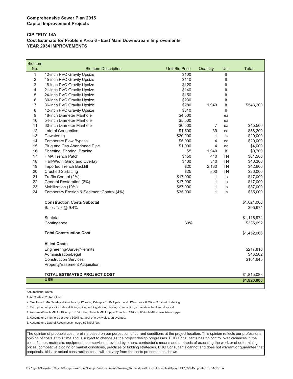#### **CIP #PUY 14A Cost Estimate for Problem Area 6 - East Main Downstream Improvements YEAR 2034 IMPROVEMENTS**

| <b>Bid Item</b> |                                           |                       |                |                         |              |
|-----------------|-------------------------------------------|-----------------------|----------------|-------------------------|--------------|
| No.             | <b>Bid Item Description</b>               | <b>Unit Bid Price</b> | Quantity       | Unit                    | <b>Total</b> |
| 1               | 12-inch PVC Gravity Upsize                | \$100                 |                | $\overline{\mathbb{F}}$ |              |
| $\overline{2}$  | 15-inch PVC Gravity Upsize                | \$110                 |                | If                      |              |
| 3               | 18-inch PVC Gravity Upsize                | \$120                 |                | If                      |              |
| 4               | 21-inch PVC Gravity Upsize                | \$140                 |                | If                      |              |
| 5               | 24-inch PVC Gravity Upsize                | \$150                 |                | If                      |              |
| 6               | 30-inch PVC Gravity Upsize                | \$230                 |                | lf                      |              |
| $\overline{7}$  | 36-inch PVC Gravity Upsize                | \$280                 | 1,940          | If                      | \$543,200    |
| 8               | 42-inch PVC Gravity Upsize                | \$310                 |                | If                      |              |
| 9               | 48-inch Diameter Manhole                  | \$4,500               |                | ea                      |              |
| 10              | 54-inch Diameter Manhole                  | \$5,500               |                | ea                      |              |
| 11              | 60-inch Diameter Manhole                  | \$6,500               | 7              | ea                      | \$45,500     |
| 12              | <b>Lateral Connection</b>                 | \$1,500               | 39             | ea                      | \$58,200     |
| 13              | Dewatering                                | \$20,000              | 1              | ls.                     | \$20,000     |
| 14              | <b>Temporary Flow Bypass</b>              | \$5,000               | $\overline{4}$ | ea                      | \$20,000     |
| 15              | Plug and Cap Abandoned Pipe               | \$1,000               | $\overline{4}$ | ea                      | \$4,000      |
| 16              | Sheeting, Shoring, Bracing                | \$5                   | 1,940          | lf                      | \$9,700      |
| 17              | <b>HMA Trench Patch</b>                   | \$150                 | 410            | TN                      | \$61,500     |
| 18              | Half-Width Grind and Overlay              | \$130                 | 310            | <b>TN</b>               | \$40,300     |
| 19              | Imported Trench Backfill                  | \$20                  | 2,130          | TN                      | \$42,600     |
| 20              | <b>Crushed Surfacing</b>                  | \$25                  | 800            | <b>TN</b>               | \$20,000     |
| 21              | Traffic Control (2%)                      | \$17,000              | $\mathbf{1}$   | ls                      | \$17,000     |
| 22              | General Restoration (2%)                  | \$17,000              | 1              | ls                      | \$17,000     |
| 23              | Mobilization (10%)                        | \$87,000              | 1              | ls                      | \$87,000     |
| 24              | Temporary Erosion & Sediment Control (4%) | \$35,000              | 1              | ls.                     | \$35,000     |
|                 | <b>Construction Costs Subtotal</b>        |                       |                |                         | \$1,021,000  |
|                 | Sales Tax @ 9.4%                          |                       |                |                         | \$95,974     |
|                 | Subtotal                                  |                       |                |                         | \$1,116,974  |
|                 | Contingency                               | 30%                   |                |                         | \$335,092    |
|                 | <b>Total Construction Cost</b>            |                       |                |                         | \$1,452,066  |
|                 | <b>Allied Costs</b>                       |                       |                |                         |              |
|                 | Engineering/Survey/Permits                |                       |                |                         | \$217,810    |
|                 | Administration/Legal                      |                       |                |                         | \$43,562     |
|                 | <b>Construction Services</b>              |                       |                |                         | \$101,645    |
|                 | Property/Easement Acquisition             |                       |                |                         |              |
|                 | <b>TOTAL ESTIMATED PROJECT COST</b>       |                       |                |                         | \$1,815,083  |
|                 | <b>USE</b>                                |                       |                |                         | \$1,820,000  |
|                 |                                           |                       |                |                         |              |

Assumptions, Notes

1. All Costs in 2014 Dollars

2. One Lane HMA Overlay at 2-inches by 12' wide, 4"deep x 8' HMA patch and 12-inches x 6' Wide Crushed Surfacing.

3. Each pipe unit price includes all fittings,pipe,bedding,shoring, testing, compaction, excavation, haul and disposal

4. Assume 48-inch MH for Pipe up to 18-inches, 54-inch MH for pipe 21-inch to 24-inch, 60-inch MH above 24-inch pipe.

5. Assume one manhole per every 300 linear feet of gravity pipe, on average.

6. Assume one Lateral Reconnection every 50 lineal feet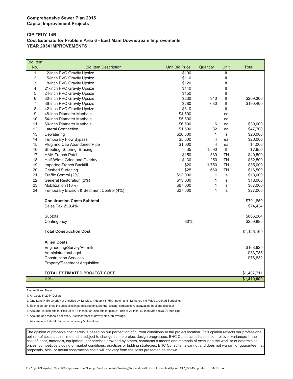#### **CIP #PUY 14B Cost Estimate for Problem Area 6 - East Main Downstream Improvements YEAR 2034 IMPROVEMENTS**

| <b>Bid Item</b> |                                           |                       |              |           |              |
|-----------------|-------------------------------------------|-----------------------|--------------|-----------|--------------|
| No.             | <b>Bid Item Description</b>               | <b>Unit Bid Price</b> | Quantity     | Unit      | <b>Total</b> |
| $\mathbf{1}$    | 12-inch PVC Gravity Upsize                | \$100                 |              | If        |              |
| $\overline{c}$  | 15-inch PVC Gravity Upsize                | \$110                 |              | lf        |              |
| 3               | 18-inch PVC Gravity Upsize                | \$120                 |              | If        |              |
| 4               | 21-inch PVC Gravity Upsize                | \$140                 |              | If        |              |
| 5               | 24-inch PVC Gravity Upsize                | \$150                 |              | If        |              |
| 6               | 30-inch PVC Gravity Upsize                | \$230                 | 910          | lf        | \$209,300    |
| $\overline{7}$  | 36-inch PVC Gravity Upsize                | \$280                 | 680          | If        | \$190,400    |
| 8               | 42-inch PVC Gravity Upsize                | \$310                 |              | lf        |              |
| 9               | 48-inch Diameter Manhole                  | \$4,500               |              | ea        |              |
| 10              | 54-inch Diameter Manhole                  | \$5,500               |              | ea        |              |
| 11              | 60-inch Diameter Manhole                  | \$6,500               | 6            | ea        | \$39,000     |
| 12              | <b>Lateral Connection</b>                 | \$1,500               | 32           | ea        | \$47,700     |
| 13              | Dewatering                                | \$20,000              | $\mathbf{1}$ | $\sf ls$  | \$20,000     |
| 14              | <b>Temporary Flow Bypass</b>              | \$5,000               | 4            | ea        | \$20,000     |
| 15              | Plug and Cap Abandoned Pipe               | \$1,000               | 4            | ea        | \$4,000      |
| 16              | Sheeting, Shoring, Bracing                | \$5                   | 1,590        | lf        | \$7,950      |
| 17              | <b>HMA Trench Patch</b>                   | \$150                 | 330          | <b>TN</b> | \$49,500     |
| 18              | Half-Width Grind and Overlay              | \$130                 | 250          | <b>TN</b> | \$32,500     |
| 19              | Imported Trench Backfill                  | \$20                  | 1,750        | <b>TN</b> | \$35,000     |
| 20              | <b>Crushed Surfacing</b>                  | \$25                  | 660          | <b>TN</b> | \$16,500     |
| 21              | Traffic Control (2%)                      | \$13,000              | $\mathbf{1}$ | ls        | \$13,000     |
| 22              | General Restoration (2%)                  | \$13,000              | 1            | Is        | \$13,000     |
| 23              | Mobilization (10%)                        | \$67,000              | $\mathbf{1}$ | ls        | \$67,000     |
| 24              | Temporary Erosion & Sediment Control (4%) | \$27,000              | $\mathbf{1}$ | ls        | \$27,000     |
|                 | <b>Construction Costs Subtotal</b>        |                       |              |           | \$791,850    |
|                 | Sales Tax @ 9.4%                          |                       |              |           | \$74,434     |
|                 | Subtotal                                  |                       |              |           | \$866,284    |
|                 | Contingency                               | 30%                   |              |           | \$259,885    |
|                 | <b>Total Construction Cost</b>            |                       |              |           | \$1,126,169  |
|                 | <b>Allied Costs</b>                       |                       |              |           |              |
|                 | Engineering/Survey/Permits                |                       |              |           | \$168,925    |
|                 | Administration/Legal                      |                       |              |           | \$33,785     |
|                 | <b>Construction Services</b>              |                       |              |           | \$78,832     |
|                 | Property/Easement Acquisition             |                       |              |           |              |
|                 | <b>TOTAL ESTIMATED PROJECT COST</b>       |                       |              |           | \$1,407,711  |
|                 | <b>USE</b>                                |                       |              |           | \$1,410,000  |
|                 |                                           |                       |              |           |              |

Assumptions, Notes

1. All Costs in 2014 Dollars

2. One Lane HMA Overlay at 2-inches by 12' wide, 4"deep x 8' HMA patch and 12-inches x 6' Wide Crushed Surfacing.

3. Each pipe unit price includes all fittings,pipe,bedding,shoring, testing, compaction, excavation, haul and disposal

4. Assume 48-inch MH for Pipe up to 18-inches, 54-inch MH for pipe 21-inch to 24-inch, 60-inch MH above 24-inch pipe.

5. Assume one manhole per every 300 linear feet of gravity pipe, on average.

6. Assume one Lateral Reconnection every 50 lineal feet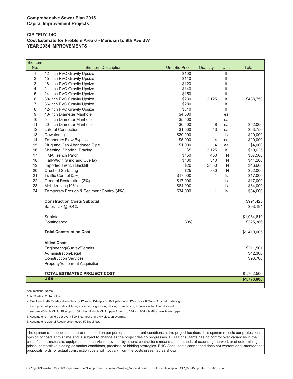#### **CIP #PUY 14C Cost Estimate for Problem Area 6 - Meridian to 9th Ave SW YEAR 2034 IMPROVEMENTS**

| <b>Bid Item</b> |                                           |                       |                |                         |              |
|-----------------|-------------------------------------------|-----------------------|----------------|-------------------------|--------------|
| No.             | <b>Bid Item Description</b>               | <b>Unit Bid Price</b> | Quantity       | Unit                    | <b>Total</b> |
| $\mathbf{1}$    | 12-inch PVC Gravity Upsize                | \$100                 |                | $\overline{\mathbf{f}}$ |              |
| 2               | 15-inch PVC Gravity Upsize                | \$110                 |                | lf                      |              |
| 3               | 18-inch PVC Gravity Upsize                | \$120                 |                | If                      |              |
| 4               | 21-inch PVC Gravity Upsize                | \$140                 |                | If                      |              |
| 5               | 24-inch PVC Gravity Upsize                | \$150                 |                | If                      |              |
| 6               | 30-inch PVC Gravity Upsize                | \$230                 | 2,125          | lf                      | \$488,750    |
| $\overline{7}$  | 36-inch PVC Gravity Upsize                | \$280                 |                | lf                      |              |
| 8               | 42-inch PVC Gravity Upsize                | \$310                 |                | If                      |              |
| 9               | 48-inch Diameter Manhole                  | \$4,500               |                | ea                      |              |
| 10              | 54-inch Diameter Manhole                  | \$5,500               |                | ea                      |              |
| 11              | 60-inch Diameter Manhole                  | \$6,500               | 8              | ea                      | \$52,000     |
| 12              | <b>Lateral Connection</b>                 | \$1,500               | 43             | ea                      | \$63,750     |
| 13              | Dewatering                                | \$20,000              | $\mathbf{1}$   | ls                      | \$20,000     |
| 14              | <b>Temporary Flow Bypass</b>              | \$5,000               | $\overline{4}$ | ea                      | \$20,000     |
| 15              | Plug and Cap Abandoned Pipe               | \$1,000               | $\overline{4}$ | ea                      | \$4,000      |
| 16              | Sheeting, Shoring, Bracing                | \$5                   | 2,125          | If                      | \$10,625     |
| 17              | <b>HMA Trench Patch</b>                   | \$150                 | 450            | <b>TN</b>               | \$67,500     |
| 18              | Half-Width Grind and Overlay              | \$130                 | 340            | <b>TN</b>               | \$44,200     |
| 19              | Imported Trench Backfill                  | \$20                  | 2,330          | <b>TN</b>               | \$46,600     |
| 20              | <b>Crushed Surfacing</b>                  | \$25                  | 880            | <b>TN</b>               | \$22,000     |
| 21              | Traffic Control (2%)                      | \$17,000              | $\mathbf{1}$   | ls                      | \$17,000     |
| 22              | General Restoration (2%)                  | \$17,000              | $\mathbf{1}$   | ls                      | \$17,000     |
| 23              | Mobilization (10%)                        | \$84,000              | $\mathbf{1}$   | ls                      | \$84,000     |
| 24              | Temporary Erosion & Sediment Control (4%) | \$34,000              | $\mathbf{1}$   | ls                      | \$34,000     |
|                 | <b>Construction Costs Subtotal</b>        |                       |                |                         | \$991,425    |
|                 | Sales Tax @ 9.4%                          |                       |                |                         | \$93,194     |
|                 | Subtotal                                  |                       |                |                         | \$1,084,619  |
|                 | Contingency                               | 30%                   |                |                         | \$325,386    |
|                 | <b>Total Construction Cost</b>            |                       |                |                         | \$1,410,005  |
|                 | <b>Allied Costs</b>                       |                       |                |                         |              |
|                 | Engineering/Survey/Permits                |                       |                |                         | \$211,501    |
|                 | Administration/Legal                      |                       |                |                         | \$42,300     |
|                 | <b>Construction Services</b>              |                       |                |                         | \$98,700     |
|                 | Property/Easement Acquisition             |                       |                |                         |              |
|                 | <b>TOTAL ESTIMATED PROJECT COST</b>       |                       |                |                         | \$1,762,506  |
|                 | <b>USE</b>                                |                       |                |                         | \$1,770,000  |
|                 |                                           |                       |                |                         |              |

Assumptions, Notes

1. All Costs in 2014 Dollars

2. One Lane HMA Overlay at 2-inches by 12' wide, 4"deep x 8' HMA patch and 12-inches x 6' Wide Crushed Surfacing.

3. Each pipe unit price includes all fittings,pipe,bedding,shoring, testing, compaction, excavation, haul and disposal

4. Assume 48-inch MH for Pipe up to 18-inches, 54-inch MH for pipe 21-inch to 24-inch, 60-inch MH above 24-inch pipe.

5. Assume one manhole per every 300 linear feet of gravity pipe, on average.

6. Assume one Lateral Reconnection every 50 lineal feet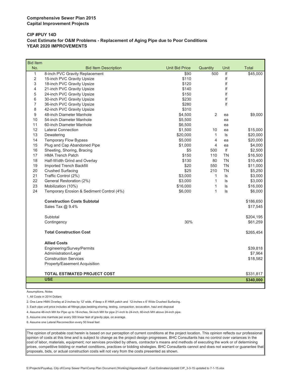#### **CIP #PUY 14D Cost Estimate for O&M Problems - Replacement of Aging Pipe due to Poor Conditions YEAR 2020 IMPROVEMENTS**

| <b>Bid Item</b> |                                           |                       |                |           |              |
|-----------------|-------------------------------------------|-----------------------|----------------|-----------|--------------|
| No.             | <b>Bid Item Description</b>               | <b>Unit Bid Price</b> | Quantity       | Unit      | <b>Total</b> |
| $\mathbf{1}$    | 8-inch PVC Gravity Replacement            | \$90                  | 500            | If        | \$45,000     |
| $\overline{2}$  | 15-inch PVC Gravity Upsize                | \$110                 |                | If        |              |
| 3               | 18-inch PVC Gravity Upsize                | \$120                 |                | lf        |              |
| 4               | 21-inch PVC Gravity Upsize                | \$140                 |                | If        |              |
| 5               | 24-inch PVC Gravity Upsize                | \$150                 |                | If        |              |
| 6               | 30-inch PVC Gravity Upsize                | \$230                 |                | lf        |              |
| 7               | 36-inch PVC Gravity Upsize                | \$280                 |                | lf        |              |
| 8               | 42-inch PVC Gravity Upsize                | \$310                 |                |           |              |
| 9               | 48-inch Diameter Manhole                  | \$4,500               | $\overline{2}$ | ea        | \$9,000      |
| 10              | 54-inch Diameter Manhole                  | \$5,500               |                | ea        |              |
| 11              | 60-inch Diameter Manhole                  | \$6,500               |                | ea        |              |
| 12              | <b>Lateral Connection</b>                 | \$1,500               | 10             | ea        | \$15,000     |
| 13              | Dewatering                                | \$20,000              | 1              | ls        | \$20,000     |
| 14              | <b>Temporary Flow Bypass</b>              | \$5,000               | 4              | ea        | \$20,000     |
| 15              | Plug and Cap Abandoned Pipe               | \$1,000               | 4              | ea        | \$4,000      |
| 16              | Sheeting, Shoring, Bracing                | \$5                   | 500            | lf        | \$2,500      |
| 17              | <b>HMA Trench Patch</b>                   | \$150                 | 110            | <b>TN</b> | \$16,500     |
| 18              | Half-Width Grind and Overlay              | \$130                 | 80             | <b>TN</b> | \$10,400     |
| 19              | Imported Trench Backfill                  | \$20                  | 550            | <b>TN</b> | \$11,000     |
| 20              | <b>Crushed Surfacing</b>                  | \$25                  | 210            | <b>TN</b> | \$5,250      |
| 21              | Traffic Control (2%)                      | \$3,000               | $\mathbf{1}$   | ls        | \$3,000      |
| 22              | General Restoration (2%)                  | \$3,000               | $\mathbf{1}$   | ls        | \$3,000      |
| 23              | Mobilization (10%)                        | \$16,000              | $\mathbf{1}$   | $\sf ls$  | \$16,000     |
| 24              | Temporary Erosion & Sediment Control (4%) | \$6,000               | 1              | ls.       | \$6,000      |
|                 | <b>Construction Costs Subtotal</b>        |                       |                |           | \$186,650    |
|                 | Sales Tax @ 9.4%                          |                       |                |           | \$17,545     |
|                 | Subtotal                                  |                       |                |           | \$204,195    |
|                 | Contingency                               | 30%                   |                |           | \$61,259     |
|                 | <b>Total Construction Cost</b>            |                       |                |           | \$265,454    |
|                 | <b>Allied Costs</b>                       |                       |                |           |              |
|                 | Engineering/Survey/Permits                |                       |                |           | \$39,818     |
|                 | Administration/Legal                      |                       |                |           | \$7,964      |
|                 | <b>Construction Services</b>              |                       |                |           | \$18,582     |
|                 | Property/Easement Acquisition             |                       |                |           |              |
|                 | <b>TOTAL ESTIMATED PROJECT COST</b>       |                       |                |           | \$331,817    |
|                 | <b>USE</b>                                |                       |                |           |              |
|                 |                                           |                       |                |           | \$340,000    |

Assumptions, Notes

1. All Costs in 2014 Dollars

2. One Lane HMA Overlay at 2-inches by 12' wide, 4"deep x 8' HMA patch and 12-inches x 6' Wide Crushed Surfacing.

3. Each pipe unit price includes all fittings,pipe,bedding,shoring, testing, compaction, excavation, haul and disposal

4. Assume 48-inch MH for Pipe up to 18-inches, 54-inch MH for pipe 21-inch to 24-inch, 60-inch MH above 24-inch pipe.

5. Assume one manhole per every 300 linear feet of gravity pipe, on average.

6. Assume one Lateral Reconnection every 50 lineal feet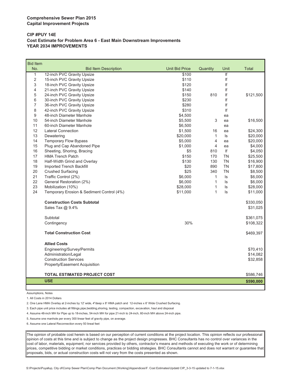#### **CIP #PUY 14E Cost Estimate for Problem Area 6 - East Main Downstream Improvements YEAR 2034 IMPROVEMENTS**

| <b>Bid Item</b> |                                           |                       |                         |           |              |
|-----------------|-------------------------------------------|-----------------------|-------------------------|-----------|--------------|
| No.             | <b>Bid Item Description</b>               | <b>Unit Bid Price</b> | Quantity                | Unit      | <b>Total</b> |
| $\mathbf{1}$    | 12-inch PVC Gravity Upsize                | \$100                 |                         | f         |              |
| 2               | 15-inch PVC Gravity Upsize                | \$110                 |                         | lf        |              |
| 3               | 18-inch PVC Gravity Upsize                | \$120                 |                         | If        |              |
| 4               | 21-inch PVC Gravity Upsize                | \$140                 |                         | If        |              |
| 5               | 24-inch PVC Gravity Upsize                | \$150                 | 810                     | lf        | \$121,500    |
| 6               | 30-inch PVC Gravity Upsize                | \$230                 |                         | If        |              |
| $\overline{7}$  | 36-inch PVC Gravity Upsize                | \$280                 |                         | lf        |              |
| 8               | 42-inch PVC Gravity Upsize                | \$310                 |                         | If        |              |
| 9               | 48-inch Diameter Manhole                  | \$4,500               |                         | ea        |              |
| 10              | 54-inch Diameter Manhole                  | \$5,500               | 3                       | ea        | \$16,500     |
| 11              | 60-inch Diameter Manhole                  | \$6,500               |                         | ea        |              |
| 12              | <b>Lateral Connection</b>                 | \$1,500               | 16                      | ea        | \$24,300     |
| 13              | Dewatering                                | \$20,000              | $\mathbf{1}$            | $\sf ls$  | \$20,000     |
| 14              | <b>Temporary Flow Bypass</b>              | \$5,000               | $\overline{\mathbf{4}}$ | ea        | \$20,000     |
| 15              | Plug and Cap Abandoned Pipe               | \$1,000               | 4                       | ea        | \$4,000      |
| 16              | Sheeting, Shoring, Bracing                | \$5                   | 810                     | lf        | \$4,050      |
| 17              | <b>HMA Trench Patch</b>                   | \$150                 | 170                     | <b>TN</b> | \$25,500     |
| 18              | Half-Width Grind and Overlay              | \$130                 | 130                     | <b>TN</b> | \$16,900     |
| 19              | Imported Trench Backfill                  | \$20                  | 890                     | <b>TN</b> | \$17,800     |
| 20              | <b>Crushed Surfacing</b>                  | \$25                  | 340                     | <b>TN</b> | \$8,500      |
| 21              | Traffic Control (2%)                      | \$6,000               | $\mathbf{1}$            | ls        | \$6,000      |
| 22              | General Restoration (2%)                  | \$6,000               | $\mathbf{1}$            | ls        | \$6,000      |
| 23              | Mobilization (10%)                        | \$28,000              | 1                       | ls.       | \$28,000     |
| 24              | Temporary Erosion & Sediment Control (4%) | \$11,000              | 1                       | ls        | \$11,000     |
|                 | <b>Construction Costs Subtotal</b>        |                       |                         |           | \$330,050    |
|                 | Sales Tax @ 9.4%                          |                       |                         |           | \$31,025     |
|                 | Subtotal                                  |                       |                         |           | \$361,075    |
|                 | Contingency                               | 30%                   |                         |           | \$108,322    |
|                 |                                           |                       |                         |           |              |
|                 | <b>Total Construction Cost</b>            |                       |                         |           | \$469,397    |
|                 | <b>Allied Costs</b>                       |                       |                         |           |              |
|                 | Engineering/Survey/Permits                |                       |                         |           | \$70,410     |
|                 | Administration/Legal                      |                       |                         |           | \$14,082     |
|                 | <b>Construction Services</b>              |                       |                         |           | \$32,858     |
|                 | Property/Easement Acquisition             |                       |                         |           |              |
|                 | <b>TOTAL ESTIMATED PROJECT COST</b>       |                       |                         |           | \$586,746    |
|                 | <b>USE</b>                                |                       |                         |           | \$590,000    |
|                 |                                           |                       |                         |           |              |

Assumptions, Notes

1. All Costs in 2014 Dollars

2. One Lane HMA Overlay at 2-inches by 12' wide, 4"deep x 8' HMA patch and 12-inches x 6' Wide Crushed Surfacing.

3. Each pipe unit price includes all fittings,pipe,bedding,shoring, testing, compaction, excavation, haul and disposal

4. Assume 48-inch MH for Pipe up to 18-inches, 54-inch MH for pipe 21-inch to 24-inch, 60-inch MH above 24-inch pipe.

5. Assume one manhole per every 300 linear feet of gravity pipe, on average.

6. Assume one Lateral Reconnection every 50 lineal feet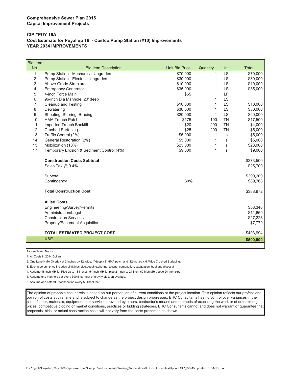#### **Comprehensive Sewer Plan 2015 Capital Improvement Projects**

#### **CIP #PUY 16A Cost Estimate for Puyallup 16 - Costco Pump Station (#10) Improvements YEAR 2034 IMPROVEMENTS**

| <b>Bid Item</b> |                                           |                       |              |           |              |
|-----------------|-------------------------------------------|-----------------------|--------------|-----------|--------------|
| No.             | <b>Bid Item Description</b>               | <b>Unit Bid Price</b> | Quantity     | Unit      | <b>Total</b> |
| 1               | Pump Station - Mechanical Upgrades        | \$70,000              | 1            | LS        | \$70,000     |
| 2               | Pump Station - Electrical Upgrades        | \$30,000              | 1            | <b>LS</b> | \$30,000     |
| 3               | Above Grade Structure                     | \$10,000              | 1            | <b>LS</b> | \$10,000     |
| 4               | <b>Emergency Generator</b>                | \$35,000              | $\mathbf{1}$ | <b>LS</b> | \$35,000     |
| 5               | 4-inch Force Main                         | \$65                  |              | LF        |              |
| 6               | 96-inch Dia Manhole, 20' deep             |                       | 1            | <b>LS</b> |              |
| 7               | Cleanup and Testing                       | \$10,000              | 1            | LS        | \$10,000     |
| 8               | Dewatering                                | \$30,000              | 1            | LS        | \$30,000     |
| 9               | Sheeting, Shoring, Bracing                | \$20,000              | 1            | <b>LS</b> | \$20,000     |
| 10              | <b>HMA Trench Patch</b>                   | \$175                 | 100          | <b>TN</b> | \$17,500     |
| 11              | <b>Imported Trench Backfill</b>           | \$20                  | 200          | <b>TN</b> | \$4,000      |
| 12              | <b>Crushed Surfacing</b>                  | \$25                  | 200          | <b>TN</b> | \$5,000      |
| 13              | Traffic Control (2%)                      | \$5,000               | 1            | ls        | \$5,000      |
| 14              | General Restoration (2%)                  | \$5,000               | 1            | $\sf ls$  | \$5,000      |
| 15              | Mobilization (10%)                        | \$23,000              | 1            | $\sf ls$  | \$23,000     |
| 17              | Temporary Erosion & Sediment Control (4%) | \$9,000               | 1            | $\sf ls$  | \$9,000      |
|                 | <b>Construction Costs Subtotal</b>        |                       |              |           | \$273,500    |
|                 | Sales Tax @ 9.4%                          |                       |              |           | \$25,709     |
|                 |                                           |                       |              |           |              |
|                 | Subtotal                                  |                       |              |           | \$299,209    |
|                 | Contingency                               | 30%                   |              |           | \$89,763     |
|                 | <b>Total Construction Cost</b>            |                       |              |           | \$388,972    |
|                 | <b>Allied Costs</b>                       |                       |              |           |              |
|                 | Engineering/Survey/Permits                |                       |              |           | \$58,346     |
|                 | Administration/Legal                      |                       |              |           | \$11,669     |
|                 | <b>Construction Services</b>              |                       |              |           | \$27,228     |
|                 | Property/Easement Acquisition             |                       |              |           | \$7,779      |
|                 |                                           |                       |              |           |              |
|                 | <b>TOTAL ESTIMATED PROJECT COST</b>       |                       |              |           | \$493,994    |
|                 | <b>USE</b>                                |                       |              |           | \$500,000    |

Assumptions, Notes

1. All Costs in 2014 Dollars

2. One Lane HMA Overlay at 2-inches by 12' wide, 4"deep x 8' HMA patch and 12-inches x 6' Wide Crushed Surfacing.

3. Each pipe unit price includes all fittings,pipe,bedding,shoring, testing, compaction, excavation, haul and disposal

4. Assume 48-inch MH for Pipe up to 18-inches, 54-inch MH for pipe 21-inch to 24-inch, 60-inch MH above 24-inch pipe.

5. Assume one manhole per every 300 linear feet of gravity pipe, on average.

6. Assume one Lateral Reconnection every 50 lineal feet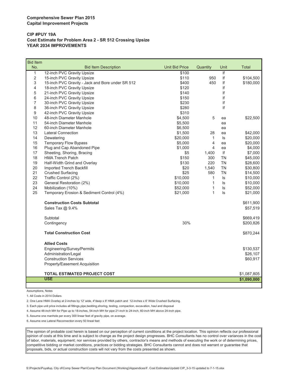#### **Comprehensive Sewer Plan 2015 Capital Improvement Projects**

#### **CIP #PUY 19A Cost Estimate for Problem Area 2 - SR 512 Crossing Upsize YEAR 2034 IMPROVEMENTS**

| <b>Bid Item</b> |                                                  |                       |                |      |              |
|-----------------|--------------------------------------------------|-----------------------|----------------|------|--------------|
| No.             | <b>Bid Item Description</b>                      | <b>Unit Bid Price</b> | Quantity       | Unit | <b>Total</b> |
| 1               | 12-inch PVC Gravity Upsize                       | \$100                 |                | If   |              |
| $\overline{2}$  | 15-inch PVC Gravity Upsize                       | \$110                 | 950            | lf   | \$104,500    |
| 3               | 15-inch PVC Gravity - Jack and Bore under SR 512 | \$400                 | 450            | If   | \$180,000    |
| 4               | 18-inch PVC Gravity Upsize                       | \$120                 |                | If   |              |
| 5               | 21-inch PVC Gravity Upsize                       | \$140                 |                | If   |              |
| 6               | 24-inch PVC Gravity Upsize                       | \$150                 |                | lf   |              |
| 7               | 30-inch PVC Gravity Upsize                       | \$230                 |                | If   |              |
| 8               | 36-inch PVC Gravity Upsize                       | \$280                 |                | If   |              |
| 9               | 42-inch PVC Gravity Upsize                       | \$310                 |                |      |              |
| 10              | 48-inch Diameter Manhole                         | \$4,500               | 5              | ea   | \$22,500     |
| 11              | 54-inch Diameter Manhole                         | \$5,500               |                | ea   |              |
| 12              | 60-inch Diameter Manhole                         | \$6,500               |                | ea   |              |
| 13              | <b>Lateral Connection</b>                        | \$1,500               | 28             | ea   | \$42,000     |
| 14              | Dewatering                                       | \$20,000              | 1              | ls   | \$20,000     |
| 15              | <b>Temporary Flow Bypass</b>                     | \$5,000               | 4              | ea   | \$20,000     |
| 16              | Plug and Cap Abandoned Pipe                      | \$1,000               | $\overline{4}$ | ea   | \$4,000      |
| 17              | Sheeting, Shoring, Bracing                       | \$5                   | 1,400          | lf   | \$7,000      |
| 18              | <b>HMA Trench Patch</b>                          | \$150                 | 300            | TN   | \$45,000     |
| 19              | Half-Width Grind and Overlay                     | \$130                 | 220            | TN   | \$28,600     |
| 20              | Imported Trench Backfill                         | \$20                  | 1,540          | ΤN   | \$30,800     |
| 21              | <b>Crushed Surfacing</b>                         | \$25                  | 580            | TN   | \$14,500     |
| 22              | Traffic Control (2%)                             | \$10,000              | 1              | ls.  | \$10,000     |
| 23              | General Restoration (2%)                         | \$10,000              | $\mathbf{1}$   | ls   | \$10,000     |
| 24              | Mobilization (10%)                               | \$52,000              | $\mathbf{1}$   | ls   | \$52,000     |
| 25              | Temporary Erosion & Sediment Control (4%)        | \$21,000              | 1              | ls.  | \$21,000     |
|                 | <b>Construction Costs Subtotal</b>               |                       |                |      | \$611,900    |
|                 | Sales Tax @ 9.4%                                 |                       |                |      | \$57,519     |
|                 |                                                  |                       |                |      |              |
|                 | Subtotal                                         |                       |                |      | \$669,419    |
|                 | Contingency                                      | 30%                   |                |      | \$200,826    |
|                 | <b>Total Construction Cost</b>                   |                       |                |      | \$870,244    |
|                 |                                                  |                       |                |      |              |
|                 | <b>Allied Costs</b>                              |                       |                |      |              |
|                 | Engineering/Survey/Permits                       |                       |                |      | \$130,537    |
|                 | Administration/Legal                             |                       |                |      | \$26,107     |
|                 | <b>Construction Services</b>                     |                       |                |      | \$60,917     |
|                 | Property/Easement Acquisition                    |                       |                |      |              |
|                 | <b>TOTAL ESTIMATED PROJECT COST</b>              |                       |                |      | \$1,087,805  |
|                 | <b>USE</b>                                       |                       |                |      | \$1,090,000  |
|                 |                                                  |                       |                |      |              |

Assumptions, Notes

L

1. All Costs in 2014 Dollars

2. One Lane HMA Overlay at 2-inches by 12' wide, 4"deep x 8' HMA patch and 12-inches x 6' Wide Crushed Surfacing.

3. Each pipe unit price includes all fittings,pipe,bedding,shoring, testing, compaction, excavation, haul and disposal

4. Assume 48-inch MH for Pipe up to 18-inches, 54-inch MH for pipe 21-inch to 24-inch, 60-inch MH above 24-inch pipe.

5. Assume one manhole per every 300 linear feet of gravity pipe, on average.

6. Assume one Lateral Reconnection every 50 lineal feet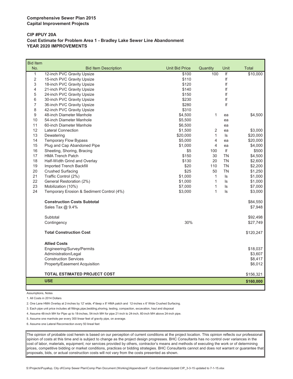#### **CIP #PUY 20A Cost Estimate for Problem Area 1 - Bradley Lake Sewer Line Abandonment YEAR 2020 IMPROVEMENTS**

| <b>Bid Item</b>  |                                           |                       |                |                          |              |
|------------------|-------------------------------------------|-----------------------|----------------|--------------------------|--------------|
| No.              | <b>Bid Item Description</b>               | <b>Unit Bid Price</b> | Quantity       | Unit                     | <b>Total</b> |
| $\mathbf{1}$     | 12-inch PVC Gravity Upsize                | \$100                 | 100            | $\overline{\mathsf{If}}$ | \$10,000     |
| $\overline{2}$   | 15-inch PVC Gravity Upsize                | \$110                 |                | If                       |              |
| 3                | 18-inch PVC Gravity Upsize                | \$120                 |                | If                       |              |
| $\overline{4}$   | 21-inch PVC Gravity Upsize                | \$140                 |                | If                       |              |
| 5                | 24-inch PVC Gravity Upsize                | \$150                 |                | If                       |              |
| 6                | 30-inch PVC Gravity Upsize                | \$230                 |                | If                       |              |
| $\overline{7}$   | 36-inch PVC Gravity Upsize                | \$280                 |                | If                       |              |
| 8                | 42-inch PVC Gravity Upsize                | \$310                 |                |                          |              |
| $\boldsymbol{9}$ | 48-inch Diameter Manhole                  | \$4,500               | 1              | ea                       | \$4,500      |
| 10               | 54-inch Diameter Manhole                  | \$5,500               |                | ea                       |              |
| 11               | 60-inch Diameter Manhole                  | \$6,500               |                | ea                       |              |
| 12               | <b>Lateral Connection</b>                 | \$1,500               | $\overline{2}$ | ea                       | \$3,000      |
| 13               | Dewatering                                | \$20,000              | 1              | ls                       | \$20,000     |
| 14               | <b>Temporary Flow Bypass</b>              | \$5,000               | $\overline{4}$ | ea                       | \$20,000     |
| 15               | Plug and Cap Abandoned Pipe               | \$1,000               | $\overline{4}$ | ea                       | \$4,000      |
| 16               | Sheeting, Shoring, Bracing                | \$5                   | 100            | lf                       | \$500        |
| 17               | <b>HMA Trench Patch</b>                   | \$150                 | 30             | <b>TN</b>                | \$4,500      |
| 18               | Half-Width Grind and Overlay              | \$130                 | 20             | <b>TN</b>                | \$2,600      |
| 19               | Imported Trench Backfill                  | \$20                  | 110            | <b>TN</b>                | \$2,200      |
| 20               | <b>Crushed Surfacing</b>                  | \$25                  | 50             | <b>TN</b>                | \$1,250      |
| 21               | Traffic Control (2%)                      | \$1,000               | $\mathbf{1}$   | ls                       | \$1,000      |
| 22               | General Restoration (2%)                  | \$1,000               | $\mathbf{1}$   | ls                       | \$1,000      |
| 23               | Mobilization (10%)                        | \$7,000               | 1              | ls                       | \$7,000      |
| 24               | Temporary Erosion & Sediment Control (4%) | \$3,000               | 1              | ls.                      | \$3,000      |
|                  | <b>Construction Costs Subtotal</b>        |                       |                |                          | \$84,550     |
|                  | Sales Tax @ 9.4%                          |                       |                |                          | \$7,948      |
|                  |                                           |                       |                |                          |              |
|                  | Subtotal                                  |                       |                |                          | \$92,498     |
|                  | Contingency                               | 30%                   |                |                          | \$27,749     |
|                  | <b>Total Construction Cost</b>            |                       |                |                          | \$120,247    |
|                  | <b>Allied Costs</b>                       |                       |                |                          |              |
|                  | Engineering/Survey/Permits                |                       |                |                          | \$18,037     |
|                  | Administration/Legal                      |                       |                |                          | \$3,607      |
|                  | <b>Construction Services</b>              |                       |                |                          | \$8,417      |
|                  | Property/Easement Acquisition             |                       |                |                          | \$6,012      |
|                  |                                           |                       |                |                          |              |
|                  | <b>TOTAL ESTIMATED PROJECT COST</b>       |                       |                |                          | \$156,321    |
|                  | <b>USE</b>                                |                       |                |                          | \$160,000    |

Assumptions, Notes

1. All Costs in 2014 Dollars

2. One Lane HMA Overlay at 2-inches by 12' wide, 4"deep x 8' HMA patch and 12-inches x 6' Wide Crushed Surfacing.

3. Each pipe unit price includes all fittings,pipe,bedding,shoring, testing, compaction, excavation, haul and disposal

4. Assume 48-inch MH for Pipe up to 18-inches, 54-inch MH for pipe 21-inch to 24-inch, 60-inch MH above 24-inch pipe.

5. Assume one manhole per every 300 linear feet of gravity pipe, on average.

6. Assume one Lateral Reconnection every 50 lineal feet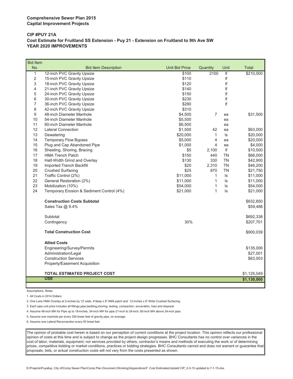#### **CIP #PUY 21A Cost Estimate for Fruitland SS Extension - Puy 21 - Extension on Fruitland to 9th Ave SW YEAR 2020 IMPROVEMENTS**

| <b>Bid Item</b> |                                           |                       |                |                         |              |
|-----------------|-------------------------------------------|-----------------------|----------------|-------------------------|--------------|
| No.             | <b>Bid Item Description</b>               | <b>Unit Bid Price</b> | Quantity       | Unit                    | <b>Total</b> |
| $\mathbf{1}$    | 12-inch PVC Gravity Upsize                | \$100                 | 2100           | $\overline{\mathbf{f}}$ | \$210,000    |
| $\overline{2}$  | 15-inch PVC Gravity Upsize                | \$110                 |                | lf                      |              |
| 3               | 18-inch PVC Gravity Upsize                | \$120                 |                | If                      |              |
| 4               | 21-inch PVC Gravity Upsize                | \$140                 |                | If                      |              |
| 5               | 24-inch PVC Gravity Upsize                | \$150                 |                | If                      |              |
| 6               | 30-inch PVC Gravity Upsize                | \$230                 |                | lf                      |              |
| $\overline{7}$  | 36-inch PVC Gravity Upsize                | \$280                 |                | If                      |              |
| 8               | 42-inch PVC Gravity Upsize                | \$310                 |                |                         |              |
| 9               | 48-inch Diameter Manhole                  | \$4,500               | $\overline{7}$ | ea                      | \$31,500     |
| 10              | 54-inch Diameter Manhole                  | \$5,500               |                | ea                      |              |
| 11              | 60-inch Diameter Manhole                  | \$6,500               |                | ea                      |              |
| 12              | <b>Lateral Connection</b>                 | \$1,500               | 42             | ea                      | \$63,000     |
| 13              | Dewatering                                | \$20,000              | $\mathbf{1}$   | ls                      | \$20,000     |
| 14              | Temporary Flow Bypass                     | \$5,000               | $\overline{4}$ | ea                      | \$20,000     |
| 15              | Plug and Cap Abandoned Pipe               | \$1,000               | $\overline{4}$ | ea                      | \$4,000      |
| 16              | Sheeting, Shoring, Bracing                | \$5                   | 2,100          | f                       | \$10,500     |
| 17              | <b>HMA Trench Patch</b>                   | \$150                 | 440            | <b>TN</b>               | \$66,000     |
| 18              | Half-Width Grind and Overlay              | \$130                 | 330            | <b>TN</b>               | \$42,900     |
| 19              | Imported Trench Backfill                  | \$20                  | 2,310          | <b>TN</b>               | \$46,200     |
| 20              | <b>Crushed Surfacing</b>                  | \$25                  | 870            | <b>TN</b>               | \$21,750     |
| 21              | Traffic Control (2%)                      | \$11,000              | $\mathbf{1}$   | ls                      | \$11,000     |
| 22              | General Restoration (2%)                  | \$11,000              | 1              | ls.                     | \$11,000     |
| 23              | Mobilization (10%)                        | \$54,000              | 1              | ls                      | \$54,000     |
| 24              | Temporary Erosion & Sediment Control (4%) | \$21,000              | 1              | ls                      | \$21,000     |
|                 | <b>Construction Costs Subtotal</b>        |                       |                |                         | \$632,850    |
|                 | Sales Tax @ 9.4%                          |                       |                |                         | \$59,488     |
|                 | Subtotal                                  |                       |                |                         | \$692,338    |
|                 | Contingency                               | 30%                   |                |                         | \$207,701    |
|                 | <b>Total Construction Cost</b>            |                       |                |                         | \$900,039    |
|                 | <b>Allied Costs</b>                       |                       |                |                         |              |
|                 | Engineering/Survey/Permits                |                       |                |                         | \$135,006    |
|                 | Administration/Legal                      |                       |                |                         | \$27,001     |
|                 | <b>Construction Services</b>              |                       |                |                         | \$63,003     |
|                 | Property/Easement Acquisition             |                       |                |                         |              |
|                 | TOTAL ESTIMATED PROJECT COST              |                       |                |                         | \$1,125,049  |
|                 | <b>USE</b>                                |                       |                |                         | \$1,130,000  |
|                 |                                           |                       |                |                         |              |

Assumptions, Notes

1. All Costs in 2014 Dollars

2. One Lane HMA Overlay at 2-inches by 12' wide, 4"deep x 8' HMA patch and 12-inches x 6' Wide Crushed Surfacing.

3. Each pipe unit price includes all fittings,pipe,bedding,shoring, testing, compaction, excavation, haul and disposal

4. Assume 48-inch MH for Pipe up to 18-inches, 54-inch MH for pipe 21-inch to 24-inch, 60-inch MH above 24-inch pipe.

5. Assume one manhole per every 300 linear feet of gravity pipe, on average.

6. Assume one Lateral Reconnection every 50 lineal feet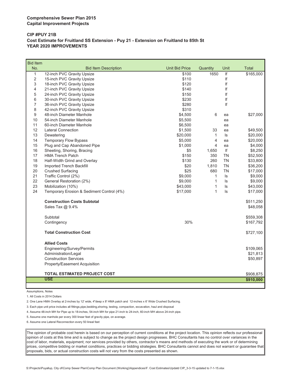#### **CIP #PUY 21B Cost Estimate for Fruitland SS Extension - Puy 21 - Extension on Fruitland to 85th St YEAR 2020 IMPROVEMENTS**

| <b>Bid Item</b> |                                           |                       |                |           |           |
|-----------------|-------------------------------------------|-----------------------|----------------|-----------|-----------|
| No.             | <b>Bid Item Description</b>               | <b>Unit Bid Price</b> | Quantity       | Unit      | Total     |
| $\mathbf{1}$    | 12-inch PVC Gravity Upsize                | \$100                 | 1650           | lf        | \$165,000 |
| $\overline{2}$  | 15-inch PVC Gravity Upsize                | \$110                 |                | If        |           |
| 3               | 18-inch PVC Gravity Upsize                | \$120                 |                | If        |           |
| 4               | 21-inch PVC Gravity Upsize                | \$140                 |                | If        |           |
| 5               | 24-inch PVC Gravity Upsize                | \$150                 |                | If        |           |
| 6               | 30-inch PVC Gravity Upsize                | \$230                 |                | If        |           |
| 7               | 36-inch PVC Gravity Upsize                | \$280                 |                | If        |           |
| 8               | 42-inch PVC Gravity Upsize                | \$310                 |                |           |           |
| 9               | 48-inch Diameter Manhole                  | \$4,500               | 6              | ea        | \$27,000  |
| 10              | 54-inch Diameter Manhole                  | \$5,500               |                | ea        |           |
| 11              | 60-inch Diameter Manhole                  | \$6,500               |                | ea        |           |
| 12              | <b>Lateral Connection</b>                 | \$1,500               | 33             | ea        | \$49,500  |
| 13              | Dewatering                                | \$20,000              | $\mathbf{1}$   | ls        | \$20,000  |
| 14              | <b>Temporary Flow Bypass</b>              | \$5,000               | 4              | ea        | \$20,000  |
| 15              | Plug and Cap Abandoned Pipe               | \$1,000               | $\overline{4}$ | ea        | \$4,000   |
| 16              | Sheeting, Shoring, Bracing                | \$5                   | 1,650          | If        | \$8,250   |
| 17              | <b>HMA Trench Patch</b>                   | \$150                 | 350            | TN        | \$52,500  |
| 18              | Half-Width Grind and Overlay              | \$130                 | 260            | <b>TN</b> | \$33,800  |
| 19              | Imported Trench Backfill                  | \$20                  | 1,810          | TN        | \$36,200  |
| 20              | <b>Crushed Surfacing</b>                  | \$25                  | 680            | <b>TN</b> | \$17,000  |
| 21              | Traffic Control (2%)                      | \$9,000               | $\mathbf{1}$   | ls        | \$9,000   |
| 22              | General Restoration (2%)                  | \$9,000               | $\mathbf{1}$   | ls        | \$9,000   |
| 23              | Mobilization (10%)                        | \$43,000              | $\mathbf{1}$   | ls        | \$43,000  |
| 24              | Temporary Erosion & Sediment Control (4%) | \$17,000              | $\mathbf{1}$   | ls        | \$17,000  |
|                 | <b>Construction Costs Subtotal</b>        |                       |                |           | \$511,250 |
|                 | Sales Tax @ 9.4%                          |                       |                |           | \$48,058  |
|                 | Subtotal                                  |                       |                |           | \$559,308 |
|                 | Contingency                               | 30%                   |                |           | \$167,792 |
|                 | <b>Total Construction Cost</b>            |                       |                |           | \$727,100 |
|                 | <b>Allied Costs</b>                       |                       |                |           |           |
|                 | Engineering/Survey/Permits                |                       |                |           | \$109,065 |
|                 | Administration/Legal                      |                       |                |           | \$21,813  |
|                 | <b>Construction Services</b>              |                       |                |           | \$50,897  |
|                 | Property/Easement Acquisition             |                       |                |           |           |
|                 |                                           |                       |                |           |           |
|                 | <b>TOTAL ESTIMATED PROJECT COST</b>       |                       |                |           | \$908,875 |
|                 | <b>USE</b>                                |                       |                |           | \$910,000 |
|                 |                                           |                       |                |           |           |

Assumptions, Notes

1. All Costs in 2014 Dollars

2. One Lane HMA Overlay at 2-inches by 12' wide, 4"deep x 8' HMA patch and 12-inches x 6' Wide Crushed Surfacing.

3. Each pipe unit price includes all fittings,pipe,bedding,shoring, testing, compaction, excavation, haul and disposal

4. Assume 48-inch MH for Pipe up to 18-inches, 54-inch MH for pipe 21-inch to 24-inch, 60-inch MH above 24-inch pipe.

5. Assume one manhole per every 300 linear feet of gravity pipe, on average.

6. Assume one Lateral Reconnection every 50 lineal feet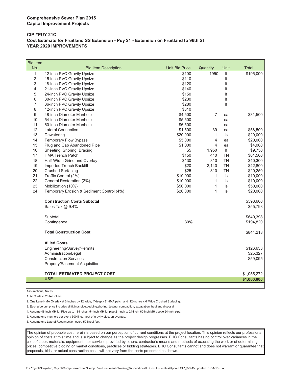#### **CIP #PUY 21C Cost Estimate for Fruitland SS Extension - Puy 21 - Extension on Fruitland to 96th St YEAR 2020 IMPROVEMENTS**

| <b>Bid Item</b> |                                                   |                       |                |           |             |
|-----------------|---------------------------------------------------|-----------------------|----------------|-----------|-------------|
| No.             | <b>Bid Item Description</b>                       | <b>Unit Bid Price</b> | Quantity       | Unit      | Total       |
| $\mathbf{1}$    | 12-inch PVC Gravity Upsize                        | \$100                 | 1950           | If        | \$195,000   |
| $\overline{2}$  | 15-inch PVC Gravity Upsize                        | \$110                 |                | lf        |             |
| 3               | 18-inch PVC Gravity Upsize                        | \$120                 |                | If        |             |
| 4               | 21-inch PVC Gravity Upsize                        | \$140                 |                | lf        |             |
| 5               | 24-inch PVC Gravity Upsize                        | \$150                 |                | lf        |             |
| 6               | 30-inch PVC Gravity Upsize                        | \$230                 |                | If        |             |
| $\overline{7}$  | 36-inch PVC Gravity Upsize                        | \$280                 |                | lf        |             |
| 8               | 42-inch PVC Gravity Upsize                        | \$310                 |                |           |             |
| 9               | 48-inch Diameter Manhole                          | \$4,500               | $\overline{7}$ | ea        | \$31,500    |
| 10              | 54-inch Diameter Manhole                          | \$5,500               |                | ea        |             |
| 11              | 60-inch Diameter Manhole                          | \$6,500               |                | ea        |             |
| 12              | <b>Lateral Connection</b>                         | \$1,500               | 39             | ea        | \$58,500    |
| 13              | Dewatering                                        | \$20,000              | 1              | ls        | \$20,000    |
| 14              | <b>Temporary Flow Bypass</b>                      | \$5,000               | 4              | ea        | \$20,000    |
| 15              | Plug and Cap Abandoned Pipe                       | \$1,000               | 4              | ea        | \$4,000     |
| 16              | Sheeting, Shoring, Bracing                        | \$5                   | 1,950          | lf        | \$9,750     |
| 17              | <b>HMA Trench Patch</b>                           | \$150                 | 410            | <b>TN</b> | \$61,500    |
| 18              | Half-Width Grind and Overlay                      | \$130                 | 310            | <b>TN</b> | \$40,300    |
| 19              | Imported Trench Backfill                          | \$20                  | 2,140          | <b>TN</b> | \$42,800    |
| 20              | <b>Crushed Surfacing</b>                          | \$25                  | 810            | <b>TN</b> | \$20,250    |
| 21              | Traffic Control (2%)                              | \$10,000              | $\mathbf{1}$   | ls        | \$10,000    |
| 22              | General Restoration (2%)                          | \$10,000              | $\mathbf{1}$   | ls        | \$10,000    |
| 23              | Mobilization (10%)                                | \$50,000              | $\mathbf{1}$   | ls        | \$50,000    |
| 24              | Temporary Erosion & Sediment Control (4%)         | \$20,000              | $\mathbf{1}$   | ls.       | \$20,000    |
|                 | <b>Construction Costs Subtotal</b>                |                       |                |           | \$593,600   |
|                 | Sales Tax @ 9.4%                                  |                       |                |           | \$55,798    |
|                 | Subtotal                                          |                       |                |           | \$649,398   |
|                 | Contingency                                       | 30%                   |                |           | \$194,820   |
|                 | <b>Total Construction Cost</b>                    |                       |                |           | \$844,218   |
|                 | <b>Allied Costs</b>                               |                       |                |           |             |
|                 | Engineering/Survey/Permits                        |                       |                |           | \$126,633   |
|                 | Administration/Legal                              |                       |                |           | \$25,327    |
|                 | <b>Construction Services</b>                      |                       |                |           | \$59,095    |
|                 | Property/Easement Acquisition                     |                       |                |           |             |
|                 |                                                   |                       |                |           |             |
|                 | <b>TOTAL ESTIMATED PROJECT COST</b><br><b>USE</b> |                       |                |           | \$1,055,272 |
|                 |                                                   |                       |                |           | \$1,060,000 |

Assumptions, Notes

ι

1. All Costs in 2014 Dollars

2. One Lane HMA Overlay at 2-inches by 12' wide, 4"deep x 8' HMA patch and 12-inches x 6' Wide Crushed Surfacing.

3. Each pipe unit price includes all fittings,pipe,bedding,shoring, testing, compaction, excavation, haul and disposal

4. Assume 48-inch MH for Pipe up to 18-inches, 54-inch MH for pipe 21-inch to 24-inch, 60-inch MH above 24-inch pipe.

5. Assume one manhole per every 300 linear feet of gravity pipe, on average.

6. Assume one Lateral Reconnection every 50 lineal feet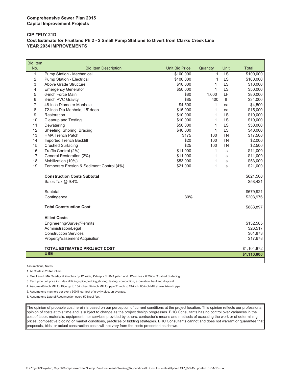#### **CIP #PUY 21D Cost Estimate for Fruitland Ph 2 - 2 Small Pump Stations to Divert from Clarks Creek Line YEAR 2034 IMPROVEMENTS**

| <b>Bid Item</b> |                                                    |                       |              |               |              |
|-----------------|----------------------------------------------------|-----------------------|--------------|---------------|--------------|
| No.             | <b>Bid Item Description</b>                        | <b>Unit Bid Price</b> | Quantity     | Unit          | <b>Total</b> |
| $\mathbf{1}$    | Pump Station - Mechanical                          | \$100,000             | $\mathbf{1}$ | LS            | \$100,000    |
| $\overline{2}$  | Pump Station - Electrical                          | \$100,000             | 1            | <b>LS</b>     | \$100,000    |
| 3               | Above Grade Structure                              | \$10,000              | 1            | LS            | \$10,000     |
| 4               | <b>Emergency Generator</b>                         | \$50,000              | 1            | LS            | \$50,000     |
| 5               | 6-inch Force Main                                  | \$80                  | 1,000        | LF            | \$80,000     |
| 6               | 8-inch PVC Gravity                                 | \$85                  | 400          | If            | \$34,000     |
| $\overline{7}$  | 48-inch Diameter Manhole                           | \$4,500               | 1            | ea            | \$4,500      |
| 8               | 72-inch Dia Manhole, 15' deep                      | \$15,000              | $\mathbf{1}$ | ea            | \$15,000     |
| 9               | Restoration                                        | \$10,000              | 1            | <b>LS</b>     | \$10,000     |
| 10              | Cleanup and Testing                                | \$10,000              | $\mathbf{1}$ | LS            | \$10,000     |
| 11              | Dewatering                                         | \$50,000              | $\mathbf{1}$ | LS            | \$50,000     |
| 12              | Sheeting, Shoring, Bracing                         | \$40,000              | $\mathbf{1}$ | <b>LS</b>     | \$40,000     |
| 13              | <b>HMA Trench Patch</b>                            | \$175                 | 100          | <b>TN</b>     | \$17,500     |
| 14              | <b>Imported Trench Backfill</b>                    | \$20                  | 100          | <b>TN</b>     | \$2,000      |
| 15              | <b>Crushed Surfacing</b>                           | \$25                  | 100          | <b>TN</b>     | \$2,500      |
| 16              | Traffic Control (2%)                               | \$11,000              | 1            | $\sf ls$      | \$11,000     |
| 17              | General Restoration (2%)                           | \$11,000              | $\mathbf{1}$ | $\vert s$     | \$11,000     |
| 18              | Mobilization (10%)                                 | \$53,000              | $\mathbf{1}$ | $\sf ls$      | \$53,000     |
| 19              | Temporary Erosion & Sediment Control (4%)          | \$21,000              | $\mathbf{1}$ | $\mathsf{ls}$ | \$21,000     |
|                 | <b>Construction Costs Subtotal</b>                 |                       |              |               | \$621,500    |
|                 | Sales Tax @ 9.4%                                   |                       |              |               | \$58,421     |
|                 | Subtotal                                           |                       |              |               | \$679,921    |
|                 | Contingency                                        | 30%                   |              |               | \$203,976    |
|                 | <b>Total Construction Cost</b>                     |                       |              |               | \$883,897    |
|                 | <b>Allied Costs</b>                                |                       |              |               |              |
|                 |                                                    |                       |              |               | \$132,585    |
|                 | Engineering/Survey/Permits<br>Administration/Legal |                       |              |               | \$26,517     |
|                 | <b>Construction Services</b>                       |                       |              |               | \$61,873     |
|                 | Property/Easement Acquisition                      |                       |              |               | \$17,678     |
|                 |                                                    |                       |              |               |              |
|                 | <b>TOTAL ESTIMATED PROJECT COST</b>                |                       |              |               | \$1,104,872  |
|                 | <b>USE</b>                                         |                       |              |               | \$1,110,000  |
|                 |                                                    |                       |              |               |              |

Assumptions, Notes

1. All Costs in 2014 Dollars

2. One Lane HMA Overlay at 2-inches by 12' wide, 4"deep x 8' HMA patch and 12-inches x 6' Wide Crushed Surfacing.

3. Each pipe unit price includes all fittings,pipe,bedding,shoring, testing, compaction, excavation, haul and disposal

4. Assume 48-inch MH for Pipe up to 18-inches, 54-inch MH for pipe 21-inch to 24-inch, 60-inch MH above 24-inch pipe.

5. Assume one manhole per every 300 linear feet of gravity pipe, on average.

6. Assume one Lateral Reconnection every 50 lineal feet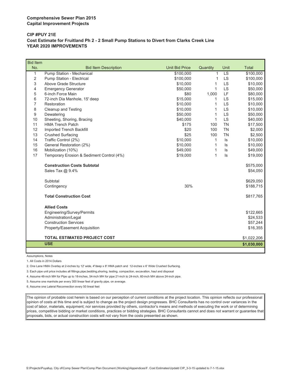#### **CIP #PUY 21E Cost Estimate for Fruitland Ph 2 - 2 Small Pump Stations to Divert from Clarks Creek Line YEAR 2020 IMPROVEMENTS**

| <b>Bid Item</b> |                                           |                       |              |           |              |
|-----------------|-------------------------------------------|-----------------------|--------------|-----------|--------------|
| No.             | <b>Bid Item Description</b>               | <b>Unit Bid Price</b> | Quantity     | Unit      | <b>Total</b> |
| 1               | Pump Station - Mechanical                 | \$100,000             | $\mathbf{1}$ | LS        | \$100,000    |
| $\overline{2}$  | <b>Pump Station - Electrical</b>          | \$100,000             | 1            | LS        | \$100,000    |
| 3               | Above Grade Structure                     | \$10,000              | 1            | <b>LS</b> | \$10,000     |
| 4               | <b>Emergency Generator</b>                | \$50,000              | 1            | LS        | \$50,000     |
| 5               | 6-inch Force Main                         | \$80                  | 1,000        | LF        | \$80,000     |
| 6               | 72-inch Dia Manhole, 15' deep             | \$15,000              | 1            | <b>LS</b> | \$15,000     |
| $\overline{7}$  | Restoration                               | \$10,000              | 1            | LS        | \$10,000     |
| 8               | Cleanup and Testing                       | \$10,000              | 1            | LS        | \$10,000     |
| 9               | Dewatering                                | \$50,000              | 1            | LS        | \$50,000     |
| 10              | Sheeting, Shoring, Bracing                | \$40,000              | 1            | LS        | \$40,000     |
| 11              | <b>HMA Trench Patch</b>                   | \$175                 | 100          | <b>TN</b> | \$17,500     |
| 12              | Imported Trench Backfill                  | \$20                  | 100          | <b>TN</b> | \$2,000      |
| 13              | <b>Crushed Surfacing</b>                  | \$25                  | 100          | <b>TN</b> | \$2,500      |
| 14              | Traffic Control (2%)                      | \$10,000              | 1            | ls        | \$10,000     |
| 15              | General Restoration (2%)                  | \$10,000              | 1            | ls        | \$10,000     |
| 16              | Mobilization (10%)                        | \$49,000              | 1            | ls        | \$49,000     |
| 17              | Temporary Erosion & Sediment Control (4%) | \$19,000              | 1            | $\sf ls$  | \$19,000     |
|                 | <b>Construction Costs Subtotal</b>        |                       |              |           | \$575,000    |
|                 | Sales Tax @ 9.4%                          |                       |              |           | \$54,050     |
|                 | Subtotal                                  |                       |              |           | \$629,050    |
|                 | Contingency                               | 30%                   |              |           | \$188,715    |
|                 | <b>Total Construction Cost</b>            |                       |              |           | \$817,765    |
|                 | <b>Allied Costs</b>                       |                       |              |           |              |
|                 | Engineering/Survey/Permits                |                       |              |           | \$122,665    |
|                 | Administration/Legal                      |                       |              |           | \$24,533     |
|                 | <b>Construction Services</b>              |                       |              |           | \$57,244     |
|                 | Property/Easement Acquisition             |                       |              |           | \$16,355     |
|                 | <b>TOTAL ESTIMATED PROJECT COST</b>       |                       |              |           | \$1,022,206  |
|                 | <b>USE</b>                                |                       |              |           | \$1,030,000  |
|                 |                                           |                       |              |           |              |

Assumptions, Notes

1. All Costs in 2014 Dollars

2. One Lane HMA Overlay at 2-inches by 12' wide, 4"deep x 8' HMA patch and 12-inches x 6' Wide Crushed Surfacing.

3. Each pipe unit price includes all fittings,pipe,bedding,shoring, testing, compaction, excavation, haul and disposal

4. Assume 48-inch MH for Pipe up to 18-inches, 54-inch MH for pipe 21-inch to 24-inch, 60-inch MH above 24-inch pipe.

5. Assume one manhole per every 300 linear feet of gravity pipe, on average.

6. Assume one Lateral Reconnection every 50 lineal feet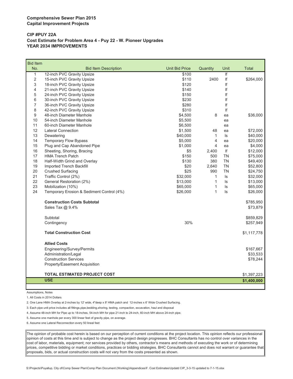#### **CIP #PUY 22A Cost Estimate for Problem Area 4 - Puy 22 - W. Pioneer Upgrades YEAR 2034 IMPROVEMENTS**

| <b>Bid Item</b> |                                           |                       |              |           |              |
|-----------------|-------------------------------------------|-----------------------|--------------|-----------|--------------|
| No.             | <b>Bid Item Description</b>               | <b>Unit Bid Price</b> | Quantity     | Unit      | <b>Total</b> |
| $\mathbf{1}$    | 12-inch PVC Gravity Upsize                | \$100                 |              | f         |              |
| $\overline{2}$  | 15-inch PVC Gravity Upsize                | \$110                 | 2400         | If        | \$264,000    |
| 3               | 18-inch PVC Gravity Upsize                | \$120                 |              | If        |              |
| 4               | 21-inch PVC Gravity Upsize                | \$140                 |              | If        |              |
| 5               | 24-inch PVC Gravity Upsize                | \$150                 |              | If        |              |
| 6               | 30-inch PVC Gravity Upsize                | \$230                 |              | If        |              |
| 7               | 36-inch PVC Gravity Upsize                | \$280                 |              | lf        |              |
| 8               | 42-inch PVC Gravity Upsize                | \$310                 |              | lf        |              |
| 9               | 48-inch Diameter Manhole                  | \$4,500               | 8            | ea        | \$36,000     |
| 10              | 54-inch Diameter Manhole                  | \$5,500               |              | ea        |              |
| 11              | 60-inch Diameter Manhole                  | \$6,500               |              | ea        |              |
| 12              | <b>Lateral Connection</b>                 | \$1,500               | 48           | ea        | \$72,000     |
| 13              | Dewatering                                | \$40,000              | $\mathbf{1}$ | $\sf ls$  | \$40,000     |
| 14              | <b>Temporary Flow Bypass</b>              | \$5,000               | 4            | ea        | \$20,000     |
| 15              | Plug and Cap Abandoned Pipe               | \$1,000               | 4            | ea        | \$4,000      |
| 16              | Sheeting, Shoring, Bracing                | \$5                   | 2,400        | If        | \$12,000     |
| 17              | <b>HMA Trench Patch</b>                   | \$150                 | 500          | TN        | \$75,000     |
| 18              | Half-Width Grind and Overlay              | \$130                 | 380          | <b>TN</b> | \$49,400     |
| 19              | Imported Trench Backfill                  | \$20                  | 2,640        | <b>TN</b> | \$52,800     |
| 20              | <b>Crushed Surfacing</b>                  | \$25                  | 990          | <b>TN</b> | \$24,750     |
| 21              | Traffic Control (2%)                      | \$32,000              | 1            | ls        | \$32,000     |
| 22              | General Restoration (2%)                  | \$13,000              | $\mathbf{1}$ | ls        | \$13,000     |
| 23              | Mobilization (10%)                        | \$65,000              | 1            | ls        | \$65,000     |
| 24              | Temporary Erosion & Sediment Control (4%) | \$26,000              | 1            | ls        | \$26,000     |
|                 | <b>Construction Costs Subtotal</b>        |                       |              |           | \$785,950    |
|                 | Sales Tax @ 9.4%                          |                       |              |           | \$73,879     |
|                 | Subtotal                                  |                       |              |           | \$859,829    |
|                 | Contingency                               | 30%                   |              |           | \$257,949    |
|                 | <b>Total Construction Cost</b>            |                       |              |           | \$1,117,778  |
|                 | <b>Allied Costs</b>                       |                       |              |           |              |
|                 | Engineering/Survey/Permits                |                       |              |           | \$167,667    |
|                 | Administration/Legal                      |                       |              |           | \$33,533     |
|                 | <b>Construction Services</b>              |                       |              |           | \$78,244     |
|                 | Property/Easement Acquisition             |                       |              |           |              |
|                 | TOTAL ESTIMATED PROJECT COST              |                       |              |           | \$1,397,223  |
|                 | <b>USE</b>                                |                       |              |           | \$1,400,000  |
|                 |                                           |                       |              |           |              |

Assumptions, Notes

1. All Costs in 2014 Dollars

2. One Lane HMA Overlay at 2-inches by 12' wide, 4"deep x 8' HMA patch and 12-inches x 6' Wide Crushed Surfacing.

3. Each pipe unit price includes all fittings,pipe,bedding,shoring, testing, compaction, excavation, haul and disposal

4. Assume 48-inch MH for Pipe up to 18-inches, 54-inch MH for pipe 21-inch to 24-inch, 60-inch MH above 24-inch pipe.

5. Assume one manhole per every 300 linear feet of gravity pipe, on average.

6. Assume one Lateral Reconnection every 50 lineal feet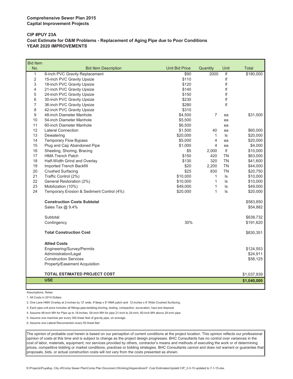#### **CIP #PUY 23A Cost Estimate for O&M Problems - Replacement of Aging Pipe due to Poor Conditions YEAR 2020 IMPROVEMENTS**

| <b>Bid Item</b> |                                           |                       |                |                         |             |
|-----------------|-------------------------------------------|-----------------------|----------------|-------------------------|-------------|
| No.             | <b>Bid Item Description</b>               | <b>Unit Bid Price</b> | Quantity       | Unit                    | Total       |
| $\mathbf{1}$    | 8-inch PVC Gravity Replacement            | \$90                  | 2000           | $\overline{\mathbf{f}}$ | \$180,000   |
| $\overline{2}$  | 15-inch PVC Gravity Upsize                | \$110                 |                | If                      |             |
| 3               | 18-inch PVC Gravity Upsize                | \$120                 |                | If                      |             |
| 4               | 21-inch PVC Gravity Upsize                | \$140                 |                | lf                      |             |
| 5               | 24-inch PVC Gravity Upsize                | \$150                 |                | If                      |             |
| 6               | 30-inch PVC Gravity Upsize                | \$230                 |                | If                      |             |
| 7               | 36-inch PVC Gravity Upsize                | \$280                 |                | If                      |             |
| 8               | 42-inch PVC Gravity Upsize                | \$310                 |                |                         |             |
| 9               | 48-inch Diameter Manhole                  | \$4,500               | $\overline{7}$ | ea                      | \$31,500    |
| 10              | 54-inch Diameter Manhole                  | \$5,500               |                | ea                      |             |
| 11              | 60-inch Diameter Manhole                  | \$6,500               |                | ea                      |             |
| 12              | <b>Lateral Connection</b>                 | \$1,500               | 40             | ea                      | \$60,000    |
| 13              | Dewatering                                | \$20,000              | 1              | ls                      | \$20,000    |
| 14              | <b>Temporary Flow Bypass</b>              | \$5,000               | 4              | ea                      | \$20,000    |
| 15              | Plug and Cap Abandoned Pipe               | \$1,000               | 4              | ea                      | \$4,000     |
| 16              | Sheeting, Shoring, Bracing                | \$5                   | 2,000          | If                      | \$10,000    |
| 17              | <b>HMA Trench Patch</b>                   | \$150                 | 420            | <b>TN</b>               | \$63,000    |
| 18              | Half-Width Grind and Overlay              | \$130                 | 320            | <b>TN</b>               | \$41,600    |
| 19              | Imported Trench Backfill                  | \$20                  | 2,200          | <b>TN</b>               | \$44,000    |
| 20              | <b>Crushed Surfacing</b>                  | \$25                  | 830            | <b>TN</b>               | \$20,750    |
| 21              | Traffic Control (2%)                      | \$10,000              | $\mathbf{1}$   | ls                      | \$10,000    |
| 22              | General Restoration (2%)                  | \$10,000              | 1              | ls                      | \$10,000    |
| 23              | Mobilization (10%)                        | \$49,000              | $\mathbf{1}$   | ls.                     | \$49,000    |
| 24              | Temporary Erosion & Sediment Control (4%) | \$20,000              | 1              | ls                      | \$20,000    |
|                 | <b>Construction Costs Subtotal</b>        |                       |                |                         | \$583,850   |
|                 | Sales Tax @ 9.4%                          |                       |                |                         | \$54,882    |
|                 | Subtotal                                  |                       |                |                         | \$638,732   |
|                 | Contingency                               | 30%                   |                |                         | \$191,620   |
|                 | <b>Total Construction Cost</b>            |                       |                |                         | \$830,351   |
|                 | <b>Allied Costs</b>                       |                       |                |                         |             |
|                 | Engineering/Survey/Permits                |                       |                |                         | \$124,553   |
|                 | Administration/Legal                      |                       |                |                         | \$24,911    |
|                 | <b>Construction Services</b>              |                       |                |                         | \$58,125    |
|                 | Property/Easement Acquisition             |                       |                |                         |             |
|                 |                                           |                       |                |                         |             |
|                 | <b>TOTAL ESTIMATED PROJECT COST</b>       |                       |                |                         | \$1,037,939 |
|                 | <b>USE</b>                                |                       |                |                         | \$1,040,000 |
|                 |                                           |                       |                |                         |             |

Assumptions, Notes

L

1. All Costs in 2014 Dollars

2. One Lane HMA Overlay at 2-inches by 12' wide, 4"deep x 8' HMA patch and 12-inches x 6' Wide Crushed Surfacing.

3. Each pipe unit price includes all fittings,pipe,bedding,shoring, testing, compaction, excavation, haul and disposal

4. Assume 48-inch MH for Pipe up to 18-inches, 54-inch MH for pipe 21-inch to 24-inch, 60-inch MH above 24-inch pipe.

5. Assume one manhole per every 300 linear feet of gravity pipe, on average.

6. Assume one Lateral Reconnection every 50 lineal feet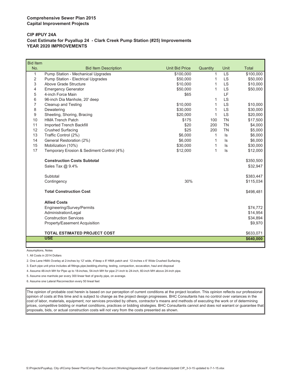#### **CIP #PUY 24A Cost Estimate for Puyallup 24 - Clark Creek Pump Station (#25) Improvements YEAR 2020 IMPROVEMENTS**

| <b>Bid Item</b> |                                           |                       |          |           |              |
|-----------------|-------------------------------------------|-----------------------|----------|-----------|--------------|
| No.             | <b>Bid Item Description</b>               | <b>Unit Bid Price</b> | Quantity | Unit      | <b>Total</b> |
| 1               | Pump Station - Mechanical Upgrades        | \$100,000             | 1        | <b>LS</b> | \$100,000    |
| 2               | Pump Station - Electrical Upgrades        | \$50,000              | 1        | <b>LS</b> | \$50,000     |
| 3               | Above Grade Structure                     | \$10,000              | 1        | LS        | \$10,000     |
| 4               | <b>Emergency Generator</b>                | \$50,000              | 1        | <b>LS</b> | \$50,000     |
| 5               | 4-inch Force Main                         | \$65                  |          | LF        |              |
| 6               | 96-inch Dia Manhole, 20' deep             |                       | 1        | <b>LS</b> |              |
| 7               | <b>Cleanup and Testing</b>                | \$10,000              | 1        | <b>LS</b> | \$10,000     |
| 8               | Dewatering                                | \$30,000              | 1        | <b>LS</b> | \$30,000     |
| 9               | Sheeting, Shoring, Bracing                | \$20,000              | 1        | <b>LS</b> | \$20,000     |
| 10              | <b>HMA Trench Patch</b>                   | \$175                 | 100      | <b>TN</b> | \$17,500     |
| 11              | <b>Imported Trench Backfill</b>           | \$20                  | 200      | <b>TN</b> | \$4,000      |
| 12              | <b>Crushed Surfacing</b>                  | \$25                  | 200      | <b>TN</b> | \$5,000      |
| 13              | Traffic Control (2%)                      | \$6,000               | 1        | ls        | \$6,000      |
| 14              | General Restoration (2%)                  | \$6,000               | 1        | ls        | \$6,000      |
| 15              | Mobilization (10%)                        | \$30,000              | 1        | ls        | \$30,000     |
| 17              | Temporary Erosion & Sediment Control (4%) | \$12,000              | 1        | ls        | \$12,000     |
|                 | <b>Construction Costs Subtotal</b>        |                       |          |           | \$350,500    |
|                 | Sales Tax @ 9.4%                          |                       |          |           | \$32,947     |
|                 | Subtotal                                  |                       |          |           | \$383,447    |
|                 | Contingency                               | 30%                   |          |           | \$115,034    |
|                 | <b>Total Construction Cost</b>            |                       |          |           | \$498,481    |
|                 | <b>Allied Costs</b>                       |                       |          |           |              |
|                 | Engineering/Survey/Permits                |                       |          |           | \$74,772     |
|                 | Administration/Legal                      |                       |          |           | \$14,954     |
|                 | <b>Construction Services</b>              |                       |          |           | \$34,894     |
|                 | Property/Easement Acquisition             |                       |          |           | \$9,970      |
|                 | <b>TOTAL ESTIMATED PROJECT COST</b>       |                       |          |           | \$633,071    |
|                 | <b>USE</b>                                |                       |          |           | \$640,000    |
|                 |                                           |                       |          |           |              |

Assumptions, Notes

ı

1. All Costs in 2014 Dollars

2. One Lane HMA Overlay at 2-inches by 12' wide, 4"deep x 8' HMA patch and 12-inches x 6' Wide Crushed Surfacing.

3. Each pipe unit price includes all fittings,pipe,bedding,shoring, testing, compaction, excavation, haul and disposal

4. Assume 48-inch MH for Pipe up to 18-inches, 54-inch MH for pipe 21-inch to 24-inch, 60-inch MH above 24-inch pipe.

5. Assume one manhole per every 300 linear feet of gravity pipe, on average.

6. Assume one Lateral Reconnection every 50 lineal feet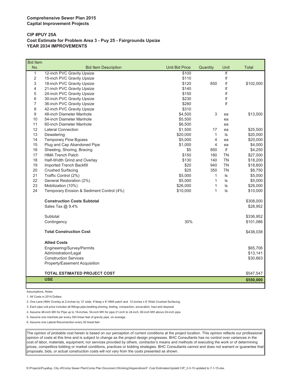#### **CIP #PUY 25A Cost Estimate for Problem Area 3 - Puy 25 - Fairgrounds Upsize YEAR 2034 IMPROVEMENTS**

| No.<br><b>Unit Bid Price</b><br><b>Total</b><br><b>Bid Item Description</b><br>Quantity<br>Unit<br>$\overline{\mathsf{If}}$<br>$\mathbf{1}$<br>12-inch PVC Gravity Upsize<br>\$100<br>$\overline{2}$<br>lf<br>\$110<br>15-inch PVC Gravity Upsize<br>3<br>\$120<br>850<br>If<br>18-inch PVC Gravity Upsize<br>\$102,000<br>4<br>21-inch PVC Gravity Upsize<br>\$140<br>lf<br>5<br>If<br>24-inch PVC Gravity Upsize<br>\$150<br>lf<br>6<br>30-inch PVC Gravity Upsize<br>\$230<br>If<br>$\overline{7}$<br>36-inch PVC Gravity Upsize<br>\$280<br>\$310<br>8<br>42-inch PVC Gravity Upsize<br>9<br>48-inch Diameter Manhole<br>\$4,500<br>3<br>\$13,500<br>ea<br>10<br>54-inch Diameter Manhole<br>\$5,500<br>ea<br>11<br>60-inch Diameter Manhole<br>\$6,500<br>ea<br>12<br><b>Lateral Connection</b><br>\$1,500<br>17<br>\$25,500<br>ea<br>13<br>\$20,000<br>$\mathbf{1}$<br>\$20,000<br>Dewatering<br>ls<br>4<br>14<br><b>Temporary Flow Bypass</b><br>\$5,000<br>\$20,000<br>ea<br>15<br>Plug and Cap Abandoned Pipe<br>4<br>\$4,000<br>\$1,000<br>ea<br>If<br>16<br>Sheeting, Shoring, Bracing<br>\$5<br>850<br>\$4,250<br>17<br><b>HMA Trench Patch</b><br>\$150<br><b>TN</b><br>\$27,000<br>180<br>18<br>\$130<br><b>TN</b><br>Half-Width Grind and Overlay<br>140<br>\$18,200<br><b>TN</b><br>19<br>Imported Trench Backfill<br>\$20<br>940<br>\$18,800<br>20<br><b>Crushed Surfacing</b><br>\$25<br>350<br><b>TN</b><br>\$8,750<br>21<br>Traffic Control (2%)<br>\$5,000<br>$\mathbf{1}$<br>\$5,000<br>ls<br>22<br>General Restoration (2%)<br>\$5,000<br>$\mathbf{1}$<br>ls<br>\$5,000<br>23<br>Mobilization (10%)<br>$\mathbf{1}$<br>$\sf ls$<br>\$26,000<br>\$26,000<br>24<br>$\mathbf{1}$<br>Temporary Erosion & Sediment Control (4%)<br>\$10,000<br>ls<br>\$10,000<br><b>Construction Costs Subtotal</b><br>\$308,000<br>Sales Tax @ 9.4%<br>\$28,952<br>Subtotal<br>\$336,952<br>30%<br>Contingency<br>\$101,086<br><b>Total Construction Cost</b><br>\$438,038<br><b>Allied Costs</b><br>Engineering/Survey/Permits<br>\$65,706<br>Administration/Legal<br>\$13,141<br><b>Construction Services</b><br>\$30,663<br>Property/Easement Acquisition<br>TOTAL ESTIMATED PROJECT COST<br>\$547,547<br><b>USE</b><br>\$550,000 | <b>Bid Item</b> |  |  |  |
|-----------------------------------------------------------------------------------------------------------------------------------------------------------------------------------------------------------------------------------------------------------------------------------------------------------------------------------------------------------------------------------------------------------------------------------------------------------------------------------------------------------------------------------------------------------------------------------------------------------------------------------------------------------------------------------------------------------------------------------------------------------------------------------------------------------------------------------------------------------------------------------------------------------------------------------------------------------------------------------------------------------------------------------------------------------------------------------------------------------------------------------------------------------------------------------------------------------------------------------------------------------------------------------------------------------------------------------------------------------------------------------------------------------------------------------------------------------------------------------------------------------------------------------------------------------------------------------------------------------------------------------------------------------------------------------------------------------------------------------------------------------------------------------------------------------------------------------------------------------------------------------------------------------------------------------------------------------------------------------------------------------------------------------------------------------------------------------------------------------------------------------------------------------------------------------------------------------------------------------------|-----------------|--|--|--|
|                                                                                                                                                                                                                                                                                                                                                                                                                                                                                                                                                                                                                                                                                                                                                                                                                                                                                                                                                                                                                                                                                                                                                                                                                                                                                                                                                                                                                                                                                                                                                                                                                                                                                                                                                                                                                                                                                                                                                                                                                                                                                                                                                                                                                                         |                 |  |  |  |
|                                                                                                                                                                                                                                                                                                                                                                                                                                                                                                                                                                                                                                                                                                                                                                                                                                                                                                                                                                                                                                                                                                                                                                                                                                                                                                                                                                                                                                                                                                                                                                                                                                                                                                                                                                                                                                                                                                                                                                                                                                                                                                                                                                                                                                         |                 |  |  |  |
|                                                                                                                                                                                                                                                                                                                                                                                                                                                                                                                                                                                                                                                                                                                                                                                                                                                                                                                                                                                                                                                                                                                                                                                                                                                                                                                                                                                                                                                                                                                                                                                                                                                                                                                                                                                                                                                                                                                                                                                                                                                                                                                                                                                                                                         |                 |  |  |  |
|                                                                                                                                                                                                                                                                                                                                                                                                                                                                                                                                                                                                                                                                                                                                                                                                                                                                                                                                                                                                                                                                                                                                                                                                                                                                                                                                                                                                                                                                                                                                                                                                                                                                                                                                                                                                                                                                                                                                                                                                                                                                                                                                                                                                                                         |                 |  |  |  |
|                                                                                                                                                                                                                                                                                                                                                                                                                                                                                                                                                                                                                                                                                                                                                                                                                                                                                                                                                                                                                                                                                                                                                                                                                                                                                                                                                                                                                                                                                                                                                                                                                                                                                                                                                                                                                                                                                                                                                                                                                                                                                                                                                                                                                                         |                 |  |  |  |
|                                                                                                                                                                                                                                                                                                                                                                                                                                                                                                                                                                                                                                                                                                                                                                                                                                                                                                                                                                                                                                                                                                                                                                                                                                                                                                                                                                                                                                                                                                                                                                                                                                                                                                                                                                                                                                                                                                                                                                                                                                                                                                                                                                                                                                         |                 |  |  |  |
|                                                                                                                                                                                                                                                                                                                                                                                                                                                                                                                                                                                                                                                                                                                                                                                                                                                                                                                                                                                                                                                                                                                                                                                                                                                                                                                                                                                                                                                                                                                                                                                                                                                                                                                                                                                                                                                                                                                                                                                                                                                                                                                                                                                                                                         |                 |  |  |  |
|                                                                                                                                                                                                                                                                                                                                                                                                                                                                                                                                                                                                                                                                                                                                                                                                                                                                                                                                                                                                                                                                                                                                                                                                                                                                                                                                                                                                                                                                                                                                                                                                                                                                                                                                                                                                                                                                                                                                                                                                                                                                                                                                                                                                                                         |                 |  |  |  |
|                                                                                                                                                                                                                                                                                                                                                                                                                                                                                                                                                                                                                                                                                                                                                                                                                                                                                                                                                                                                                                                                                                                                                                                                                                                                                                                                                                                                                                                                                                                                                                                                                                                                                                                                                                                                                                                                                                                                                                                                                                                                                                                                                                                                                                         |                 |  |  |  |
|                                                                                                                                                                                                                                                                                                                                                                                                                                                                                                                                                                                                                                                                                                                                                                                                                                                                                                                                                                                                                                                                                                                                                                                                                                                                                                                                                                                                                                                                                                                                                                                                                                                                                                                                                                                                                                                                                                                                                                                                                                                                                                                                                                                                                                         |                 |  |  |  |
|                                                                                                                                                                                                                                                                                                                                                                                                                                                                                                                                                                                                                                                                                                                                                                                                                                                                                                                                                                                                                                                                                                                                                                                                                                                                                                                                                                                                                                                                                                                                                                                                                                                                                                                                                                                                                                                                                                                                                                                                                                                                                                                                                                                                                                         |                 |  |  |  |
|                                                                                                                                                                                                                                                                                                                                                                                                                                                                                                                                                                                                                                                                                                                                                                                                                                                                                                                                                                                                                                                                                                                                                                                                                                                                                                                                                                                                                                                                                                                                                                                                                                                                                                                                                                                                                                                                                                                                                                                                                                                                                                                                                                                                                                         |                 |  |  |  |
|                                                                                                                                                                                                                                                                                                                                                                                                                                                                                                                                                                                                                                                                                                                                                                                                                                                                                                                                                                                                                                                                                                                                                                                                                                                                                                                                                                                                                                                                                                                                                                                                                                                                                                                                                                                                                                                                                                                                                                                                                                                                                                                                                                                                                                         |                 |  |  |  |
|                                                                                                                                                                                                                                                                                                                                                                                                                                                                                                                                                                                                                                                                                                                                                                                                                                                                                                                                                                                                                                                                                                                                                                                                                                                                                                                                                                                                                                                                                                                                                                                                                                                                                                                                                                                                                                                                                                                                                                                                                                                                                                                                                                                                                                         |                 |  |  |  |
|                                                                                                                                                                                                                                                                                                                                                                                                                                                                                                                                                                                                                                                                                                                                                                                                                                                                                                                                                                                                                                                                                                                                                                                                                                                                                                                                                                                                                                                                                                                                                                                                                                                                                                                                                                                                                                                                                                                                                                                                                                                                                                                                                                                                                                         |                 |  |  |  |
|                                                                                                                                                                                                                                                                                                                                                                                                                                                                                                                                                                                                                                                                                                                                                                                                                                                                                                                                                                                                                                                                                                                                                                                                                                                                                                                                                                                                                                                                                                                                                                                                                                                                                                                                                                                                                                                                                                                                                                                                                                                                                                                                                                                                                                         |                 |  |  |  |
|                                                                                                                                                                                                                                                                                                                                                                                                                                                                                                                                                                                                                                                                                                                                                                                                                                                                                                                                                                                                                                                                                                                                                                                                                                                                                                                                                                                                                                                                                                                                                                                                                                                                                                                                                                                                                                                                                                                                                                                                                                                                                                                                                                                                                                         |                 |  |  |  |
|                                                                                                                                                                                                                                                                                                                                                                                                                                                                                                                                                                                                                                                                                                                                                                                                                                                                                                                                                                                                                                                                                                                                                                                                                                                                                                                                                                                                                                                                                                                                                                                                                                                                                                                                                                                                                                                                                                                                                                                                                                                                                                                                                                                                                                         |                 |  |  |  |
|                                                                                                                                                                                                                                                                                                                                                                                                                                                                                                                                                                                                                                                                                                                                                                                                                                                                                                                                                                                                                                                                                                                                                                                                                                                                                                                                                                                                                                                                                                                                                                                                                                                                                                                                                                                                                                                                                                                                                                                                                                                                                                                                                                                                                                         |                 |  |  |  |
|                                                                                                                                                                                                                                                                                                                                                                                                                                                                                                                                                                                                                                                                                                                                                                                                                                                                                                                                                                                                                                                                                                                                                                                                                                                                                                                                                                                                                                                                                                                                                                                                                                                                                                                                                                                                                                                                                                                                                                                                                                                                                                                                                                                                                                         |                 |  |  |  |
|                                                                                                                                                                                                                                                                                                                                                                                                                                                                                                                                                                                                                                                                                                                                                                                                                                                                                                                                                                                                                                                                                                                                                                                                                                                                                                                                                                                                                                                                                                                                                                                                                                                                                                                                                                                                                                                                                                                                                                                                                                                                                                                                                                                                                                         |                 |  |  |  |
|                                                                                                                                                                                                                                                                                                                                                                                                                                                                                                                                                                                                                                                                                                                                                                                                                                                                                                                                                                                                                                                                                                                                                                                                                                                                                                                                                                                                                                                                                                                                                                                                                                                                                                                                                                                                                                                                                                                                                                                                                                                                                                                                                                                                                                         |                 |  |  |  |
|                                                                                                                                                                                                                                                                                                                                                                                                                                                                                                                                                                                                                                                                                                                                                                                                                                                                                                                                                                                                                                                                                                                                                                                                                                                                                                                                                                                                                                                                                                                                                                                                                                                                                                                                                                                                                                                                                                                                                                                                                                                                                                                                                                                                                                         |                 |  |  |  |
|                                                                                                                                                                                                                                                                                                                                                                                                                                                                                                                                                                                                                                                                                                                                                                                                                                                                                                                                                                                                                                                                                                                                                                                                                                                                                                                                                                                                                                                                                                                                                                                                                                                                                                                                                                                                                                                                                                                                                                                                                                                                                                                                                                                                                                         |                 |  |  |  |
|                                                                                                                                                                                                                                                                                                                                                                                                                                                                                                                                                                                                                                                                                                                                                                                                                                                                                                                                                                                                                                                                                                                                                                                                                                                                                                                                                                                                                                                                                                                                                                                                                                                                                                                                                                                                                                                                                                                                                                                                                                                                                                                                                                                                                                         |                 |  |  |  |
|                                                                                                                                                                                                                                                                                                                                                                                                                                                                                                                                                                                                                                                                                                                                                                                                                                                                                                                                                                                                                                                                                                                                                                                                                                                                                                                                                                                                                                                                                                                                                                                                                                                                                                                                                                                                                                                                                                                                                                                                                                                                                                                                                                                                                                         |                 |  |  |  |
|                                                                                                                                                                                                                                                                                                                                                                                                                                                                                                                                                                                                                                                                                                                                                                                                                                                                                                                                                                                                                                                                                                                                                                                                                                                                                                                                                                                                                                                                                                                                                                                                                                                                                                                                                                                                                                                                                                                                                                                                                                                                                                                                                                                                                                         |                 |  |  |  |
|                                                                                                                                                                                                                                                                                                                                                                                                                                                                                                                                                                                                                                                                                                                                                                                                                                                                                                                                                                                                                                                                                                                                                                                                                                                                                                                                                                                                                                                                                                                                                                                                                                                                                                                                                                                                                                                                                                                                                                                                                                                                                                                                                                                                                                         |                 |  |  |  |
|                                                                                                                                                                                                                                                                                                                                                                                                                                                                                                                                                                                                                                                                                                                                                                                                                                                                                                                                                                                                                                                                                                                                                                                                                                                                                                                                                                                                                                                                                                                                                                                                                                                                                                                                                                                                                                                                                                                                                                                                                                                                                                                                                                                                                                         |                 |  |  |  |
|                                                                                                                                                                                                                                                                                                                                                                                                                                                                                                                                                                                                                                                                                                                                                                                                                                                                                                                                                                                                                                                                                                                                                                                                                                                                                                                                                                                                                                                                                                                                                                                                                                                                                                                                                                                                                                                                                                                                                                                                                                                                                                                                                                                                                                         |                 |  |  |  |
|                                                                                                                                                                                                                                                                                                                                                                                                                                                                                                                                                                                                                                                                                                                                                                                                                                                                                                                                                                                                                                                                                                                                                                                                                                                                                                                                                                                                                                                                                                                                                                                                                                                                                                                                                                                                                                                                                                                                                                                                                                                                                                                                                                                                                                         |                 |  |  |  |
|                                                                                                                                                                                                                                                                                                                                                                                                                                                                                                                                                                                                                                                                                                                                                                                                                                                                                                                                                                                                                                                                                                                                                                                                                                                                                                                                                                                                                                                                                                                                                                                                                                                                                                                                                                                                                                                                                                                                                                                                                                                                                                                                                                                                                                         |                 |  |  |  |
|                                                                                                                                                                                                                                                                                                                                                                                                                                                                                                                                                                                                                                                                                                                                                                                                                                                                                                                                                                                                                                                                                                                                                                                                                                                                                                                                                                                                                                                                                                                                                                                                                                                                                                                                                                                                                                                                                                                                                                                                                                                                                                                                                                                                                                         |                 |  |  |  |
|                                                                                                                                                                                                                                                                                                                                                                                                                                                                                                                                                                                                                                                                                                                                                                                                                                                                                                                                                                                                                                                                                                                                                                                                                                                                                                                                                                                                                                                                                                                                                                                                                                                                                                                                                                                                                                                                                                                                                                                                                                                                                                                                                                                                                                         |                 |  |  |  |
|                                                                                                                                                                                                                                                                                                                                                                                                                                                                                                                                                                                                                                                                                                                                                                                                                                                                                                                                                                                                                                                                                                                                                                                                                                                                                                                                                                                                                                                                                                                                                                                                                                                                                                                                                                                                                                                                                                                                                                                                                                                                                                                                                                                                                                         |                 |  |  |  |
|                                                                                                                                                                                                                                                                                                                                                                                                                                                                                                                                                                                                                                                                                                                                                                                                                                                                                                                                                                                                                                                                                                                                                                                                                                                                                                                                                                                                                                                                                                                                                                                                                                                                                                                                                                                                                                                                                                                                                                                                                                                                                                                                                                                                                                         |                 |  |  |  |
|                                                                                                                                                                                                                                                                                                                                                                                                                                                                                                                                                                                                                                                                                                                                                                                                                                                                                                                                                                                                                                                                                                                                                                                                                                                                                                                                                                                                                                                                                                                                                                                                                                                                                                                                                                                                                                                                                                                                                                                                                                                                                                                                                                                                                                         |                 |  |  |  |
|                                                                                                                                                                                                                                                                                                                                                                                                                                                                                                                                                                                                                                                                                                                                                                                                                                                                                                                                                                                                                                                                                                                                                                                                                                                                                                                                                                                                                                                                                                                                                                                                                                                                                                                                                                                                                                                                                                                                                                                                                                                                                                                                                                                                                                         |                 |  |  |  |

Assumptions, Notes

1. All Costs in 2014 Dollars

2. One Lane HMA Overlay at 2-inches by 12' wide, 4"deep x 8' HMA patch and 12-inches x 6' Wide Crushed Surfacing.

3. Each pipe unit price includes all fittings,pipe,bedding,shoring, testing, compaction, excavation, haul and disposal

4. Assume 48-inch MH for Pipe up to 18-inches, 54-inch MH for pipe 21-inch to 24-inch, 60-inch MH above 24-inch pipe.

5. Assume one manhole per every 300 linear feet of gravity pipe, on average.

6. Assume one Lateral Reconnection every 50 lineal feet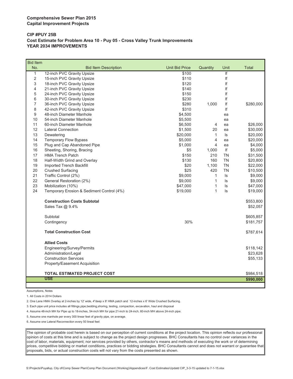#### **CIP #PUY 25B Cost Estimate for Problem Area 10 - Puy 05 - Cross Valley Trunk Improvements YEAR 2034 IMPROVEMENTS**

| <b>Bid Item</b> |                                           |                       |              |           |              |
|-----------------|-------------------------------------------|-----------------------|--------------|-----------|--------------|
| No.             | <b>Bid Item Description</b>               | <b>Unit Bid Price</b> | Quantity     | Unit      | <b>Total</b> |
| $\mathbf{1}$    | 12-inch PVC Gravity Upsize                | \$100                 |              | If        |              |
| $\overline{2}$  | 15-inch PVC Gravity Upsize                | \$110                 |              | lf        |              |
| 3               | 18-inch PVC Gravity Upsize                | \$120                 |              | If        |              |
| 4               | 21-inch PVC Gravity Upsize                | \$140                 |              | lf        |              |
| 5               | 24-inch PVC Gravity Upsize                | \$150                 |              | If        |              |
| 6               | 30-inch PVC Gravity Upsize                | \$230                 |              | lf        |              |
| 7               | 36-inch PVC Gravity Upsize                | \$280                 | 1,000        | lf        | \$280,000    |
| 8               | 42-inch PVC Gravity Upsize                | \$310                 |              | If        |              |
| 9               | 48-inch Diameter Manhole                  | \$4,500               |              | ea        |              |
| 10              | 54-inch Diameter Manhole                  | \$5,500               |              | ea        |              |
| 11              | 60-inch Diameter Manhole                  | \$6,500               | 4            | ea        | \$26,000     |
| 12              | <b>Lateral Connection</b>                 | \$1,500               | 20           | ea        | \$30,000     |
| 13              | Dewatering                                | \$20,000              | $\mathbf{1}$ | $\sf ls$  | \$20,000     |
| 14              | <b>Temporary Flow Bypass</b>              | \$5,000               | 4            | ea        | \$20,000     |
| 15              | Plug and Cap Abandoned Pipe               | \$1,000               | 4            | ea        | \$4,000      |
| 16              | Sheeting, Shoring, Bracing                | \$5                   | 1,000        | If        | \$5,000      |
| 17              | <b>HMA Trench Patch</b>                   | \$150                 | 210          | <b>TN</b> | \$31,500     |
| 18              | Half-Width Grind and Overlay              | \$130                 | 160          | <b>TN</b> | \$20,800     |
| 19              | Imported Trench Backfill                  | \$20                  | 1,100        | <b>TN</b> | \$22,000     |
| 20              | <b>Crushed Surfacing</b>                  | \$25                  | 420          | <b>TN</b> | \$10,500     |
| 21              | Traffic Control (2%)                      | \$9,000               | $\mathbf{1}$ | ls        | \$9,000      |
| 22              | General Restoration (2%)                  | \$9,000               | $\mathbf{1}$ | ls        | \$9,000      |
| 23              | Mobilization (10%)                        | \$47,000              | 1            | ls        | \$47,000     |
| 24              | Temporary Erosion & Sediment Control (4%) | \$19,000              | 1            | ls        | \$19,000     |
|                 | <b>Construction Costs Subtotal</b>        |                       |              |           | \$553,800    |
|                 | Sales Tax @ 9.4%                          |                       |              |           | \$52,057     |
|                 | Subtotal                                  |                       |              |           | \$605,857    |
|                 | Contingency                               | 30%                   |              |           | \$181,757    |
|                 | <b>Total Construction Cost</b>            |                       |              |           | \$787,614    |
|                 | <b>Allied Costs</b>                       |                       |              |           |              |
|                 | Engineering/Survey/Permits                |                       |              |           | \$118,142    |
|                 | Administration/Legal                      |                       |              |           | \$23,628     |
|                 | <b>Construction Services</b>              |                       |              |           | \$55,133     |
|                 | Property/Easement Acquisition             |                       |              |           |              |
|                 | <b>TOTAL ESTIMATED PROJECT COST</b>       |                       |              |           | \$984,518    |
|                 | <b>USE</b>                                |                       |              |           | \$990,000    |
|                 |                                           |                       |              |           |              |

Assumptions, Notes

1. All Costs in 2014 Dollars

2. One Lane HMA Overlay at 2-inches by 12' wide, 4"deep x 8' HMA patch and 12-inches x 6' Wide Crushed Surfacing.

3. Each pipe unit price includes all fittings,pipe,bedding,shoring, testing, compaction, excavation, haul and disposal

4. Assume 48-inch MH for Pipe up to 18-inches, 54-inch MH for pipe 21-inch to 24-inch, 60-inch MH above 24-inch pipe.

5. Assume one manhole per every 300 linear feet of gravity pipe, on average.

6. Assume one Lateral Reconnection every 50 lineal feet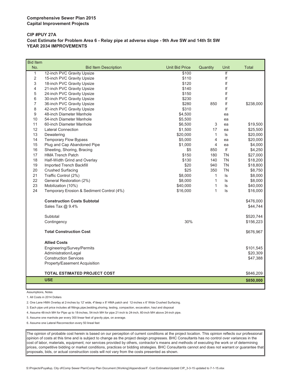#### **CIP #PUY 27A Cost Estimate for Problem Area 6 - Relay pipe at adverse slope - 9th Ave SW and 14th St SW YEAR 2034 IMPROVEMENTS**

| <b>Bid Item</b> |                                           |                       |              |           |           |
|-----------------|-------------------------------------------|-----------------------|--------------|-----------|-----------|
| No.             | <b>Bid Item Description</b>               | <b>Unit Bid Price</b> | Quantity     | Unit      | Total     |
| $\mathbf{1}$    | 12-inch PVC Gravity Upsize                | \$100                 |              | lf        |           |
| $\overline{2}$  | 15-inch PVC Gravity Upsize                | \$110                 |              | If        |           |
| 3               | 18-inch PVC Gravity Upsize                | \$120                 |              | lf        |           |
| 4               | 21-inch PVC Gravity Upsize                | \$140                 |              | If        |           |
| 5               | 24-inch PVC Gravity Upsize                | \$150                 |              | If        |           |
| 6               | 30-inch PVC Gravity Upsize                | \$230                 |              | lf        |           |
| 7               | 36-inch PVC Gravity Upsize                | \$280                 | 850          | lf        | \$238,000 |
| 8               | 42-inch PVC Gravity Upsize                | \$310                 |              | If        |           |
| 9               | 48-inch Diameter Manhole                  | \$4,500               |              | ea        |           |
| 10              | 54-inch Diameter Manhole                  | \$5,500               |              | ea        |           |
| 11              | 60-inch Diameter Manhole                  | \$6,500               | 3            | ea        | \$19,500  |
| 12              | <b>Lateral Connection</b>                 | \$1,500               | 17           | ea        | \$25,500  |
| 13              | Dewatering                                | \$20,000              | $\mathbf{1}$ | ls        | \$20,000  |
| 14              | <b>Temporary Flow Bypass</b>              | \$5,000               | 4            | ea        | \$20,000  |
| 15              | Plug and Cap Abandoned Pipe               | \$1,000               | 4            | ea        | \$4,000   |
| 16              | Sheeting, Shoring, Bracing                | \$5                   | 850          | lf        | \$4,250   |
| 17              | <b>HMA Trench Patch</b>                   | \$150                 | 180          | <b>TN</b> | \$27,000  |
| 18              | Half-Width Grind and Overlay              | \$130                 | 140          | <b>TN</b> | \$18,200  |
| 19              | Imported Trench Backfill                  | \$20                  | 940          | <b>TN</b> | \$18,800  |
| 20              | <b>Crushed Surfacing</b>                  | \$25                  | 350          | <b>TN</b> | \$8,750   |
| 21              | Traffic Control (2%)                      | \$8,000               | 1            | ls        | \$8,000   |
| 22              | General Restoration (2%)                  | \$8,000               | $\mathbf{1}$ | ls        | \$8,000   |
| 23              | Mobilization (10%)                        | \$40,000              | $\mathbf{1}$ | ls        | \$40,000  |
| 24              | Temporary Erosion & Sediment Control (4%) | \$16,000              | 1            | ls        | \$16,000  |
|                 | <b>Construction Costs Subtotal</b>        |                       |              |           | \$476,000 |
|                 | Sales Tax @ 9.4%                          |                       |              |           | \$44,744  |
|                 | Subtotal                                  |                       |              |           | \$520,744 |
|                 | Contingency                               | 30%                   |              |           | \$156,223 |
|                 | <b>Total Construction Cost</b>            |                       |              |           | \$676,967 |
|                 | <b>Allied Costs</b>                       |                       |              |           |           |
|                 | Engineering/Survey/Permits                |                       |              |           | \$101,545 |
|                 | Administration/Legal                      |                       |              |           | \$20,309  |
|                 | <b>Construction Services</b>              |                       |              |           | \$47,388  |
|                 | Property/Easement Acquisition             |                       |              |           |           |
|                 | <b>TOTAL ESTIMATED PROJECT COST</b>       |                       |              |           | \$846,209 |
|                 | <b>USE</b>                                |                       |              |           | \$850,000 |
|                 |                                           |                       |              |           |           |

Assumptions, Notes

ı

1. All Costs in 2014 Dollars

2. One Lane HMA Overlay at 2-inches by 12' wide, 4"deep x 8' HMA patch and 12-inches x 6' Wide Crushed Surfacing.

3. Each pipe unit price includes all fittings,pipe,bedding,shoring, testing, compaction, excavation, haul and disposal

4. Assume 48-inch MH for Pipe up to 18-inches, 54-inch MH for pipe 21-inch to 24-inch, 60-inch MH above 24-inch pipe.

5. Assume one manhole per every 300 linear feet of gravity pipe, on average.

6. Assume one Lateral Reconnection every 50 lineal feet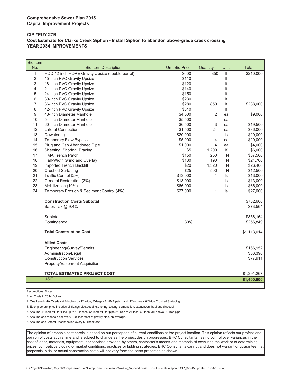#### **CIP #PUY 27B Cost Estimate for Clarks Creek Siphon - Install Siphon to abandon above-grade creek crossing YEAR 2034 IMPROVEMENTS**

| <b>Bid Item</b> |                                                 |                       |              |           |              |
|-----------------|-------------------------------------------------|-----------------------|--------------|-----------|--------------|
| No.             | <b>Bid Item Description</b>                     | <b>Unit Bid Price</b> | Quantity     | Unit      | <b>Total</b> |
| $\mathbf{1}$    | HDD 12-inch HDPE Gravity Upsize (double barrel) | \$600                 | 350          | If        | \$210,000    |
| 2               | 15-inch PVC Gravity Upsize                      | \$110                 |              | lf        |              |
| 3               | 18-inch PVC Gravity Upsize                      | \$120                 |              | If        |              |
| 4               | 21-inch PVC Gravity Upsize                      | \$140                 |              | lf        |              |
| 5               | 24-inch PVC Gravity Upsize                      | \$150                 |              | If        |              |
| 6               | 30-inch PVC Gravity Upsize                      | \$230                 |              | If        |              |
| $\overline{7}$  | 36-inch PVC Gravity Upsize                      | \$280                 | 850          | lf        | \$238,000    |
| 8               | 42-inch PVC Gravity Upsize                      | \$310                 |              | If        |              |
| 9               | 48-inch Diameter Manhole                        | \$4,500               | 2            | ea        | \$9,000      |
| 10              | 54-inch Diameter Manhole                        | \$5,500               |              | ea        |              |
| 11              | 60-inch Diameter Manhole                        | \$6,500               | 3            | ea        | \$19,500     |
| 12              | <b>Lateral Connection</b>                       | \$1,500               | 24           | ea        | \$36,000     |
| 13              | Dewatering                                      | \$20,000              | $\mathbf{1}$ | ls        | \$20,000     |
| 14              | <b>Temporary Flow Bypass</b>                    | \$5,000               | 4            | ea        | \$20,000     |
| 15              | Plug and Cap Abandoned Pipe                     | \$1,000               | 4            | ea        | \$4,000      |
| 16              | Sheeting, Shoring, Bracing                      | \$5                   | 1,200        | If        | \$6,000      |
| 17              | <b>HMA Trench Patch</b>                         | \$150                 | 250          | <b>TN</b> | \$37,500     |
| 18              | Half-Width Grind and Overlay                    | \$130                 | 190          | <b>TN</b> | \$24,700     |
| 19              | Imported Trench Backfill                        | \$20                  | 1,320        | TN        | \$26,400     |
| 20              | <b>Crushed Surfacing</b>                        | \$25                  | 500          | <b>TN</b> | \$12,500     |
| 21              | Traffic Control (2%)                            | \$13,000              | $\mathbf{1}$ | ls        | \$13,000     |
| 22              | General Restoration (2%)                        | \$13,000              | 1            | ls        | \$13,000     |
| 23              | Mobilization (10%)                              | \$66,000              | 1            | ls        | \$66,000     |
| 24              | Temporary Erosion & Sediment Control (4%)       | \$27,000              | $\mathbf{1}$ | Is        | \$27,000     |
|                 | <b>Construction Costs Subtotal</b>              |                       |              |           | \$782,600    |
|                 | Sales Tax @ 9.4%                                |                       |              |           | \$73,564     |
|                 | Subtotal                                        |                       |              |           | \$856,164    |
|                 | Contingency                                     | 30%                   |              |           | \$256,849    |
|                 | <b>Total Construction Cost</b>                  |                       |              |           | \$1,113,014  |
|                 | <b>Allied Costs</b>                             |                       |              |           |              |
|                 | Engineering/Survey/Permits                      |                       |              |           | \$166,952    |
|                 | Administration/Legal                            |                       |              |           | \$33,390     |
|                 | <b>Construction Services</b>                    |                       |              |           | \$77,911     |
|                 | Property/Easement Acquisition                   |                       |              |           |              |
|                 | <b>TOTAL ESTIMATED PROJECT COST</b>             |                       |              |           | \$1,391,267  |
|                 | <b>USE</b>                                      |                       |              |           | \$1,400,000  |
|                 |                                                 |                       |              |           |              |

Assumptions, Notes

1. All Costs in 2014 Dollars

2. One Lane HMA Overlay at 2-inches by 12' wide, 4"deep x 8' HMA patch and 12-inches x 6' Wide Crushed Surfacing.

3. Each pipe unit price includes all fittings,pipe,bedding,shoring, testing, compaction, excavation, haul and disposal

4. Assume 48-inch MH for Pipe up to 18-inches, 54-inch MH for pipe 21-inch to 24-inch, 60-inch MH above 24-inch pipe.

5. Assume one manhole per every 300 linear feet of gravity pipe, on average.

6. Assume one Lateral Reconnection every 50 lineal feet